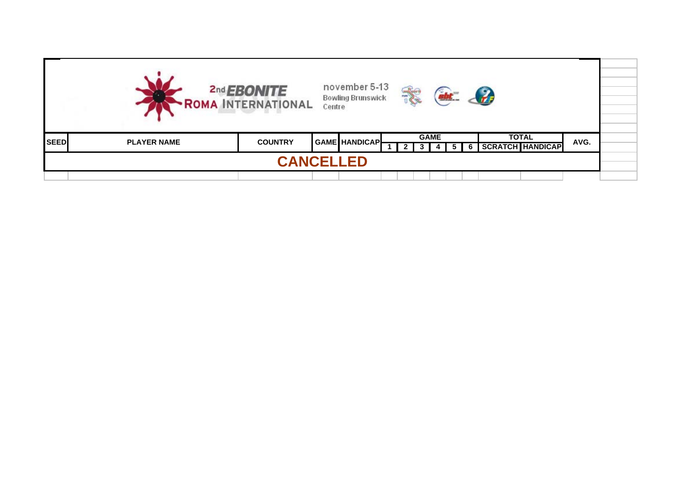|             |                    | 2nd <b>EBONITE</b><br>· ROMA INTERNATIONAL | Centre | november 5-13<br><b>Bowling Brunswick</b> |  |             |  | $\mathcal{L}$ |              |                         |      |  |
|-------------|--------------------|--------------------------------------------|--------|-------------------------------------------|--|-------------|--|---------------|--------------|-------------------------|------|--|
| <b>SEED</b> | <b>PLAYER NAME</b> | <b>COUNTRY</b>                             |        | <b>GAME HANDICAPL</b>                     |  | <b>GAME</b> |  |               | <b>TOTAL</b> | <b>SCRATCH HANDICAP</b> | AVG. |  |
|             |                    | <b>CANCELLED</b>                           |        |                                           |  |             |  |               |              |                         |      |  |
|             |                    |                                            |        |                                           |  |             |  |               |              |                         |      |  |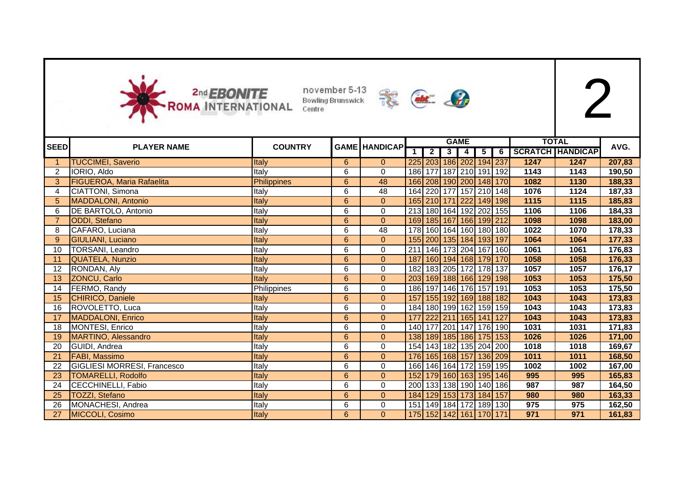



|             |                                    |                |                |                      |     |                         |                | <b>GAME</b>                 |                |   |      | <b>TOTAL</b>            |        |
|-------------|------------------------------------|----------------|----------------|----------------------|-----|-------------------------|----------------|-----------------------------|----------------|---|------|-------------------------|--------|
| <b>SEED</b> | <b>PLAYER NAME</b>                 | <b>COUNTRY</b> |                | <b>GAME HANDICAP</b> |     | $\overline{\mathbf{2}}$ | $\overline{3}$ | 4                           | 5 <sub>1</sub> | 6 |      | <b>SCRATCH HANDICAP</b> | AVG.   |
|             | <b>TUCCIMEI, Saverio</b>           | Italy          | 6              | $\mathbf{0}$         |     |                         |                | 225 203 186 202 194 237     |                |   | 1247 | 1247                    | 207,83 |
| 2           | IORIO, Aldo                        | Italy          | 6              | $\mathbf 0$          |     |                         |                | 186 177 187 210 191 192     |                |   | 1143 | 1143                    | 190,50 |
| 3           | <b>FIGUEROA, Maria Rafaelita</b>   | Philippines    | $6\phantom{.}$ | 48                   |     |                         |                | 166 208 190 200 148 170     |                |   | 1082 | 1130                    | 188,33 |
| 4           | CIATTONI, Simona                   | Italy          | $\overline{6}$ | 48                   |     |                         |                | 164 220 177 157 210 148     |                |   | 1076 | 1124                    | 187,33 |
| 5           | <b>MADDALONI</b> , Antonio         | Italy          | 6              | $\mathbf{0}$         |     |                         |                | 165 210 171 222 149 198     |                |   | 1115 | 1115                    | 185,83 |
| 6           | <b>DE BARTOLO, Antonio</b>         | Italy          | 6              | $\boldsymbol{0}$     |     |                         |                | 213 180 164 192 202 155     |                |   | 1106 | 1106                    | 184,33 |
|             | ODDI, Stefano                      | Italy          | $6\phantom{a}$ | $\mathbf{0}$         |     |                         |                | 169 185 167 166 199 212     |                |   | 1098 | 1098                    | 183,00 |
| 8           | CAFARO, Luciana                    | Italy          | 6              | 48                   |     |                         |                | 178 160 164 160 180 180     |                |   | 1022 | 1070                    | 178,33 |
| 9           | GIULIANI, Luciano                  | Italy          | $\overline{6}$ | $\mathbf{0}$         |     |                         |                | 155 200 135 184 193 197     |                |   | 1064 | 1064                    | 177,33 |
| 10          | <b>TORSANI, Leandro</b>            | Italy          | 6              | $\mathbf 0$          |     |                         |                | 211 146 173 204 167 160     |                |   | 1061 | 1061                    | 176,83 |
| 11          | QUATELA, Nunzio                    | Italy          | 6              | $\mathbf{0}$         | 187 |                         |                | 160 194 168 179 170         |                |   | 1058 | 1058                    | 176,33 |
| 12          | RONDAN, Aly                        | Italy          | 6              | 0                    |     |                         |                | 182 183 205 172 178 137     |                |   | 1057 | 1057                    | 176,17 |
| 13          | ZONCU, Carlo                       | Italy          | $6\phantom{a}$ | $\pmb{0}$            |     |                         |                | 203 169 188 166 129 198     |                |   | 1053 | 1053                    | 175,50 |
| 14          | FERMO, Randy                       | Philippines    | 6              | $\boldsymbol{0}$     |     |                         |                | 186 197 146 176 157 191     |                |   | 1053 | 1053                    | 175,50 |
| 15          | CHIRICO, Daniele                   | Italy          | 6              | $\mathbf{0}$         | 157 |                         |                | 155 192 169 188 182         |                |   | 1043 | 1043                    | 173,83 |
| 16          | ROVOLETTO, Luca                    | Italy          | 6              | 0                    |     |                         |                | 184 180 199 162 159 159     |                |   | 1043 | 1043                    | 173,83 |
| 17          | MADDALONI, Enrico                  | Italy          | $6\phantom{1}$ | $\mathbf{0}$         | 177 |                         |                | 222 211 165 141 127         |                |   | 1043 | 1043                    | 173,83 |
| 18          | MONTESI, Enrico                    | Italy          | 6              | $\mathbf 0$          |     |                         |                | 140 177 201 147 176 190     |                |   | 1031 | 1031                    | 171,83 |
|             | <b>MARTINO, Alessandro</b>         | Italy          | $6\phantom{a}$ | $\mathbf{0}$         |     |                         |                | 138 189 185 186 175 153     |                |   | 1026 | 1026                    | 171,00 |
| 20          | GUIDI, Andrea                      | Italy          | 6              | $\mathbf 0$          |     |                         |                | 154 143 182 135 204 200     |                |   | 1018 | 1018                    | 169,67 |
|             | <b>FABI, Massimo</b>               | Italy          | 6              | $\mathbf{0}$         |     |                         |                | 176 165 168 157 136 209     |                |   | 1011 | 1011                    | 168,50 |
| 22          | <b>GIGLIESI MORRESI, Francesco</b> | Italy          | 6              | $\pmb{0}$            |     |                         |                | 166 146 164 172 159 195     |                |   | 1002 | 1002                    | 167,00 |
| 23          | <b>TOMARELLI, Rodolfo</b>          | Italy          | $6\phantom{.}$ | $\mathbf 0$          |     |                         |                | 152 179 160 163 195 146     |                |   | 995  | 995                     | 165,83 |
| 24          | CECCHINELLI, Fabio                 | Italy          | $\overline{6}$ | $\pmb{0}$            |     |                         |                | 200 133 138 190 140 186     |                |   | 987  | 987                     | 164,50 |
| 25          | <b>TOZZI, Stefano</b>              | Italy          | $6\phantom{a}$ | $\mathbf{0}$         |     |                         |                | 184 129 153 173 184 157     |                |   | 980  | 980                     | 163,33 |
| 26          | MONACHESI, Andrea                  | Italy          | 6              | $\boldsymbol{0}$     | 151 |                         |                | 149   184   172   189   130 |                |   | 975  | 975                     | 162,50 |
| 27          | MICCOLI, Cosimo                    | Italy          | $6\phantom{a}$ | $\mathbf{0}$         |     |                         |                | 175 152 142 161 170 171     |                |   | 971  | 971                     | 161,83 |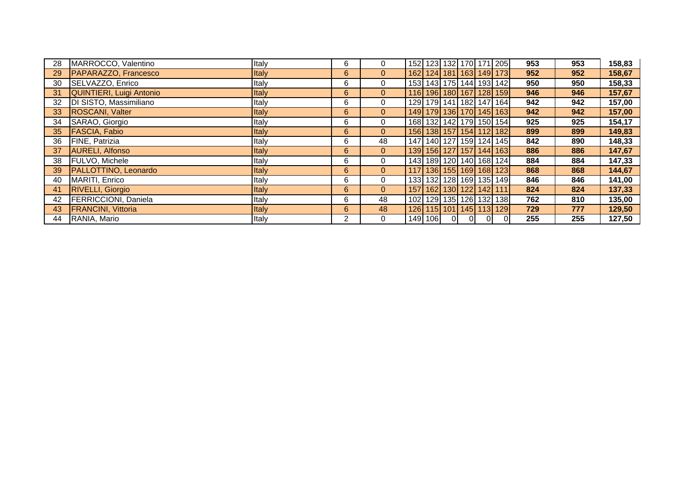| 28 | MARROCCO, Valentino         | Italy        | 6            | $\mathbf 0$    | 152   123   132   170   171   205 |    |                |                         |                                   | 953 | 953 | 158,83 |
|----|-----------------------------|--------------|--------------|----------------|-----------------------------------|----|----------------|-------------------------|-----------------------------------|-----|-----|--------|
| 29 | PAPARAZZO, Francesco        | <b>Italy</b> | 6            | $\overline{0}$ |                                   |    |                |                         | 162 124 181 163 149 173           | 952 | 952 | 158,67 |
| 30 | SELVAZZO, Enrico            | Italy        | 6            | 0              |                                   |    |                |                         | 153 143 175 144 193 142           | 950 | 950 | 158,33 |
| 31 | QUINTIERI, Luigi Antonio    | Italy        | 6            | $\mathbf{0}$   |                                   |    |                |                         | 116 196 180 167 128 159           | 946 | 946 | 157,67 |
| 32 | DI SISTO, Massimiliano      | Italy        | 6            | 0              |                                   |    |                |                         | 129 179 141 182 147 164           | 942 | 942 | 157,00 |
| 33 | ROSCANI, Valter             | Italy        | 6            | $\overline{0}$ |                                   |    |                |                         | 149 179 136 170 145 163           | 942 | 942 | 157,00 |
| 34 | SARAO, Giorgio              | Italy        | 6            | $\mathbf 0$    |                                   |    |                |                         | 168 132 142 179 150 154           | 925 | 925 | 154,17 |
| 35 | <b>FASCIA, Fabio</b>        | <b>Italy</b> | 6            | $\overline{0}$ |                                   |    |                |                         | 156 138 157 154 112 182           | 899 | 899 | 149,83 |
| 36 | FINE, Patrizia              | Italy        | 6            | 48             |                                   |    |                |                         | 147   140   127   159   124   145 | 842 | 890 | 148,33 |
| 37 | AURELI, Alfonso             | <b>Italy</b> | 6            | $\mathbf{0}$   |                                   |    |                |                         | 139 156 127 157 144 163           | 886 | 886 | 147,67 |
| 38 | FULVO, Michele              | Italy        | 6            | 0              |                                   |    |                |                         | 143   189   120   140   168   124 | 884 | 884 | 147,33 |
| 39 | <b>PALLOTTINO, Leonardo</b> | <b>Italy</b> | 6            | $\overline{0}$ |                                   |    |                |                         | 117 136 155 169 168 123           | 868 | 868 | 144,67 |
| 40 | <b>MARITI, Enrico</b>       | Italy        | 6            | $\mathbf 0$    | 133  132  128  169  135  149      |    |                |                         |                                   | 846 | 846 | 141,00 |
| 41 | <b>RIVELLI, Giorgio</b>     | Italy        | 6            | $\overline{0}$ |                                   |    |                | 157 162 130 122 142 111 |                                   | 824 | 824 | 137,33 |
| 42 | <b>FERRICCIONI, Daniela</b> | Italy        | 6            | 48             | 102   129   135   126   132   138 |    |                |                         |                                   | 762 | 810 | 135,00 |
| 43 | <b>FRANCINI, Vittoria</b>   | <b>Italy</b> | $6^{\circ}$  | 48             |                                   |    |                |                         | 126 115 101 145 113 129           | 729 | 777 | 129,50 |
| 44 | RANIA, Mario                | Italy        | $\mathbf{2}$ | 0              | 149 106                           | 0I | $\overline{0}$ | 0I                      |                                   | 255 | 255 | 127,50 |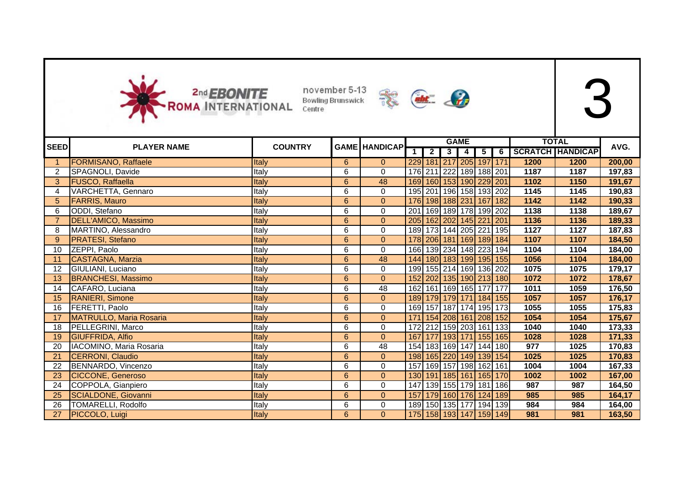



|             |                                |                |                |                      |                |                |                         | <b>GAME</b>    |                |                         |      | <b>TOTAL</b>            |        |
|-------------|--------------------------------|----------------|----------------|----------------------|----------------|----------------|-------------------------|----------------|----------------|-------------------------|------|-------------------------|--------|
| <b>SEED</b> | <b>PLAYER NAME</b>             | <b>COUNTRY</b> |                | <b>GAME HANDICAP</b> | 1 <sup>1</sup> | $\overline{2}$ | 3 <sup>1</sup>          | $\overline{4}$ | 5 <sup>1</sup> | 6                       |      | <b>SCRATCH HANDICAP</b> | AVG.   |
|             | <b>FORMISANO, Raffaele</b>     | Italy          | 6              | $\mathbf{0}$         |                |                | 229 181 217 205 197 171 |                |                |                         | 1200 | 1200                    | 200,00 |
|             | SPAGNOLI, Davide               | Italy          | 6              | $\mathbf 0$          |                |                | 176 211 222 189 188 201 |                |                |                         | 1187 | 1187                    | 197,83 |
| 3           | FUSCO, Raffaella               | Italy          | 6              | 48                   |                |                |                         |                |                | 169 160 153 190 229 201 | 1102 | 1150                    | 191,67 |
| 4           | VARCHETTA, Gennaro             | Italy          | 6              | $\boldsymbol{0}$     |                |                |                         |                |                | 195 201 196 158 193 202 | 1145 | 1145                    | 190,83 |
| 5           | <b>FARRIS, Mauro</b>           | Italy          | $6\phantom{.}$ | $\mathbf 0$          |                |                |                         |                |                | 176 198 188 231 167 182 | 1142 | 1142                    | 190,33 |
| 6           | ODDI, Stefano                  | Italy          | 6              | $\boldsymbol{0}$     | 201            |                |                         |                |                | 169 189 178 199 202     | 1138 | 1138                    | 189,67 |
|             | DELL'AMICO, Massimo            | Italy          | 6              | $\mathbf{0}$         |                |                | 205 162 202 145 221     |                |                | 201                     | 1136 | 1136                    | 189,33 |
| 8           | MARTINO, Alessandro            | Italy          | 6              | 0                    |                |                |                         |                |                | 189 173 144 205 221 195 | 1127 | 1127                    | 187,83 |
| 9           | <b>PRATESI, Stefano</b>        | Italy          | $6\phantom{1}$ | $\mathbf 0$          |                |                |                         |                |                | 178 206 181 169 189 184 | 1107 | 1107                    | 184,50 |
| 10          | ZEPPI, Paolo                   | Italy          | 6              | 0                    |                |                |                         |                |                | 166 139 234 148 223 194 | 1104 | 1104                    | 184,00 |
| 11          | CASTAGNA, Marzia               | Italy          | $6\phantom{a}$ | 48                   |                |                |                         |                |                | 144 180 183 199 195 155 | 1056 | 1104                    | 184,00 |
| 12          | GIULIANI, Luciano              | Italy          | 6              | 0                    |                |                |                         |                |                | 199 155 214 169 136 202 | 1075 | 1075                    | 179,17 |
| 13          | <b>BRANCHESI, Massimo</b>      | Italy          | $6\phantom{a}$ | $\pmb{0}$            |                |                |                         |                |                | 152 202 135 190 213 180 | 1072 | 1072                    | 178,67 |
| 14          | CAFARO, Luciana                | Italy          | 6              | 48                   |                |                |                         |                |                | 162 161 169 165 177 177 | 1011 | 1059                    | 176,50 |
| 15          | <b>RANIERI, Simone</b>         | Italy          | $6\phantom{a}$ | $\mathbf{0}$         |                |                |                         |                |                | 189 179 179 171 184 155 | 1057 | 1057                    | 176,17 |
| 16          | FERETTI, Paolo                 | Italy          | 6              | $\boldsymbol{0}$     |                |                |                         |                |                | 169 157 187 174 195 173 | 1055 | 1055                    | 175,83 |
| 17          | <b>MATRULLO, Maria Rosaria</b> | Italy          | 6              | $\mathbf{0}$         | 171            |                |                         |                |                | 154 208 161 208 152     | 1054 | 1054                    | 175,67 |
| 18          | PELLEGRINI, Marco              | Italy          | 6              | 0                    | 172            |                |                         |                |                | 212 159 203 161 133     | 1040 | 1040                    | 173,33 |
| 19          | <b>GIUFFRIDA, Alfio</b>        | Italy          | 6              | $\Omega$             |                |                |                         |                |                | 167 177 193 171 155 165 | 1028 | 1028                    | 171,33 |
| 20          | IACOMINO, Maria Rosaria        | Italy          | 6              | 48                   |                |                |                         |                |                | 154 183 169 147 144 180 | 977  | 1025                    | 170,83 |
| 21          | CERRONI, Claudio               | Italy          | 6              | $\mathbf{0}$         |                |                |                         |                |                | 198 165 220 149 139 154 | 1025 | 1025                    | 170,83 |
|             | BENNARDO, Vincenzo             | Italy          | 6              | $\pmb{0}$            |                |                |                         |                |                | 157 169 157 198 162 161 | 1004 | 1004                    | 167,33 |
| 23          | <b>CICCONE, Generoso</b>       | Italy          | $6\phantom{.}$ | $\overline{0}$       |                |                |                         |                |                | 130 191 185 161 165 170 | 1002 | 1002                    | 167,00 |
| 24          | COPPOLA, Gianpiero             | Italy          | $\overline{6}$ | $\mathbf 0$          |                |                |                         |                |                | 147 139 155 179 181 186 | 987  | 987                     | 164,50 |
| 25          | SCIALDONE, Giovanni            | Italy          | 6              | $\mathbf{0}$         | 157            |                |                         |                |                | 179 160 176 124 189     | 985  | 985                     | 164,17 |
| 26          | <b>TOMARELLI, Rodolfo</b>      | Italy          | 6              | 0                    |                |                |                         |                |                | 189 150 135 177 194 139 | 984  | 984                     | 164,00 |
| 27          | PICCOLO, Luigi                 | Italy          | $6\phantom{a}$ | $\mathbf{0}$         |                |                |                         |                |                | 175 158 193 147 159 149 | 981  | 981                     | 163,50 |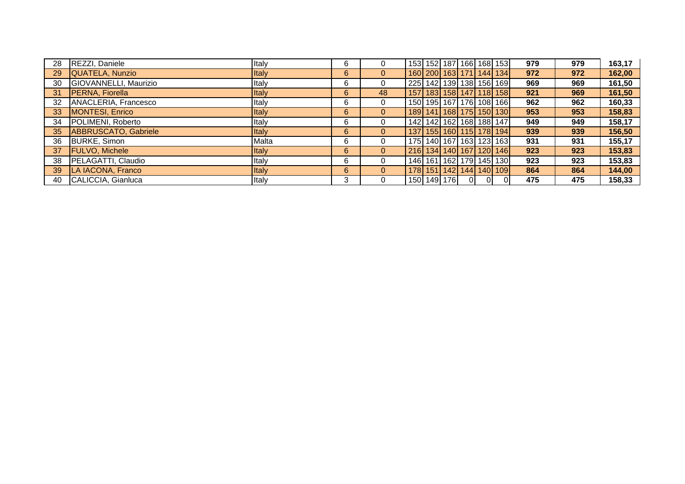| 28 | REZZI, Daniele              | Italy        | 6  | 0            | 153 152 187 166 168 153           |  |                                   |          |    | 979 | 979 | 163,17 |
|----|-----------------------------|--------------|----|--------------|-----------------------------------|--|-----------------------------------|----------|----|-----|-----|--------|
| 29 | QUATELA, Nunzio             | Italy        | 6  | $\mathbf{0}$ |                                   |  | 160 200 163 171 144 134           |          |    | 972 | 972 | 162,00 |
| 30 | GIOVANNELLI, Maurizio       | Italy        | 6  | 0            | 225 142 139 138 156 169           |  |                                   |          |    | 969 | 969 | 161,50 |
| 31 | <b>PERNA, Fiorella</b>      | Italy        | 6  | 48           |                                   |  | 157   183   158   147   118   158 |          |    | 921 | 969 | 161,50 |
| 32 | ANACLERIA, Francesco        | Italy        | 6  | $\mathbf{0}$ | 150 195 167 176 108 166           |  |                                   |          |    | 962 | 962 | 160,33 |
| 33 | MONTESI, Enrico             | Italy        | 6  | $\mathbf{0}$ |                                   |  | 189 141 168 175 150 130           |          |    | 953 | 953 | 158,83 |
| 34 | POLIMENI, Roberto           | Italy        | 6  | 0            |                                   |  | 142   142   162   168   188   147 |          |    | 949 | 949 | 158,17 |
| 35 | <b>ABBRUSCATO, Gabriele</b> | <b>Italy</b> | 6  | $\mathbf{0}$ |                                   |  | 137 155 160 115 178 194           |          |    | 939 | 939 | 156,50 |
| 36 | <b>BURKE, Simon</b>         | Malta        | 6  | 0            | 175   140   167   163   123   163 |  |                                   |          |    | 931 | 931 | 155,17 |
| 37 | <b>FULVO, Michele</b>       | Italy        | 6  | $\mathbf{0}$ | 216 134 140 167 120 146           |  |                                   |          |    | 923 | 923 | 153,83 |
| 38 | PELAGATTI, Claudio          | Italy        | 6  | 0            |                                   |  | 146   161   162   179   145   130 |          |    | 923 | 923 | 153,83 |
| 39 | LA IACONA, Franco           | <b>Italy</b> | 6  | $\mathbf{0}$ | 178 151 142 144 140 109           |  |                                   |          |    | 864 | 864 | 144,00 |
| 40 | CALICCIA, Gianluca          | Italy        | 3. | 0            | 150 149 176                       |  | 0I                                | $\Omega$ | ΟI | 475 | 475 | 158,33 |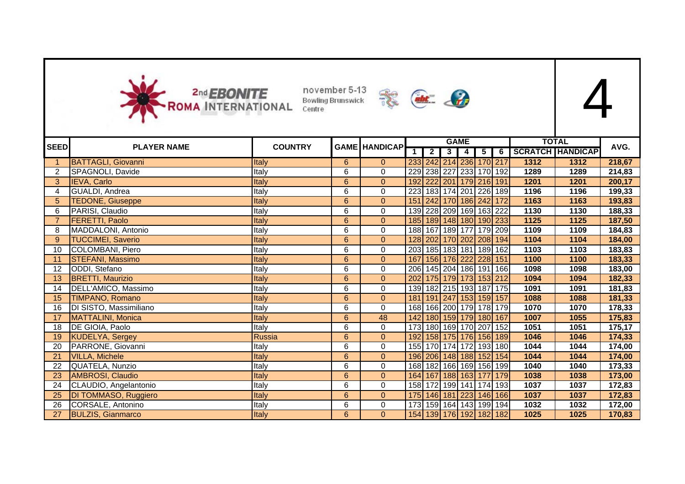



|             |                             | <b>COUNTRY</b> |                 |                      |     |                |                | <b>GAME</b>             |          |     |      | <b>TOTAL</b>         | AVG.   |
|-------------|-----------------------------|----------------|-----------------|----------------------|-----|----------------|----------------|-------------------------|----------|-----|------|----------------------|--------|
| <b>SEED</b> | <b>PLAYER NAME</b>          |                |                 | <b>GAME HANDICAP</b> |     | $\overline{2}$ | 3 <sup>1</sup> | $\sqrt{4}$              | $5 \mid$ |     |      | 6   SCRATCH HANDICAP |        |
|             | <b>BATTAGLI, Giovanni</b>   | Italy          | 6               | $\overline{0}$       |     |                |                | 233 242 214 236 170 217 |          |     | 1312 | 1312                 | 218,67 |
| 2           | SPAGNOLI, Davide            | Italy          | 6               | $\mathbf 0$          |     |                |                | 229 238 227 233 170 192 |          |     | 1289 | 1289                 | 214,83 |
| 3           | IEVA, Carlo                 | Italy          | $\overline{6}$  | $\mathbf{0}$         |     |                |                | 192 222 201 179 216 191 |          |     | 1201 | 1201                 | 200,17 |
| 4           | GUALDI, Andrea              | Italy          | 6               | 0                    |     |                |                | 223 183 174 201 226 189 |          |     | 1196 | 1196                 | 199,33 |
| 5           | <b>TEDONE, Giuseppe</b>     | Italy          | $6\phantom{1}$  | $\mathbf{0}$         |     |                |                | 151 242 170 186 242 172 |          |     | 1163 | 1163                 | 193,83 |
| 6           | PARISI, Claudio             | Italy          | 6               | $\mathbf 0$          |     |                |                | 139 228 209 169 163 222 |          |     | 1130 | 1130                 | 188,33 |
|             | <b>FERETTI, Paolo</b>       | Italy          | $\overline{6}$  | $\mathbf{0}$         |     |                |                | 185 189 148 180 190 233 |          |     | 1125 | 1125                 | 187,50 |
| 8           | MADDALONI, Antonio          | Italy          | 6               | 0                    |     |                |                | 188 167 189 177 179 209 |          |     | 1109 | 1109                 | 184,83 |
| 9           | <b>TUCCIMEI, Saverio</b>    | Italy          | $6\phantom{1}$  | $\mathbf{0}$         |     |                |                | 128 202 170 202 208 194 |          |     | 1104 | 1104                 | 184,00 |
| 10          | COLOMBANI, Piero            | Italy          | 6               | $\mathbf 0$          |     |                |                | 203 185 183 181 189 162 |          |     | 1103 | 1103                 | 183,83 |
| -11         | <b>STEFANI, Massimo</b>     | Italy          | $6\phantom{1}$  | $\overline{0}$       | 167 |                |                | 156 176 222 228 151     |          |     | 1100 | 1100                 | 183,33 |
| 12          | ODDI, Stefano               | Italy          | 6               | 0                    |     |                |                | 206 145 204 186 191 166 |          |     | 1098 | 1098                 | 183,00 |
| 13          | <b>BRETTI, Maurizio</b>     | Italy          | $\overline{6}$  | $\mathbf{0}$         | 202 |                |                | 175 179 173 153 212     |          |     | 1094 | 1094                 | 182,33 |
| 14          | DELL'AMICO, Massimo         | Italy          | 6               | 0                    |     |                |                | 139 182 215 193 187 175 |          |     | 1091 | 1091                 | 181,83 |
| 15          | TIMPANO, Romano             | Italy          | $6\phantom{1}$  | $\overline{0}$       | 181 |                |                | 191 247 153 159 157     |          |     | 1088 | 1088                 | 181,33 |
| 16          | DI SISTO, Massimiliano      | Italy          | 6               | 0                    |     |                |                | 168 166 200 179 178 179 |          |     | 1070 | 1070                 | 178,33 |
| 17          | MATTALINI, Monica           | Italy          | $\overline{6}$  | 48                   | 142 |                |                | 180 159 179 180 167     |          |     | 1007 | 1055                 | 175,83 |
| 18          | DE GIOIA, Paolo             | Italy          | 6               | 0                    |     |                |                | 173 180 169 170 207 152 |          |     | 1051 | 1051                 | 175,17 |
| 19          | <b>KUDELYA, Sergey</b>      | Russia         | 6               | $\overline{0}$       | 192 |                |                | 158 175 176 156 189     |          |     | 1046 | 1046                 | 174,33 |
| 20          | PARRONE, Giovanni           | Italy          | 6               | 0                    |     |                |                | 155 170 174 172 193 180 |          |     | 1044 | 1044                 | 174,00 |
| 21          | <b>VILLA, Michele</b>       | Italy          | 6               | $\overline{0}$       |     |                |                | 196 206 148 188 152 154 |          |     | 1044 | 1044                 | 174,00 |
| 22          | QUATELA, Nunzio             | Italy          | 6               | $\mathbf 0$          |     |                |                | 168 182 166 169 156 199 |          |     | 1040 | 1040                 | 173,33 |
| 23          | <b>AMBROSI, Claudio</b>     | Italy          | 6               | $\mathbf{0}$         |     |                |                | 164 167 188 163 177     |          | 179 | 1038 | 1038                 | 173,00 |
| 24          | CLAUDIO, Angelantonio       | Italy          | $\overline{6}$  | $\mathbf 0$          |     |                |                | 158 172 199 141 174 193 |          |     | 1037 | 1037                 | 172,83 |
| 25          | <b>DI TOMMASO, Ruggiero</b> | Italy          | $6\phantom{a}$  | $\mathbf{0}$         |     |                |                | 175 146 181 223 146 166 |          |     | 1037 | 1037                 | 172,83 |
| 26          | CORSALE, Antonino           | Italy          | 6               | 0                    |     |                |                | 173 159 164 143 199 194 |          |     | 1032 | 1032                 | 172,00 |
| 27          | <b>BULZIS, Gianmarco</b>    | Italy          | $6\overline{6}$ | $\mathbf{0}$         |     |                |                | 154 139 176 192 182 182 |          |     | 1025 | 1025                 | 170,83 |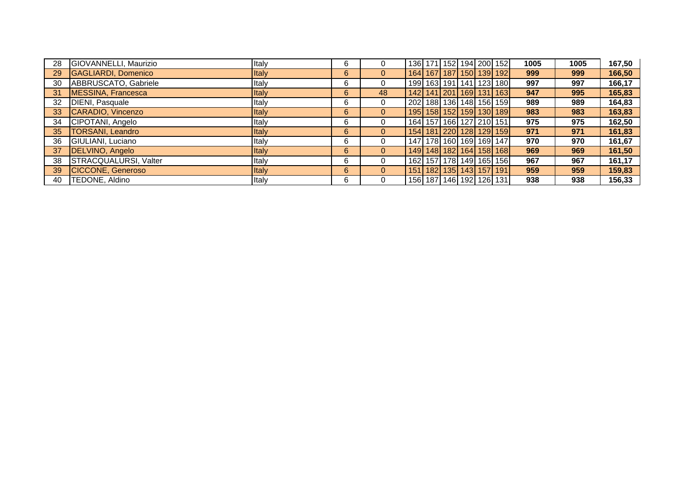| 28 | GIOVANNELLI, Maurizio    | Italy        | 6 | 0              |  |  | 136 171 152 194 200 152           | 1005 | 1005 | 167,50 |
|----|--------------------------|--------------|---|----------------|--|--|-----------------------------------|------|------|--------|
| 29 | GAGLIARDI, Domenico      | <b>Italy</b> | 6 | $\overline{0}$ |  |  | 164 167 187 150 139 192           | 999  | 999  | 166,50 |
| 30 | ABBRUSCATO, Gabriele     | Italy        | 6 | 0              |  |  | 199  163  191  141  123  180      | 997  | 997  | 166,17 |
| 31 | MESSINA, Francesca       | <b>Italy</b> | 6 | 48             |  |  | 142 141 201 169 131 163           | 947  | 995  | 165,83 |
| 32 | DIENI, Pasquale          | Italy        | 6 | 0              |  |  | 202 188 136 148 156 159           | 989  | 989  | 164,83 |
| 33 | CARADIO, Vincenzo        | <b>Italy</b> | 6 | $\overline{0}$ |  |  | 195   158   152   159   130   189 | 983  | 983  | 163,83 |
| 34 | CIPOTANI, Angelo         | Italy        | 6 | 0              |  |  | 164 157 166 127 210 151           | 975  | 975  | 162,50 |
| 35 | <b>TORSANI, Leandro</b>  | <b>Italy</b> | 6 | $\overline{0}$ |  |  | 154 181 220 128 129 159           | 971  | 971  | 161,83 |
| 36 | GIULIANI, Luciano        | Italy        | 6 | 0              |  |  | 147   178   160   169   169   147 | 970  | 970  | 161,67 |
| 37 | DELVINO, Angelo          | <b>Italy</b> | 6 | $\Omega$       |  |  | 149   148   182   164   158   168 | 969  | 969  | 161,50 |
| 38 | STRACQUALURSI, Valter    | Italy        | 6 | 0              |  |  | 162  157  178  149  165  156      | 967  | 967  | 161,17 |
| 39 | <b>CICCONE, Generoso</b> | <b>Italy</b> | 6 | $\Omega$       |  |  | 151   182   135   143   157   191 | 959  | 959  | 159,83 |
| 40 | TEDONE, Aldino           | Italy        | 6 | 0              |  |  | 156   187   146   192   126   131 | 938  | 938  | 156,33 |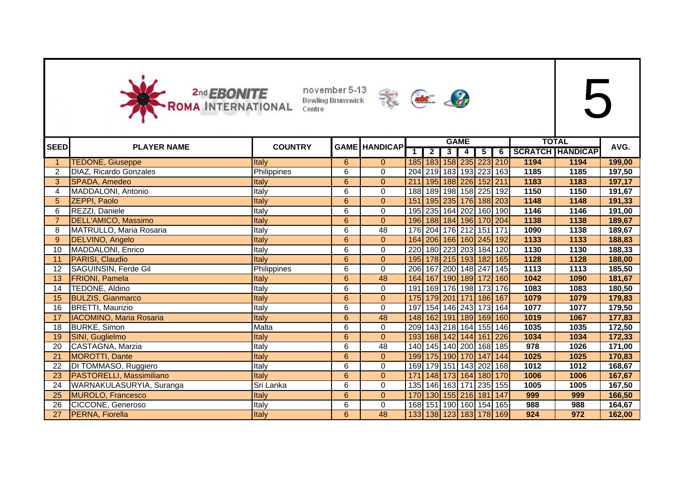



|             |                                |                |                 |                      |                  |                |                | <b>GAME</b>                       |                |                |      | <b>TOTAL</b>            |        |
|-------------|--------------------------------|----------------|-----------------|----------------------|------------------|----------------|----------------|-----------------------------------|----------------|----------------|------|-------------------------|--------|
| <b>SEED</b> | <b>PLAYER NAME</b>             | <b>COUNTRY</b> |                 | <b>GAME HANDICAP</b> |                  | $\overline{2}$ | 3 <sup>1</sup> | 4                                 | 5 <sub>1</sub> | $\overline{6}$ |      | <b>SCRATCH HANDICAP</b> | AVG.   |
|             | <b>TEDONE, Giuseppe</b>        | Italy          | 6               | $\overline{0}$       |                  |                |                | 185 183 158 235 223 210           |                |                | 1194 | 1194                    | 199,00 |
|             | DIAZ, Ricardo Gonzales         | Philippines    | 6               | $\pmb{0}$            |                  |                |                | 204 219 183 193 223 163           |                |                | 1185 | 1185                    | 197,50 |
| 3           | SPADA, Amedeo                  | Italy          | 6               | $\mathbf{0}$         | $\overline{211}$ |                |                | 195 188 226 152 211               |                |                | 1183 | 1183                    | 197,17 |
| 4           | MADDALONI, Antonio             | Italy          | 6               | 0                    |                  |                |                | 188   189   198   158   225   192 |                |                | 1150 | 1150                    | 191,67 |
| 5           | <b>ZEPPI, Paolo</b>            | Italy          | 6               | $\overline{0}$       |                  |                |                | 151 195 235 176 188 203           |                |                | 1148 | 1148                    | 191,33 |
| 6           | REZZI, Daniele                 | Italy          | 6               | $\mathbf 0$          |                  |                |                | 195 235 164 202 160 190           |                |                | 1146 | 1146                    | 191,00 |
|             | DELL'AMICO, Massimo            | Italy          | $6\phantom{a}$  | $\mathbf{0}$         |                  |                |                | 196 188 184 196 170 204           |                |                | 1138 | 1138                    | 189,67 |
| 8           | MATRULLO, Maria Rosaria        | Italy          | 6               | $\overline{48}$      |                  |                |                | 176 204 176 212 151 171           |                |                | 1090 | 1138                    | 189,67 |
| 9           | DELVINO, Angelo                | Italy          | $6\phantom{a}$  | $\mathbf{0}$         |                  |                |                | 164 206 166 160 245 192           |                |                | 1133 | 1133                    | 188,83 |
| 10          | MADDALONI, Enrico              | Italy          | 6               | $\mathbf 0$          |                  |                |                | 220 180 223 203 184 120           |                |                | 1130 | 1130                    | 188,33 |
| 11          | PARISI, Claudio                | Italy          | 6               | $\pmb{0}$            |                  |                |                | 195 178 215 193 182 165           |                |                | 1128 | 1128                    | 188,00 |
| 12          | SAGUINSIN, Ferde Gil           | Philippines    | 6               | 0                    |                  |                |                | 206 167 200 148 247 145           |                |                | 1113 | 1113                    | 185,50 |
| 13          | <b>FRIONI</b> , Pamela         | Italy          | 6               | 48                   |                  |                |                | 164 167 190 189 172 160           |                |                | 1042 | 1090                    | 181,67 |
| 14          | TEDONE, Aldino                 | Italy          | 6               | 0                    | 191              |                |                | 169 176 198 173 176               |                |                | 1083 | 1083                    | 180,50 |
| 15          | <b>BULZIS, Gianmarco</b>       | Italv          | 6               | $\mathbf{0}$         |                  |                |                | 175 179 201 171 186 167           |                |                | 1079 | 1079                    | 179,83 |
| 16          | <b>BRETTI, Maurizio</b>        | Italy          | 6               | 0                    | 197              |                |                | 154 146 243 173 164               |                |                | 1077 | 1077                    | 179,50 |
| 17          | <b>IACOMINO, Maria Rosaria</b> | Italy          | 6               | 48                   |                  |                |                | 148 162 191 189 169 160           |                |                | 1019 | 1067                    | 177,83 |
| 18          | <b>BURKE, Simon</b>            | Malta          | 6               | $\pmb{0}$            |                  |                |                | 209 143 218 164 155 146           |                |                | 1035 | 1035                    | 172,50 |
| 19          | SINI, Guglielmo                | Italy          | $6\phantom{a}$  | $\mathbf{0}$         |                  |                |                | 193 168 142 144 161 226           |                |                | 1034 | 1034                    | 172,33 |
| 20          | CASTAGNA, Marzia               | Italy          | 6               | 48                   |                  |                |                | 140 145 140 200 168 185           |                |                | 978  | 1026                    | 171,00 |
| 21          | <b>MOROTTI, Dante</b>          | Italy          | $6\phantom{a}$  | $\mathbf{0}$         |                  |                |                | 199 175 190 170                   | 147            | 144            | 1025 | 1025                    | 170,83 |
| 22          | DI TOMMASO, Ruggiero           | Italy          | 6               | 0                    |                  |                |                | 169 179 151 143 202 168           |                |                | 1012 | 1012                    | 168,67 |
| 23          | PASTORELLI, Massimiliano       | Italy          | 6               | $\mathbf{0}$         | 171              |                |                | 148 173 164 180 170               |                |                | 1006 | 1006                    | 167,67 |
| 24          | WARNAKULASURYIA, Suranga       | Sri Lanka      | 6               | 0                    |                  |                |                | 135 146 163 171 235 155           |                |                | 1005 | 1005                    | 167,50 |
| 25          | <b>MUROLO, Francesco</b>       | Italy          | $6\phantom{1}$  | $\mathbf{0}$         |                  |                |                | 170 130 155 216 181 147           |                |                | 999  | 999                     | 166,50 |
| 26          | CICCONE, Generoso              | Italy          | 6               | 0                    |                  |                |                | 168 151 190 160 154 165           |                |                | 988  | 988                     | 164,67 |
| 27          | <b>PERNA, Fiorella</b>         | <b>Italy</b>   | $6\overline{6}$ | 48                   |                  |                |                | 133 138 123 183 178 169           |                |                | 924  | 972                     | 162,00 |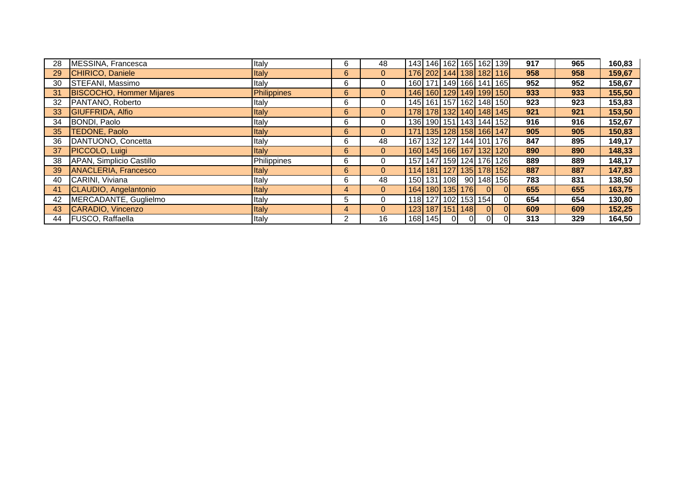| 28 | MESSINA, Francesca              | Italy        | 6            | 48             |      |             |                |                       |                     | 143 146 162 165 162 139 | 917 | 965 | 160,83 |
|----|---------------------------------|--------------|--------------|----------------|------|-------------|----------------|-----------------------|---------------------|-------------------------|-----|-----|--------|
| 29 | CHIRICO, Daniele                | <b>Italy</b> | 6            | $\overline{0}$ |      |             |                |                       |                     | 176 202 144 138 182 116 | 958 | 958 | 159,67 |
| 30 | STEFANI, Massimo                | Italy        | 6            | $\mathbf{0}$   |      |             |                |                       |                     | 160 171 149 166 141 165 | 952 | 952 | 158,67 |
| 31 | <b>BISCOCHO, Hommer Mijares</b> | Philippines  | 6            | $\overline{0}$ |      |             |                |                       |                     | 146 160 129 149 199 150 | 933 | 933 | 155,50 |
| 32 | PANTANO, Roberto                | Italy        | 6            | $\mathbf{0}$   |      |             |                |                       |                     | 145 161 157 162 148 150 | 923 | 923 | 153,83 |
| 33 | GIUFFRIDA, Alfio                | <b>Italy</b> | 6            | $\overline{0}$ |      |             |                |                       |                     | 178 178 132 140 148 145 | 921 | 921 | 153,50 |
| 34 | BONDI, Paolo                    | Italy        | 6            | $\mathbf 0$    |      |             |                |                       |                     | 136 190 151 143 144 152 | 916 | 916 | 152,67 |
| 35 | TEDONE, Paolo                   | Italy        | 6            | $\overline{0}$ |      |             |                |                       |                     | 171 135 128 158 166 147 | 905 | 905 | 150,83 |
| 36 | DANTUONO, Concetta              | Italy        | 6            | 48             | 167  |             |                |                       |                     | 132 127 144 101 176     | 847 | 895 | 149,17 |
| 37 | PICCOLO, Luigi                  | <b>Italy</b> | 6            | $\overline{0}$ |      |             |                |                       |                     | 160 145 166 167 132 120 | 890 | 890 | 148,33 |
| 38 | APAN, Simplicio Castillo        | Philippines  | 6            | $\mathbf{0}$   | 157I |             |                |                       |                     | 147 159 124 176 126     | 889 | 889 | 148,17 |
| 39 | <b>ANACLERIA, Francesco</b>     | <b>Italy</b> | 6            | $\overline{0}$ |      |             |                |                       |                     | 114 181 127 135 178 152 | 887 | 887 | 147,83 |
| 40 | CARINI, Viviana                 | Italy        | 6            | 48             |      | 150 131 108 |                |                       |                     | 90 148 156              | 783 | 831 | 138,50 |
| 41 | CLAUDIO, Angelantonio           | Italy        | 4            | $\mathbf{0}$   |      |             |                | 164   180   135   176 | $\overline{0}$      | $\Omega$                | 655 | 655 | 163,75 |
| 42 | MERCADANTE, Guglielmo           | Italy        | 5            | $\Omega$       |      |             |                |                       | 118 127 102 153 154 | ΩI                      | 654 | 654 | 130,80 |
| 43 | CARADIO, Vincenzo               | <b>Italy</b> | 4            | $\mathbf{0}$   |      |             |                | 123   187   151   148 | $\Omega$            | ΩI                      | 609 | 609 | 152,25 |
| 44 | <b>FUSCO, Raffaella</b>         | Italy        | $\mathbf{2}$ | 16             |      | 168 145     | $\overline{0}$ | -01                   | $\overline{0}$      | ΩI                      | 313 | 329 | 164,50 |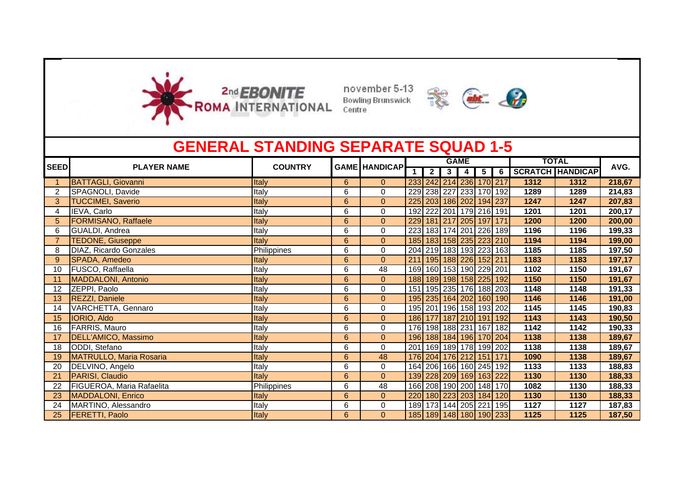



|                |                                | <b>GENERAL STANDING SEPARATE SQUAD 1-5</b> |   |                      |     |                |   |                         |                         |     |      |                         |        |
|----------------|--------------------------------|--------------------------------------------|---|----------------------|-----|----------------|---|-------------------------|-------------------------|-----|------|-------------------------|--------|
| <b>SEED</b>    | <b>PLAYER NAME</b>             | <b>COUNTRY</b>                             |   | <b>GAME HANDICAP</b> |     |                |   | <b>GAME</b>             |                         |     |      | <b>TOTAL</b>            | AVG.   |
|                |                                |                                            |   |                      |     | $\overline{2}$ | 3 | $\overline{\mathbf{4}}$ | $\overline{5}$          | 6   |      | <b>SCRATCH HANDICAP</b> |        |
|                | <b>BATTAGLI, Giovanni</b>      | <b>Italy</b>                               | 6 | $\overline{0}$       |     |                |   |                         | 233 242 214 236 170 217 |     | 1312 | 1312                    | 218,67 |
| $\overline{2}$ | SPAGNOLI, Davide               | Italy                                      | 6 | $\mathbf 0$          |     |                |   |                         | 229 238 227 233 170 192 |     | 1289 | 1289                    | 214,83 |
| 3              | <b>TUCCIMEI, Saverio</b>       | Italy                                      | 6 | $\overline{0}$       | 225 |                |   |                         | 203 186 202 194 237     |     | 1247 | 1247                    | 207,83 |
| 4              | IEVA, Carlo                    | Italy                                      | 6 | $\Omega$             |     |                |   |                         | 192 222 201 179 216 191 |     | 1201 | 1201                    | 200,17 |
|                | <b>FORMISANO, Raffaele</b>     | Italy                                      | 6 | $\mathbf{0}$         | 229 |                |   | 181 217 205             | 197                     | 171 | 1200 | 1200                    | 200,00 |
| 6              | GUALDI, Andrea                 | Italy                                      | 6 | 0                    | 223 |                |   |                         | 183 174 201 226 189     |     | 1196 | 1196                    | 199,33 |
|                | <b>TEDONE, Giuseppe</b>        | Italy                                      | 6 | $\mathbf{0}$         | 185 |                |   |                         | 183 158 235 223 210     |     | 1194 | 1194                    | 199,00 |
| 8              | DIAZ, Ricardo Gonzales         | Philippines                                | 6 | $\mathbf 0$          |     |                |   |                         | 204 219 183 193 223 163 |     | 1185 | 1185                    | 197,50 |
| 9 <sup>°</sup> | SPADA, Amedeo                  | Italy                                      | 6 | $\overline{0}$       | 211 |                |   |                         | 195 188 226 152 211     |     | 1183 | 1183                    | 197,17 |
| 10             | FUSCO, Raffaella               | Italy                                      | 6 | 48                   | 169 |                |   |                         | 160 153 190 229 201     |     | 1102 | 1150                    | 191,67 |
| 11             | <b>MADDALONI, Antonio</b>      | Italy                                      | 6 | $\Omega$             | 188 |                |   |                         | 189 198 158 225 192     |     | 1150 | 1150                    | 191,67 |
| 12             | ZEPPI, Paolo                   | Italy                                      | 6 | 0                    | 151 |                |   |                         | 195 235 176 188 203     |     | 1148 | 1148                    | 191,33 |
| 13             | REZZI, Daniele                 | Italy                                      | 6 | $\overline{0}$       | 195 |                |   |                         | 235 164 202 160 190     |     | 1146 | 1146                    | 191,00 |
| 14             | VARCHETTA, Gennaro             | Italy                                      | 6 | 0                    |     |                |   |                         | 195 201 196 158 193 202 |     | 1145 | 1145                    | 190,83 |
| 15             | IORIO, Aldo                    | Italy                                      | 6 | $\overline{0}$       | 186 |                |   |                         | 177 187 210 191 192     |     | 1143 | 1143                    | 190,50 |
| 16             | FARRIS, Mauro                  | Italy                                      | 6 | $\Omega$             |     |                |   |                         | 176 198 188 231 167 182 |     | 1142 | 1142                    | 190,33 |
| 17             | DELL'AMICO, Massimo            | Italy                                      | 6 | $\overline{0}$       | 196 |                |   |                         | 188 184 196 170 204     |     | 1138 | 1138                    | 189,67 |
| 18             | ODDI, Stefano                  | Italy                                      | 6 | $\Omega$             | 201 |                |   |                         | 169 189 178 199 202     |     | 1138 | 1138                    | 189,67 |
| 19             | <b>MATRULLO, Maria Rosaria</b> | Italy                                      | 6 | 48                   | 176 |                |   |                         | 204 176 212 151         | 171 | 1090 | 1138                    | 189,67 |
| 20             | DELVINO, Angelo                | Italy                                      | 6 | $\Omega$             | 164 |                |   |                         | 206 166 160 245 192     |     | 1133 | 1133                    | 188,83 |
| 21             | PARISI, Claudio                | Italy                                      | 6 | $\mathbf{0}$         |     |                |   |                         | 139 228 209 169 163 222 |     | 1130 | 1130                    | 188,33 |
| 22             | FIGUEROA, Maria Rafaelita      | Philippines                                | 6 | 48                   |     |                |   |                         | 166 208 190 200 148 170 |     | 1082 | 1130                    | 188,33 |
| 23             | <b>MADDALONI, Enrico</b>       | Italy                                      | 6 | $\overline{0}$       | 220 |                |   |                         | 180 223 203 184         | 120 | 1130 | 1130                    | 188,33 |
| 24             | MARTINO, Alessandro            | Italy                                      | 6 | 0                    |     |                |   |                         | 189 173 144 205 221     | 195 | 1127 | 1127                    | 187,83 |
| 25             | <b>FERETTI, Paolo</b>          | Italy                                      | 6 | $\Omega$             |     |                |   |                         | 185 189 148 180 190 233 |     | 1125 | 1125                    | 187,50 |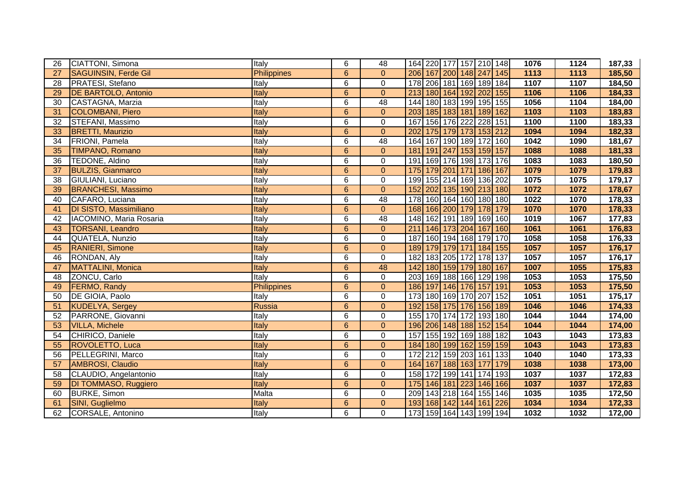| 26 | CIATTONI, Simona            | Italy              | 6              | 48             | 164 220 177 157 210 148    |                     |  |     | 1076 | 1124 | 187,33 |
|----|-----------------------------|--------------------|----------------|----------------|----------------------------|---------------------|--|-----|------|------|--------|
| 27 | <b>SAGUINSIN, Ferde Gil</b> | <b>Philippines</b> | 6              | $\overline{0}$ | 206 167 200 148 247 145    |                     |  |     | 1113 | 1113 | 185,50 |
| 28 | PRATESI, Stefano            | Italy              | 6              | $\pmb{0}$      | 178 206 181 169 189 184    |                     |  |     | 1107 | 1107 | 184,50 |
| 29 | <b>DE BARTOLO, Antonio</b>  | Italy              | 6              | $\overline{0}$ | 213 180 164 192 202 155    |                     |  |     | 1106 | 1106 | 184,33 |
| 30 | CASTAGNA, Marzia            | Italy              | 6              | 48             | 144 180 183 199 195 155    |                     |  |     | 1056 | 1104 | 184,00 |
| 31 | <b>COLOMBANI, Piero</b>     | Italy              | 6              | $\mathbf{0}$   | 203 185 183 181 189 162    |                     |  |     | 1103 | 1103 | 183,83 |
| 32 | STEFANI, Massimo            | Italy              | 6              | $\pmb{0}$      | 167                        | 156 176 222 228 151 |  |     | 1100 | 1100 | 183,33 |
| 33 | <b>BRETTI, Maurizio</b>     | Italy              | $6\phantom{a}$ | $\mathbf{0}$   | 202                        | 175 179 173 153 212 |  |     | 1094 | 1094 | 182,33 |
| 34 | FRIONI, Pamela              | Italy              | 6              | 48             | 164 167 190 189 172 160    |                     |  |     | 1042 | 1090 | 181,67 |
| 35 | <b>TIMPANO, Romano</b>      | Italy              | $6\phantom{a}$ | $\mathbf{0}$   | 181                        | 191 247 153 159 157 |  |     | 1088 | 1088 | 181,33 |
| 36 | TEDONE, Aldino              | Italy              | 6              | $\mathbf 0$    | 191                        | 169 176 198 173 176 |  |     | 1083 | 1083 | 180,50 |
| 37 | <b>BULZIS, Gianmarco</b>    | Italy              | $\overline{6}$ | $\mathbf 0$    | 175 179 201 171 186 167    |                     |  |     | 1079 | 1079 | 179,83 |
| 38 | GIULIANI, Luciano           | Italy              | 6              | $\mathbf 0$    | 199 155 214 169 136 202    |                     |  |     | 1075 | 1075 | 179,17 |
| 39 | <b>BRANCHESI, Massimo</b>   | Italy              | $\overline{6}$ | $\mathbf 0$    | 152 202 135 190 213 180    |                     |  |     | 1072 | 1072 | 178,67 |
| 40 | CAFARO, Luciana             | Italy              | 6              | 48             | 178 160 164 160 180 180    |                     |  |     | 1022 | 1070 | 178,33 |
| 41 | DI SISTO, Massimiliano      | Italy              | $6\phantom{a}$ | $\mathbf 0$    | 168 166 200 179 178 179    |                     |  |     | 1070 | 1070 | 178,33 |
| 42 | IACOMINO, Maria Rosaria     | Italy              | 6              | 48             | 148 162 191 189 169 160    |                     |  |     | 1019 | 1067 | 177,83 |
| 43 | <b>TORSANI, Leandro</b>     | Italy              | $6\phantom{a}$ | $\mathbf{0}$   | $\overline{211}$           | 146 173 204 167     |  | 160 | 1061 | 1061 | 176,83 |
| 44 | QUATELA, Nunzio             | Italy              | 6              | $\mathbf 0$    | 187                        | 160 194 168 179 170 |  |     | 1058 | 1058 | 176,33 |
| 45 | <b>RANIERI, Simone</b>      | Italy              | 6              | $\mathbf{0}$   | 189 179 179 171 184 155    |                     |  |     | 1057 | 1057 | 176,17 |
| 46 | RONDAN, Aly                 | Italy              | 6              | $\mathbf 0$    | 182                        | 183 205 172 178 137 |  |     | 1057 | 1057 | 176,17 |
| 47 | <b>MATTALINI, Monica</b>    | Italy              | $6\phantom{a}$ | 48             | 142                        | 180 159 179 180 167 |  |     | 1007 | 1055 | 175,83 |
| 48 | ZONCU, Carlo                | Italy              | 6              | $\pmb{0}$      | 203 169 188 166 129 198    |                     |  |     | 1053 | 1053 | 175,50 |
| 49 | <b>FERMO, Randy</b>         | <b>Philippines</b> | $6\phantom{a}$ | $\overline{0}$ | 186 197 146 176 157 191    |                     |  |     | 1053 | 1053 | 175,50 |
| 50 | <b>DE GIOIA, Paolo</b>      | Italy              | 6              | 0              | 173 180 169 170 207 152    |                     |  |     | 1051 | 1051 | 175,17 |
| 51 | <b>KUDELYA, Sergey</b>      | Russia             | $6\phantom{a}$ | $\mathbf{0}$   | 192                        | 158 175 176 156 189 |  |     | 1046 | 1046 | 174,33 |
| 52 | PARRONE, Giovanni           | Italy              | 6              | 0              | 155 170 174 172 193 180    |                     |  |     | 1044 | 1044 | 174,00 |
| 53 | <b>VILLA, Michele</b>       | Italy              | $6\phantom{a}$ | $\mathbf{0}$   | 196 206 148 188 152 154    |                     |  |     | 1044 | 1044 | 174,00 |
| 54 | CHIRICO, Daniele            | Italy              | 6              | 0              | 157<br>155 192 169 188 182 |                     |  |     | 1043 | 1043 | 173,83 |
| 55 | ROVOLETTO, Luca             | Italy              | $\overline{6}$ | $\mathbf{0}$   | 184 180 199 162 159 159    |                     |  |     | 1043 | 1043 | 173,83 |
| 56 | PELLEGRINI, Marco           | Italy              | 6              | $\overline{0}$ | 172 212 159 203 161 133    |                     |  |     | 1040 | 1040 | 173,33 |
| 57 | AMBROSI, Claudio            | Italy              | 6              | $\mathbf{0}$   | 164 167 188 163 177 179    |                     |  |     | 1038 | 1038 | 173,00 |
| 58 | CLAUDIO, Angelantonio       | Italy              | 6              | $\mathbf 0$    | 158 172 199 141 174 193    |                     |  |     | 1037 | 1037 | 172,83 |
| 59 | DI TOMMASO, Ruggiero        | Italy              | 6              | $\mathbf{0}$   | 175 146 181 223 146 166    |                     |  |     | 1037 | 1037 | 172,83 |
| 60 | <b>BURKE, Simon</b>         | Malta              | 6              | $\pmb{0}$      | 209 143 218 164 155 146    |                     |  |     | 1035 | 1035 | 172,50 |
| 61 | SINI, Guglielmo             | Italy              | 6              | $\mathbf{0}$   | 193 168 142 144 161 226    |                     |  |     | 1034 | 1034 | 172,33 |
| 62 | <b>CORSALE, Antonino</b>    | Italy              | 6              | $\mathbf 0$    | 173 159 164 143 199 194    |                     |  |     | 1032 | 1032 | 172,00 |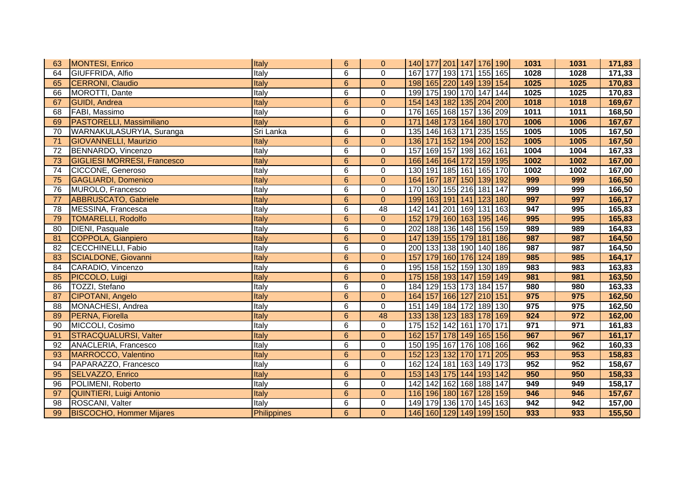| 63 | MONTESI, Enrico                    | Italy       | $6\phantom{1}$  | $\mathbf{0}$   | 140 177 201 147 176 190    |                     |  |     | 1031 | 1031 | 171,83 |
|----|------------------------------------|-------------|-----------------|----------------|----------------------------|---------------------|--|-----|------|------|--------|
| 64 | GIUFFRIDA, Alfio                   | Italy       | 6               | $\Omega$       | 167 177 193 171 155 165    |                     |  |     | 1028 | 1028 | 171,33 |
| 65 | CERRONI, Claudio                   | Italy       | $6\phantom{a}$  | $\mathbf{0}$   | 198 165 220 149 139 154    |                     |  |     | 1025 | 1025 | 170,83 |
| 66 | MOROTTI, Dante                     | Italy       | 6               | 0              | 199 175 190 170 147 144    |                     |  |     | 1025 | 1025 | 170,83 |
| 67 | <b>GUIDI</b> , Andrea              | Italy       | 6               | $\mathbf{0}$   | 154 143 182 135 204 200    |                     |  |     | 1018 | 1018 | 169,67 |
| 68 | FABI, Massimo                      | Italy       | 6               | $\pmb{0}$      | 176 165 168 157 136 209    |                     |  |     | 1011 | 1011 | 168,50 |
| 69 | <b>PASTORELLI, Massimiliano</b>    | Italy       | 6               | $\mathbf{0}$   | 171 148 173 164 180 170    |                     |  |     | 1006 | 1006 | 167,67 |
| 70 | WARNAKULASURYIA, Suranga           | Sri Lanka   | 6               | $\mathbf 0$    | 135 146 163 171 235 155    |                     |  |     | 1005 | 1005 | 167,50 |
| 71 | <b>GIOVANNELLI, Maurizio</b>       | Italy       | $6\phantom{a}$  | $\mathbf 0$    | 136 171 152 194 200 152    |                     |  |     | 1005 | 1005 | 167,50 |
| 72 | BENNARDO, Vincenzo                 | Italy       | 6               | $\pmb{0}$      | 169 157 198 162 161<br>157 |                     |  |     | 1004 | 1004 | 167,33 |
| 73 | <b>GIGLIESI MORRESI, Francesco</b> | Italy       | $6\phantom{a}$  | $\mathbf 0$    | 166 146 164 172 159 195    |                     |  |     | 1002 | 1002 | 167,00 |
| 74 | CICCONE, Generoso                  | Italy       | 6               | $\mathbf 0$    | 130 191 185 161 165 170    |                     |  |     | 1002 | 1002 | 167,00 |
| 75 | <b>GAGLIARDI, Domenico</b>         | Italy       | 6               | $\mathbf{0}$   | 164 167 187 150 139 192    |                     |  |     | 999  | 999  | 166,50 |
| 76 | MUROLO, Francesco                  | Italy       | 6               | $\pmb{0}$      | 170 130 155 216 181 147    |                     |  |     | 999  | 999  | 166,50 |
| 77 | <b>ABBRUSCATO, Gabriele</b>        | Italy       | $\overline{6}$  | $\overline{0}$ | 199 163 191 141 123 180    |                     |  |     | 997  | 997  | 166,17 |
| 78 | MESSINA, Francesca                 | Italy       | 6               | 48             | 142 141 201 169 131 163    |                     |  |     | 947  | 995  | 165,83 |
| 79 | <b>TOMARELLI, Rodolfo</b>          | Italy       | $6\phantom{1}$  | $\pmb{0}$      | 152                        | 179 160 163 195 146 |  |     | 995  | 995  | 165,83 |
| 80 | <b>DIENI, Pasquale</b>             | Italy       | 6               | $\mathbf 0$    | 202 188 136 148 156 159    |                     |  |     | 989  | 989  | 164,83 |
| 81 | COPPOLA, Gianpiero                 | Italy       | 6               | $\mathbf{0}$   | 147                        | 139 155 179 181     |  | 186 | 987  | 987  | 164,50 |
| 82 | <b>CECCHINELLI, Fabio</b>          | Italy       | 6               | $\mathbf 0$    | 200 133 138 190 140        |                     |  | 186 | 987  | 987  | 164,50 |
| 83 | <b>SCIALDONE, Giovanni</b>         | Italy       | $6\phantom{1}$  | $\mathbf{0}$   | 157                        | 179 160 176 124 189 |  |     | 985  | 985  | 164,17 |
| 84 | CARADIO, Vincenzo                  | Italy       | 6               | $\mathbf 0$    | 195 158 152 159 130 189    |                     |  |     | 983  | 983  | 163,83 |
| 85 | PICCOLO, Luigi                     | Italy       | $6\phantom{1}$  | $\mathbf{0}$   | 175 158 193 147 159 149    |                     |  |     | 981  | 981  | 163,50 |
| 86 | TOZZI, Stefano                     | Italy       | 6               | $\mathbf 0$    | 184 129 153 173 184 157    |                     |  |     | 980  | 980  | 163,33 |
| 87 | CIPOTANI, Angelo                   | Italy       | 6               | $\mathbf{0}$   | 164 157 166 127 210 151    |                     |  |     | 975  | 975  | 162,50 |
| 88 | MONACHESI, Andrea                  | Italy       | 6               | $\mathbf 0$    | 151                        | 149 184 172 189 130 |  |     | 975  | 975  | 162,50 |
| 89 | PERNA, Fiorella                    | Italy       | 6               | 48             | 133                        | 138 123 183 178 169 |  |     | 924  | 972  | 162,00 |
| 90 | MICCOLI, Cosimo                    | Italy       | 6               | $\Omega$       | 175 152 142 161 170 171    |                     |  |     | 971  | 971  | 161,83 |
| 91 | <b>STRACQUALURSI, Valter</b>       | Italy       | $6\phantom{1}$  | $\mathbf{0}$   | 162 157 178 149 165 156    |                     |  |     | 967  | 967  | 161,17 |
| 92 | ANACLERIA, Francesco               | Italy       | 6               | $\mathbf 0$    | 150 195 167 176 108 166    |                     |  |     | 962  | 962  | 160,33 |
| 93 | MARROCCO, Valentino                | Italy       | $6\phantom{a}$  | $\mathbf 0$    | 152 123 132 170 171 205    |                     |  |     | 953  | 953  | 158,83 |
| 94 | PAPARAZZO, Francesco               | Italy       | $\overline{6}$  | $\overline{0}$ | 162 124 181 163 149 173    |                     |  |     | 952  | 952  | 158,67 |
| 95 | SELVAZZO, Enrico                   | Italy       | 6               | $\mathbf{0}$   | 153 143 175 144 193 142    |                     |  |     | 950  | 950  | 158,33 |
| 96 | POLIMENI, Roberto                  | Italy       | 6               | $\pmb{0}$      | 142 142 162 168 188 147    |                     |  |     | 949  | 949  | 158,17 |
| 97 | <b>QUINTIERI, Luigi Antonio</b>    | Italy       | $6\overline{6}$ | $\mathbf{0}$   | 116 196 180 167 128 159    |                     |  |     | 946  | 946  | 157,67 |
| 98 | ROSCANI, Valter                    | Italy       | 6               | 0              | 149 179 136 170 145 163    |                     |  |     | 942  | 942  | 157,00 |
| 99 | <b>BISCOCHO, Hommer Mijares</b>    | Philippines | $6\phantom{1}$  | $\mathbf{0}$   | 146 160 129 149 199 150    |                     |  |     | 933  | 933  | 155,50 |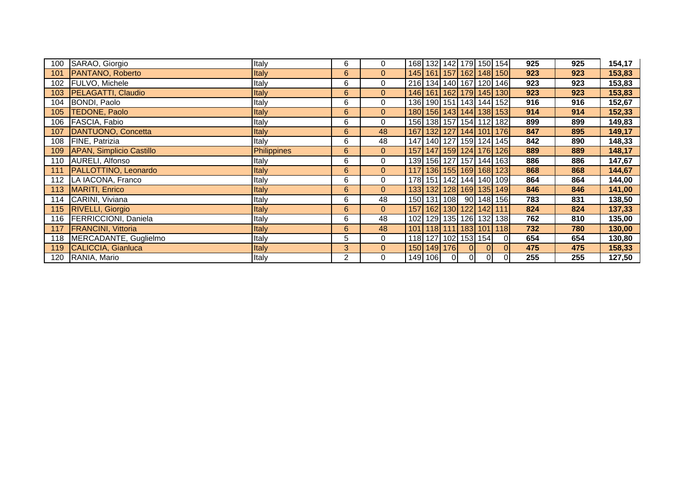| 100 | SARAO, Giorgio                  | Italy              | 6              | 0              |                         |             |                |          |                         | 168 132 142 179 150 154           | 925 | 925 | 154,17 |
|-----|---------------------------------|--------------------|----------------|----------------|-------------------------|-------------|----------------|----------|-------------------------|-----------------------------------|-----|-----|--------|
| 101 | <b>PANTANO, Roberto</b>         | Italy              | 6              | $\overline{0}$ |                         |             |                |          |                         | 145 161 157 162 148 150           | 923 | 923 | 153,83 |
| 102 | <b>FULVO, Michele</b>           | Italy              | 6              | $\mathbf 0$    | 216 134 140 167 120 146 |             |                |          |                         |                                   | 923 | 923 | 153,83 |
|     | 103 PELAGATTI, Claudio          | Italy              | 6              | $\overline{0}$ |                         |             |                |          |                         | 146 161 162 179 145 130           | 923 | 923 | 153,83 |
|     | 104 BONDI, Paolo                | Italy              | 6              | 0              |                         |             |                |          |                         | 136 190 151 143 144 152           | 916 | 916 | 152,67 |
| 105 | <b>TEDONE, Paolo</b>            | Italy              | 6              | $\overline{0}$ |                         |             |                |          |                         | 180 156 143 144 138 153           | 914 | 914 | 152,33 |
| 106 | FASCIA, Fabio                   | Italy              | 6              | 0              |                         |             |                |          |                         | 156 138 157 154 112 182           | 899 | 899 | 149,83 |
| 107 | DANTUONO, Concetta              | Italy              | 6              | 48             |                         |             |                |          |                         | 167   132   127   144   101   176 | 847 | 895 | 149,17 |
|     | 108 FINE, Patrizia              | Italy              | 6              | 48             |                         |             |                |          |                         | 147 140 127 159 124 145           | 842 | 890 | 148,33 |
| 109 | <b>APAN, Simplicio Castillo</b> | <b>Philippines</b> | 6              | $\overline{0}$ |                         |             |                |          |                         | 157 147 159 124 176 126           | 889 | 889 | 148,17 |
|     | 110 AURELI, Alfonso             | Italy              | 6              | 0              |                         |             |                |          |                         | 139 156 127 157 144 163           | 886 | 886 | 147,67 |
| 111 | PALLOTTINO, Leonardo            | Italy              | 6              | $\overline{0}$ |                         |             |                |          |                         | 117 136 155 169 168 123           | 868 | 868 | 144,67 |
|     | 112 LA IACONA, Franco           | Italy              | 6              | $\mathbf 0$    |                         |             |                |          |                         | 178 151 142 144 140 109           | 864 | 864 | 144,00 |
|     | 113   MARITI, Enrico            | Italy              | 6              | $\overline{0}$ |                         |             |                |          |                         | 133 132 128 169 135 149           | 846 | 846 | 141,00 |
|     | 114 CARINI, Viviana             | Italy              | 6              | 48             |                         |             |                |          |                         | 150 131 108 90 148 156            | 783 | 831 | 138,50 |
|     | 115 RIVELLI, Giorgio            | Italy              | 6              | $\overline{0}$ |                         |             |                |          | 157 162 130 122 142 111 |                                   | 824 | 824 | 137,33 |
|     | 116   FERRICCIONI, Daniela      | Italy              | 6              | 48             |                         |             |                |          |                         | 102 129 135 126 132 138           | 762 | 810 | 135,00 |
|     | 117 FRANCINI, Vittoria          | Italy              | $6\phantom{a}$ | 48             | 101                     |             |                |          |                         | 118 111 183 101 118               | 732 | 780 | 130,00 |
|     | 118 MERCADANTE, Guglielmo       | Italy              | 5              | $\mathbf 0$    | 118 127 102 153 154     |             |                |          |                         | 01                                | 654 | 654 | 130,80 |
|     | 119 CALICCIA, Gianluca          | Italy              | 3 <sup>1</sup> | $\overline{0}$ |                         | 150 149 176 |                | $\Omega$ | ΩL                      | $\Omega$                          | 475 | 475 | 158,33 |
|     | 120 RANIA, Mario                | Italy              | $\overline{2}$ | 0              |                         | 149 106     | $\overline{0}$ | 0        | $\overline{0}$          | 01                                | 255 | 255 | 127,50 |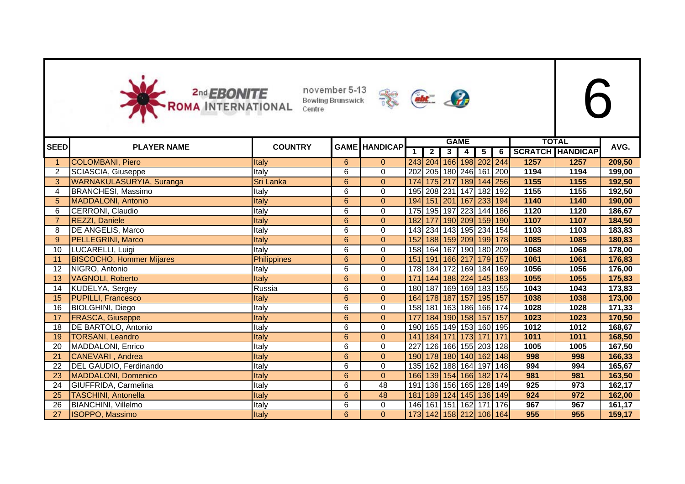



|             |                                 |                    |                |                      |             |                                   |                | <b>GAME</b>         |   |             |      | <b>TOTAL</b>            |        |
|-------------|---------------------------------|--------------------|----------------|----------------------|-------------|-----------------------------------|----------------|---------------------|---|-------------|------|-------------------------|--------|
| <b>SEED</b> | <b>PLAYER NAME</b>              | <b>COUNTRY</b>     |                | <b>GAME HANDICAP</b> | $\mathbf 1$ | $\overline{2}$                    | 3 <sup>1</sup> | 4                   | 5 | 6           |      | <b>SCRATCH HANDICAP</b> | AVG.   |
| -1          | <b>COLOMBANI, Piero</b>         | Italy              | 6              | $\Omega$             |             | 243 204 166 198 202 244           |                |                     |   |             | 1257 | 1257                    | 209,50 |
| 2           | SCIASCIA, Giuseppe              | Italy              | 6              | 0                    | 202         | 205 180 246 161 200               |                |                     |   |             | 1194 | 1194                    | 199,00 |
| 3           | WARNAKULASURYIA, Suranga        | Sri Lanka          | $6\phantom{a}$ | $\overline{0}$       | 174         |                                   |                | 175 217 189 144 256 |   |             | 1155 | 1155                    | 192,50 |
| 4           | <b>BRANCHESI, Massimo</b>       | Italy              | 6              | 0                    |             | 195 208 231 147 182 192           |                |                     |   |             | 1155 | 1155                    | 192,50 |
| 5           | <b>MADDALONI, Antonio</b>       | Italy              | 6              | $\mathbf{0}$         |             | 194 151 201 167 233 194           |                |                     |   |             | 1140 | 1140                    | 190,00 |
| 6           | CERRONI, Claudio                | Italy              | 6              | 0                    |             | 175 195 197 223 144 186           |                |                     |   |             | 1120 | 1120                    | 186,67 |
|             | REZZI, Daniele                  | Italy              | 6              | $\mathbf{0}$         | 182         | 177 190 209 159 190               |                |                     |   |             | 1107 | 1107                    | 184,50 |
| 8           | DE ANGELIS, Marco               | Italy              | 6              | 0                    |             | 143 234 143 195 234 154           |                |                     |   |             | 1103 | 1103                    | 183,83 |
| 9           | <b>PELLEGRINI, Marco</b>        | Italy              | $\overline{6}$ | $\overline{0}$       |             | 152 188 159 209 199 178           |                |                     |   |             | 1085 | 1085                    | 180,83 |
| 10          | LUCARELLI, Luigi                | Italy              | 6              | 0                    |             | 158 164 167 190 180 209           |                |                     |   |             | 1068 | 1068                    | 178,00 |
| 11          | <b>BISCOCHO, Hommer Mijares</b> | <b>Philippines</b> | 6              | $\mathbf{0}$         |             | 151 191 166 217 179 157           |                |                     |   |             | 1061 | 1061                    | 176,83 |
| 12          | NIGRO, Antonio                  | Italy              | 6              | 0                    |             | 178 184 172 169 184 169           |                |                     |   |             | 1056 | 1056                    | 176,00 |
| 13          | <b>VAGNOLI, Roberto</b>         | Italy              | 6              | $\mathbf{0}$         | 171         | 144 188 224 145 183               |                |                     |   |             | 1055 | 1055                    | 175,83 |
| 14          | KUDELYA, Sergey                 | Russia             | 6              | 0                    | 180         | 187 169 169 183 155               |                |                     |   |             | 1043 | 1043                    | 173,83 |
| 15          | <b>PUPILLI, Francesco</b>       | Italy              | 6              | $\overline{0}$       |             | 164 178 187 157 195 157           |                |                     |   |             | 1038 | 1038                    | 173,00 |
| 16          | <b>BIOLGHINI, Diego</b>         | Italy              | 6              | 0                    |             | 158 181 163 186 166 174           |                |                     |   |             | 1028 | 1028                    | 171,33 |
| 17          | <b>FRASCA, Giuseppe</b>         | Italy              | 6              | $\mathbf{0}$         | 177         | 184 190 158 157 157               |                |                     |   |             | 1023 | 1023                    | 170,50 |
| 18          | DE BARTOLO, Antonio             | Italy              | 6              | $\mathbf 0$          |             | 190 165 149 153 160 195           |                |                     |   |             | 1012 | 1012                    | 168,67 |
| 19          | <b>TORSANI, Leandro</b>         | Italy              | 6              | $\mathbf{0}$         |             | 141   184   171   173   171   171 |                |                     |   |             | 1011 | 1011                    | 168,50 |
| 20          | MADDALONI, Enrico               | Italy              | 6              | 0                    | 227         |                                   |                | 126 166 155 203 128 |   |             | 1005 | 1005                    | 167,50 |
| 21          | <b>CANEVARI</b> , Andrea        | Italy              | 6              | $\mathbf{0}$         |             | 190 178 180 140 162 148           |                |                     |   |             | 998  | 998                     | 166,33 |
| 22          | DEL GAUDIO, Ferdinando          | Italy              | 6              | $\mathbf 0$          |             | 135 162 188 164 197 148           |                |                     |   |             | 994  | 994                     | 165,67 |
| 23          | <b>MADDALONI, Domenico</b>      | Italy              | 6              | $\Omega$             |             | 166 139 154 166 182 174           |                |                     |   |             | 981  | 981                     | 163,50 |
| 24          | GIUFFRIDA, Carmelina            | Italy              | 6              | 48                   | 191         |                                   |                | 136 156 165 128 149 |   |             | 925  | 973                     | 162,17 |
| 25          | <b>TASCHINI, Antonella</b>      | Italy              | 6              | 48                   | 181         |                                   | 189 124        |                     |   | 145 136 149 | 924  | 972                     | 162,00 |
| 26          | BIANCHINI, Villelmo             | Italy              | 6              | 0                    | 146         | 161 151 162 171 176               |                |                     |   |             | 967  | 967                     | 161,17 |
| 27          | <b>ISOPPO, Massimo</b>          | Italy              | 6              | $\mathbf{0}$         |             | 173 142 158 212 106 164           |                |                     |   |             | 955  | 955                     | 159,17 |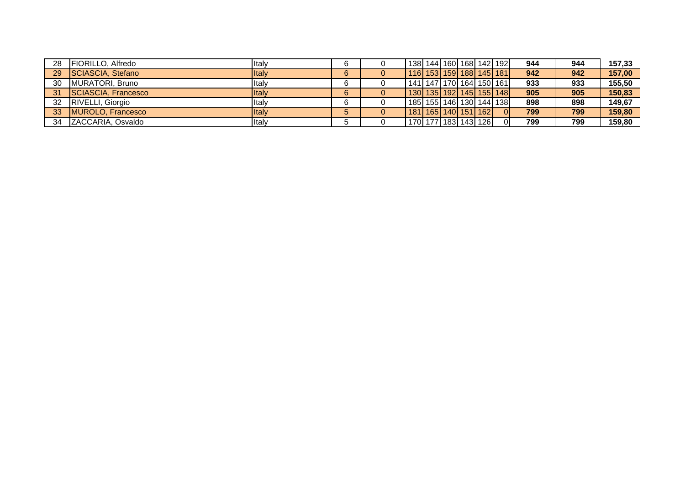| 28 | <b>IFIORILLO, Alfredo</b> | <b>Italv</b> | 6  | 138  144  160  168  142  192      |  |  |          | 944 | 944 | 157.33 |
|----|---------------------------|--------------|----|-----------------------------------|--|--|----------|-----|-----|--------|
| 29 | SCIASCIA, Stefano         | Italy        | 6  | 116 153 159 188 145 181           |  |  |          | 942 | 942 | 157,00 |
| 30 | MURATORI, Bruno           | <b>Italy</b> |    | 141   147   170   164   150   161 |  |  |          | 933 | 933 | 155.50 |
| 31 | SCIASCIA, Francesco       | Italy        | 6. | 130   135   192   145   155   148 |  |  |          | 905 | 905 | 150,83 |
|    | 32 RIVELLI, Giorgio       | Iltalv       | 6  | 185   155   146   130   144   138 |  |  |          | 898 | 898 | 149,67 |
|    | 33 MUROLO, Francesco      | Italy        |    | 181 165 140 151 162               |  |  | $\Omega$ | 799 | 799 | 159,80 |
|    | 34 ZACCARIA, Osvaldo      | <b>Italy</b> |    | 170   177   183   143   126       |  |  |          | 799 | 799 | 159,80 |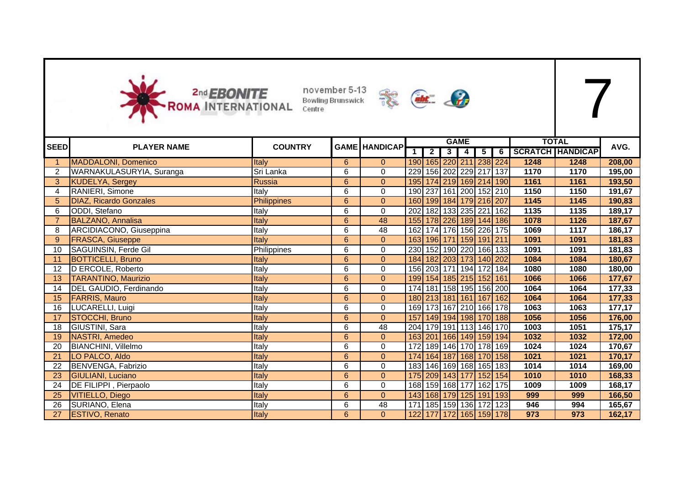



|             |                               |                    |                |                      |     |                |                         | <b>GAME</b> |                         |                         |      | <b>TOTAL</b>            |        |
|-------------|-------------------------------|--------------------|----------------|----------------------|-----|----------------|-------------------------|-------------|-------------------------|-------------------------|------|-------------------------|--------|
| <b>SEED</b> | <b>PLAYER NAME</b>            | <b>COUNTRY</b>     |                | <b>GAME HANDICAP</b> | 1   | $\overline{2}$ | 3 <sup>1</sup>          | 4           | $\overline{\mathbf{5}}$ | $\overline{6}$          |      | <b>SCRATCH HANDICAP</b> | AVG.   |
|             | <b>MADDALONI, Domenico</b>    | <b>Italy</b>       | 6              | $\overline{0}$       |     |                |                         |             |                         | 190 165 220 211 238 224 | 1248 | 1248                    | 208,00 |
|             | WARNAKULASURYIA, Suranga      | Sri Lanka          | 6              | $\mathsf 0$          |     |                |                         |             |                         | 229 156 202 229 217 137 | 1170 | 1170                    | 195,00 |
| 3           | <b>KUDELYA, Sergey</b>        | Russia             | $6\phantom{a}$ | $\mathbf{0}$         |     |                |                         |             |                         | 195 174 219 169 214 190 | 1161 | 1161                    | 193,50 |
| 4           | RANIERI, Simone               | Italy              | 6              | $\mathbf 0$          |     |                |                         |             |                         | 190 237 161 200 152 210 | 1150 | 1150                    | 191,67 |
| 5           | <b>DIAZ, Ricardo Gonzales</b> | <b>Philippines</b> | 6              | $\mathbf{0}$         |     |                | 160 199 184 179 216 207 |             |                         |                         | 1145 | 1145                    | 190,83 |
| 6           | ODDI, Stefano                 | Italy              | 6              | 0                    |     |                | 202 182 133 235 221 162 |             |                         |                         | 1135 | 1135                    | 189,17 |
|             | <b>BALZANO, Annalisa</b>      | Italy              | $6\phantom{1}$ | 48                   |     |                |                         |             |                         | 155 178 226 189 144 186 | 1078 | 1126                    | 187,67 |
| 8           | ARCIDIACONO, Giuseppina       | Italy              | 6              | 48                   |     |                |                         |             |                         | 162 174 176 156 226 175 | 1069 | 1117                    | 186,17 |
| 9           | <b>FRASCA, Giuseppe</b>       | Italy              | 6              | $\mathbf{0}$         |     |                |                         |             |                         | 163 196 171 159 191 211 | 1091 | 1091                    | 181,83 |
| 10          | SAGUINSIN, Ferde Gil          | Philippines        | 6              | $\mathbf 0$          |     |                |                         |             |                         | 230 152 190 220 166 133 | 1091 | 1091                    | 181,83 |
| 11          | <b>BOTTICELLI, Bruno</b>      | <b>Italy</b>       | 6              | $\mathbf{0}$         |     |                |                         |             |                         | 184 182 203 173 140 202 | 1084 | 1084                    | 180,67 |
| 12          | D ERCOLE, Roberto             | Italy              | 6              | 0                    |     |                |                         |             |                         | 156 203 171 194 172 184 | 1080 | 1080                    | 180,00 |
| 13          | <b>TARANTINO, Maurizio</b>    | Italy              | $6\phantom{a}$ | $\mathbf{0}$         |     |                | 199 154 185 215 152 161 |             |                         |                         | 1066 | 1066                    | 177,67 |
| 14          | DEL GAUDIO, Ferdinando        | Italy              | 6              | 0                    |     |                |                         |             |                         | 174 181 158 195 156 200 | 1064 | 1064                    | 177,33 |
| 15          | <b>FARRIS, Mauro</b>          | Italy              | 6              | $\mathbf{0}$         |     |                |                         |             |                         | 180 213 181 161 167 162 | 1064 | 1064                    | 177,33 |
| 16          | LUCARELLI, Luigi              | Italy              | 6              | 0                    |     |                |                         |             |                         | 169 173 167 210 166 178 | 1063 | 1063                    | 177,17 |
| 17          | STOCCHI, Bruno                | Italy              | 6              | $\mathbf{0}$         |     |                |                         |             |                         | 157 149 194 198 170 188 | 1056 | 1056                    | 176,00 |
| 18          | GIUSTINI, Sara                | Italy              | 6              | 48                   | 204 |                |                         |             |                         | 179 191 113 146 170     | 1003 | 1051                    | 175,17 |
| 19          | NASTRI, Amedeo                | Italy              | 6              | $\mathbf{0}$         |     |                |                         |             |                         | 163 201 166 149 159 194 | 1032 | 1032                    | 172,00 |
| 20          | <b>BIANCHINI, Villelmo</b>    | Italy              | 6              | $\mathbf 0$          |     |                |                         |             |                         | 172 189 146 170 178 169 | 1024 | 1024                    | 170,67 |
| 21          | LO PALCO, Aldo                | Italy              | 6              | $\mathbf{0}$         |     |                |                         |             |                         | 174 164 187 168 170 158 | 1021 | 1021                    | 170,17 |
| 22          | BENVENGA, Fabrizio            | Italy              | 6              | 0                    |     |                |                         |             |                         | 183 146 169 168 165 183 | 1014 | 1014                    | 169,00 |
| 23          | <b>GIULIANI, Luciano</b>      | Italy              | 6              | $\pmb{0}$            |     |                |                         |             |                         | 175 209 143 177 152 154 | 1010 | 1010                    | 168,33 |
| 24          | DE FILIPPI, Pierpaolo         | Italy              | 6              | 0                    |     |                |                         |             |                         | 168 159 168 177 162 175 | 1009 | 1009                    | 168,17 |
| 25          | <b>VITIELLO, Diego</b>        | Italy              | 6              | $\mathbf{0}$         |     |                |                         |             |                         | 143 168 179 125 191 193 | 999  | 999                     | 166,50 |
| 26          | SURIANO, Elena                | Italy              | $\overline{6}$ | 48                   |     |                |                         |             |                         | 171 185 159 136 172 123 | 946  | 994                     | 165,67 |
| 27          | <b>ESTIVO, Renato</b>         | Italy              | 6              | $\mathbf{0}$         |     |                |                         |             |                         | 122 177 172 165 159 178 | 973  | 973                     | 162,17 |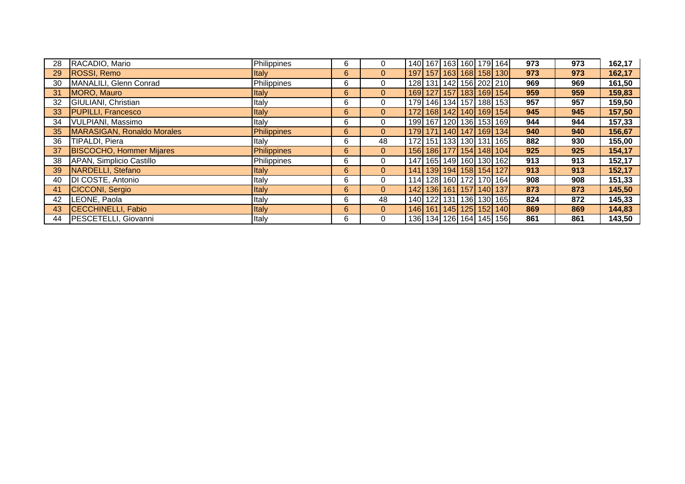| 28 | RACADIO, Mario                  | Philippines  | 6 | $\mathbf{0}$   |  |  | 140 167 163 160 179 164           | 973 | 973 | 162,17 |
|----|---------------------------------|--------------|---|----------------|--|--|-----------------------------------|-----|-----|--------|
| 29 | ROSSI, Remo                     | <b>Italy</b> | 6 | $\overline{0}$ |  |  | 197 157 163 168 158 130           | 973 | 973 | 162,17 |
| 30 | MANALILI, Glenn Conrad          | Philippines  | 6 | $\mathbf{0}$   |  |  | 128 131 142 156 202 210           | 969 | 969 | 161,50 |
| 31 | MORO, Mauro                     | <b>Italy</b> | 6 | $\overline{0}$ |  |  | 169 127 157 183 169 154           | 959 | 959 | 159,83 |
| 32 | GIULIANI, Christian             | Italy        | 6 | $\mathbf{0}$   |  |  | 179 146 134 157 188 153           | 957 | 957 | 159,50 |
| 33 | <b>PUPILLI, Francesco</b>       | <b>Italy</b> | 6 | $\overline{0}$ |  |  | 172 168 142 140 169 154           | 945 | 945 | 157,50 |
| 34 | VULPIANI, Massimo               | Italy        | 6 | $\mathbf 0$    |  |  | 199 167 120 136 153 169           | 944 | 944 | 157,33 |
| 35 | MARASIGAN, Ronaldo Morales      | Philippines  | 6 | $\overline{0}$ |  |  | 179 171 140 147 169 134           | 940 | 940 | 156,67 |
| 36 | TIPALDI, Piera                  | Italy        | 6 | 48             |  |  | 172 151 133 130 131 165           | 882 | 930 | 155,00 |
| 37 | <b>BISCOCHO, Hommer Mijares</b> | Philippines  | 6 | $\overline{0}$ |  |  | 156 186 177 154 148 104           | 925 | 925 | 154,17 |
| 38 | APAN, Simplicio Castillo        | Philippines  | 6 | $\mathbf{0}$   |  |  | 147 165 149 160 130 162           | 913 | 913 | 152,17 |
| 39 | NARDELLI, Stefano               | <b>Italy</b> | 6 | $\overline{0}$ |  |  | 141   139   194   158   154   127 | 913 | 913 | 152,17 |
| 40 | DI COSTE, Antonio               | Italy        | 6 | $\mathbf 0$    |  |  | 114 128 160 172 170 164           | 908 | 908 | 151,33 |
| 41 | CICCONI, Sergio                 | Italy        | 6 | $\overline{0}$ |  |  | 142 136 161 157 140 137           | 873 | 873 | 145,50 |
| 42 | LEONE, Paola                    | Italy        | 6 | 48             |  |  | 140 122 131 136 130 165           | 824 | 872 | 145,33 |
| 43 | <b>CECCHINELLI, Fabio</b>       | <b>Italy</b> | 6 | $\mathbf{0}$   |  |  | 146 161 145 125 152 140           | 869 | 869 | 144,83 |
| 44 | PESCETELLI, Giovanni            | Italy        | 6 | $\Omega$       |  |  | 136 134 126 164 145 156           | 861 | 861 | 143,50 |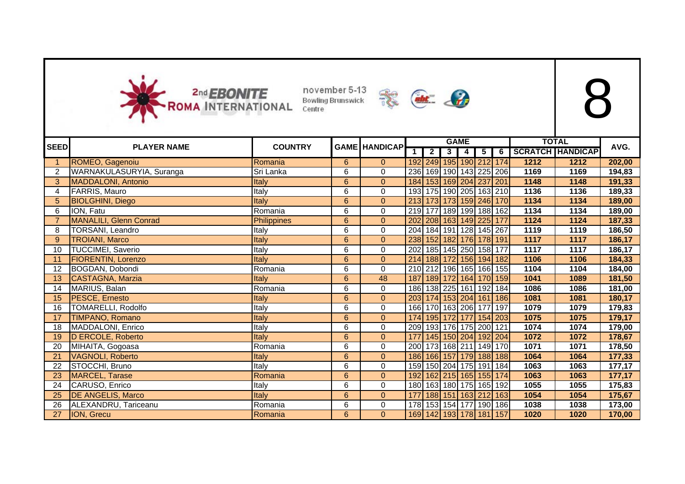



|             |                               |                    |                |                      |              |                | <b>GAME</b>             |                |   |             |        | <b>TOTAL</b>            |        |
|-------------|-------------------------------|--------------------|----------------|----------------------|--------------|----------------|-------------------------|----------------|---|-------------|--------|-------------------------|--------|
| <b>SEED</b> | <b>PLAYER NAME</b>            | <b>COUNTRY</b>     |                | <b>GAME HANDICAP</b> | $\mathbf{1}$ | $\overline{2}$ | 3                       | $\overline{4}$ | 5 | 6           |        | <b>SCRATCH HANDICAP</b> | AVG.   |
|             | ROMEO, Gagenoiu               | Romania            | 6              | $\overline{0}$       |              |                | 192 249 195 190 212 174 |                |   |             | 1212   | 1212                    | 202,00 |
| 2           | WARNAKULASURYIA, Suranga      | Sri Lanka          | 6              | $\Omega$             | 236          |                | 169 190 143 225 206     |                |   |             | 1169   | 1169                    | 194,83 |
| 3           | <b>MADDALONI</b> , Antonio    | Italy              | 6              | $\mathbf{0}$         | 184          |                | 153 169 204 237 201     |                |   |             | 1148   | 1148                    | 191,33 |
| 4           | FARRIS, Mauro                 | Italy              | 6              | 0                    |              |                | 193 175 190 205 163 210 |                |   |             | 1136   | 1136                    | 189,33 |
| 5           | <b>BIOLGHINI, Diego</b>       | Italy              | 6              | $\mathbf{0}$         |              |                | 213 173 173 159 246 170 |                |   |             | 1134   | 1134                    | 189,00 |
| 6           | ION, Fatu                     | Romania            | 6              | 0                    |              |                | 219 177 189 199 188 162 |                |   |             | 1134   | 1134                    | 189,00 |
|             | <b>MANALILI, Glenn Conrad</b> | <b>Philippines</b> | $6\phantom{a}$ | $\overline{0}$       | 202          |                | 208 163 149 225 177     |                |   |             | 1124   | 1124                    | 187,33 |
| 8           | TORSANI, Leandro              | Italy              | 6              | 0                    |              |                | 204 184 191 128 145 267 |                |   |             | 1119   | 1119                    | 186,50 |
| 9           | <b>TROIANI, Marco</b>         | Italy              | $6\phantom{a}$ | $\mathbf{0}$         |              |                | 238 152 182 176 178 191 |                |   |             | $1117$ | 1117                    | 186,17 |
| 10          | <b>TUCCIMEI, Saverio</b>      | Italy              | 6              | 0                    | 202          |                | 185 145 250 158 177     |                |   |             | 1117   | 1117                    | 186,17 |
| 11          | <b>FIORENTIN, Lorenzo</b>     | Italy              | $6\phantom{a}$ | $\overline{0}$       |              |                | 214 188 172 156 194 182 |                |   |             | 1106   | 1106                    | 184,33 |
| 12          | BOGDAN, Dobondi               | Romania            | 6              | 0                    |              |                | 210 212 196 165 166 155 |                |   |             | 1104   | 1104                    | 184,00 |
| 13          | CASTAGNA, Marzia              | Italy              | 6              | 48                   | 187          |                | 189 172 164 170 159     |                |   |             | 1041   | 1089                    | 181,50 |
| 14          | MARIUS, Balan                 | Romania            | 6              | $\Omega$             | 186          |                | 138 225 161 192 184     |                |   |             | 1086   | 1086                    | 181,00 |
| 15          | PESCE, Ernesto                | Italy              | 6              | $\Omega$             |              |                | 203 174 153 204 161 186 |                |   |             | 1081   | 1081                    | 180,17 |
| 16          | <b>TOMARELLI, Rodolfo</b>     | Italy              | 6              | $\Omega$             |              |                | 166 170 163 206 177     |                |   | 197         | 1079   | 1079                    | 179,83 |
| 17          | <b>TIMPANO, Romano</b>        | Italy              | 6              | $\overline{0}$       |              |                | 174 195 172 177 154 203 |                |   |             | 1075   | 1075                    | 179,17 |
| 18          | MADDALONI, Enrico             | Italy              | 6              | 0                    |              |                | 209 193 176 175 200 121 |                |   |             | 1074   | 1074                    | 179,00 |
| 19          | D ERCOLE, Roberto             | Italy              | 6              | $\mathbf{0}$         | 177          |                | 145 150 204 192 204     |                |   |             | 1072   | 1072                    | 178,67 |
| 20          | MIHAITA, Gogoasa              | Romania            | 6              | 0                    | 200          |                | 173 168 211 149 170     |                |   |             | 1071   | 1071                    | 178,50 |
| 21          | <b>VAGNOLI, Roberto</b>       | Italy              | 6              | $\mathbf{0}$         |              |                | 186 166 157 179 188 188 |                |   |             | 1064   | 1064                    | 177,33 |
| 22          | STOCCHI, Bruno                | Italy              | 6              | $\mathbf 0$          |              |                | 159 150 204 175 191 184 |                |   |             | 1063   | 1063                    | 177,17 |
| 23          | <b>MARCEL, Tarase</b>         | Romania            | 6              | $\mathbf{0}$         |              |                | 192 162 215 165 155 174 |                |   |             | 1063   | 1063                    | 177,17 |
| 24          | CARUSO, Enrico                | Italy              | 6              | $\mathbf 0$          |              |                | 180 163 180 175 165 192 |                |   |             | 1055   | 1055                    | 175,83 |
| 25          | <b>DE ANGELIS, Marco</b>      | Italy              | 6              | $\mathbf{0}$         | 177          |                | 188 151 163 212 163     |                |   |             | 1054   | 1054                    | 175,67 |
| 26          | ALEXANDRU, Tariceanu          | Romania            | 6              | 0                    | 178          |                | 153 154                 |                |   | 177 190 186 | 1038   | 1038                    | 173,00 |
| 27          | ION, Grecu                    | Romania            | 6              | $\mathbf{0}$         |              |                | 169 142 193 178 181 157 |                |   |             | 1020   | 1020                    | 170,00 |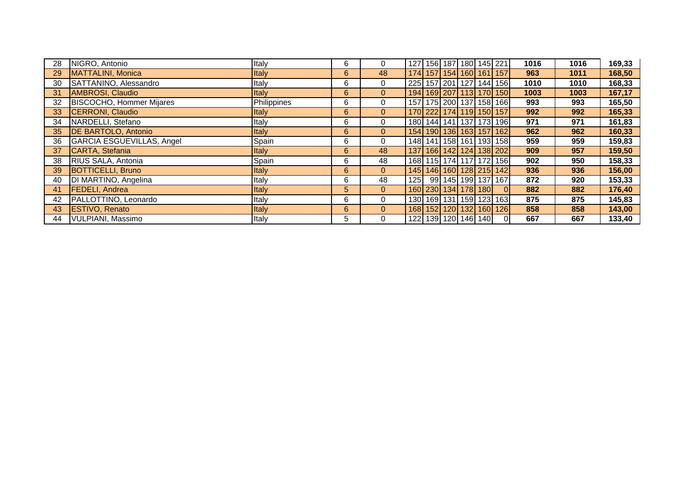| 28 | NIGRO, Antonio                  | Italy        | 6 | $\mathbf{0}$   |     |  | 127   156   187   180   145   221 |                                   | 1016 | 1016 | 169,33 |
|----|---------------------------------|--------------|---|----------------|-----|--|-----------------------------------|-----------------------------------|------|------|--------|
| 29 | MATTALINI, Monica               | <b>Italy</b> | 6 | 48             |     |  |                                   | 174 157 154 160 161 157           | 963  | 1011 | 168,50 |
| 30 | SATTANINO, Alessandro           | Italy        | 6 | 0              |     |  |                                   | 225 157 201 127 144 156           | 1010 | 1010 | 168,33 |
| 31 | AMBROSI, Claudio                | <b>Italy</b> | 6 | $\overline{0}$ |     |  |                                   | 194 169 207 113 170 150           | 1003 | 1003 | 167,17 |
| 32 | <b>BISCOCHO, Hommer Mijares</b> | Philippines  | 6 | 0              |     |  |                                   | 157   175   200   137   158   166 | 993  | 993  | 165,50 |
| 33 | <b>CERRONI, Claudio</b>         | <b>Italy</b> | 6 | $\overline{0}$ |     |  |                                   | 170 222 174 119 150 157           | 992  | 992  | 165,33 |
| 34 | NARDELLI, Stefano               | Italy        | 6 | $\mathbf{0}$   |     |  |                                   | 180 144 141 137 173 196           | 971  | 971  | 161,83 |
| 35 | <b>DE BARTOLO, Antonio</b>      | <b>Italy</b> | 6 | $\overline{0}$ |     |  |                                   | 154 190 136 163 157 162           | 962  | 962  | 160,33 |
| 36 | GARCIA ESGUEVILLAS, Angel       | Spain        | 6 | 0              |     |  |                                   | 148   141   158   161   193   158 | 959  | 959  | 159,83 |
| 37 | CARTA, Stefania                 | Italy        | 6 | 48             |     |  |                                   | 137   166   142   124   138   202 | 909  | 957  | 159,50 |
| 38 | RIUS SALA, Antonia              | Spain        | 6 | 48             |     |  |                                   | 168   115   174   117   172   156 | 902  | 950  | 158,33 |
| 39 | <b>BOTTICELLI, Bruno</b>        | <b>Italy</b> | 6 | $\overline{0}$ |     |  |                                   | 145 146 160 128 215 142           | 936  | 936  | 156,00 |
| 40 | DI MARTINO, Angelina            | Italy        | 6 | 48             | 125 |  |                                   | 99 145 199 137 167                | 872  | 920  | 153,33 |
| 41 | <b>FEDELI, Andrea</b>           | Italy        | 5 | $\overline{0}$ |     |  | 160 230 134 178 180               | $\Omega$                          | 882  | 882  | 176,40 |
| 42 | PALLOTTINO, Leonardo            | Italy        | 6 | $\mathbf 0$    |     |  |                                   | 130 169 131 159 123 163           | 875  | 875  | 145,83 |
| 43 | <b>ESTIVO, Renato</b>           | <b>Italy</b> | 6 | $\mathbf{0}$   |     |  |                                   | 168 152 120 132 160 126           | 858  | 858  | 143,00 |
| 44 | <b>VULPIANI, Massimo</b>        | Italy        | 5 | 0              |     |  | 122 139 120 146 140               |                                   | 667  | 667  | 133,40 |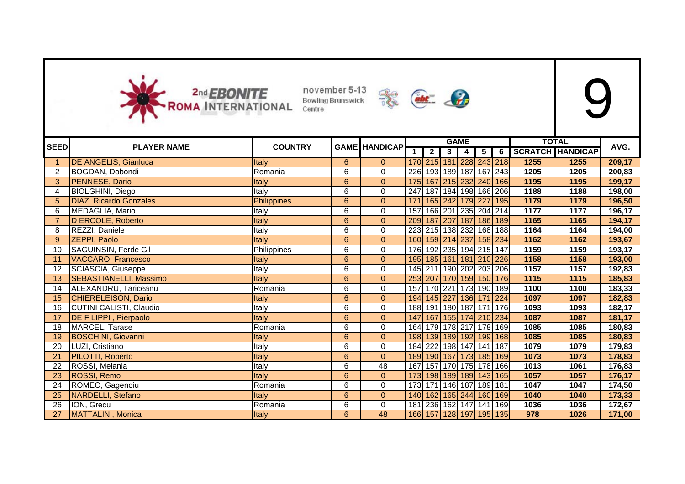



|             |                                |                    |                |                      |                |                |                         | <b>GAME</b>    |                 |   |      | <b>TOTAL</b>            |        |
|-------------|--------------------------------|--------------------|----------------|----------------------|----------------|----------------|-------------------------|----------------|-----------------|---|------|-------------------------|--------|
| <b>SEED</b> | <b>PLAYER NAME</b>             | <b>COUNTRY</b>     |                | <b>GAME HANDICAP</b> | $\overline{1}$ | $\overline{2}$ | 3 <sup>1</sup>          | $\overline{4}$ | $5\overline{)}$ | 6 |      | <b>SCRATCH HANDICAP</b> | AVG.   |
|             | <b>DE ANGELIS, Gianluca</b>    | Italy              | 6              | $\overline{0}$       |                |                | 170 215 181 228 243 218 |                |                 |   | 1255 | 1255                    | 209,17 |
| 2           | BOGDAN, Dobondi                | Romania            | 6              | 0                    | 226            |                | 193 189 187 167 243     |                |                 |   | 1205 | 1205                    | 200,83 |
| 3           | PENNESE, Dario                 | Italy              | 6              | $\mathbf{0}$         | 175            |                | 167 215 232 240 166     |                |                 |   | 1195 | 1195                    | 199,17 |
| 4           | <b>BIOLGHINI, Diego</b>        | Italy              | 6              | 0                    | 247            |                | 187 184 198 166 206     |                |                 |   | 1188 | 1188                    | 198,00 |
| 5           | <b>DIAZ, Ricardo Gonzales</b>  | <b>Philippines</b> | $6\phantom{a}$ | $\overline{0}$       | 171            |                | 165 242 179 227 195     |                |                 |   | 1179 | 1179                    | 196,50 |
| 6           | MEDAGLIA, Mario                | Italy              | 6              | 0                    | 157            |                | 166 201 235 204 214     |                |                 |   | 1177 | 1177                    | 196,17 |
|             | D ERCOLE, Roberto              | Italy              | $6\phantom{a}$ | $\overline{0}$       | 209            |                | 187 207 187 186 189     |                |                 |   | 1165 | 1165                    | 194,17 |
| 8           | REZZI, Daniele                 | Italy              | 6              | 0                    |                |                | 223 215 138 232 168 188 |                |                 |   | 1164 | 1164                    | 194,00 |
| 9           | <b>ZEPPI, Paolo</b>            | <b>Italy</b>       | $6\phantom{a}$ | $\mathbf{0}$         |                |                | 160 159 214 237 158 234 |                |                 |   | 1162 | 1162                    | 193,67 |
| 10          | SAGUINSIN, Ferde Gil           | Philippines        | 6              | 0                    |                |                | 176 192 235 194 215 147 |                |                 |   | 1159 | 1159                    | 193,17 |
| 11          | <b>VACCARO, Francesco</b>      | Italy              | $6\phantom{a}$ | $\overline{0}$       |                |                | 195 185 161 181 210 226 |                |                 |   | 1158 | 1158                    | 193,00 |
| 12          | SCIASCIA, Giuseppe             | Italy              | 6              | 0                    |                |                | 145 211 190 202 203 206 |                |                 |   | 1157 | 1157                    | 192,83 |
| 13          | <b>SEBASTIANELLI, Massimo</b>  | Italy              | 6              | $\overline{0}$       |                |                | 253 207 170 159 150 176 |                |                 |   | 1115 | 1115                    | 185,83 |
| 14          | ALEXANDRU, Tariceanu           | Romania            | 6              | 0                    | 157            |                | 170 221 173 190 189     |                |                 |   | 1100 | 1100                    | 183,33 |
| 15          | <b>CHIERELEISON, Dario</b>     | Italy              | 6              | $\overline{0}$       |                |                | 194 145 227 136 171 224 |                |                 |   | 1097 | 1097                    | 182,83 |
| 16          | <b>CUTINI CALISTI, Claudio</b> | Italy              | 6              | $\mathbf 0$          |                |                | 188 191 180 187 171 176 |                |                 |   | 1093 | 1093                    | 182,17 |
| 17          | <b>DE FILIPPI</b> , Pierpaolo  | Italy              | 6              | $\mathbf{0}$         |                |                | 147 167 155 174 210 234 |                |                 |   | 1087 | 1087                    | 181,17 |
| 18          | MARCEL, Tarase                 | Romania            | 6              | 0                    |                |                | 164 179 178 217 178 169 |                |                 |   | 1085 | 1085                    | 180,83 |
| 19          | <b>BOSCHINI, Giovanni</b>      | Italy              | 6              | $\mathbf{0}$         |                |                | 198 139 189 192 199 168 |                |                 |   | 1085 | 1085                    | 180,83 |
| 20          | LUZI, Cristiano                | Italy              | 6              | $\mathbf 0$          |                |                | 184 222 198 147 141 187 |                |                 |   | 1079 | 1079                    | 179,83 |
| 21          | PILOTTI, Roberto               | Italy              | 6              | $\mathbf{0}$         |                |                | 189 190 167 173 185 169 |                |                 |   | 1073 | 1073                    | 178,83 |
| 22          | ROSSI, Melania                 | Italy              | 6              | $\overline{48}$      | 167            |                | 157 170 175 178 166     |                |                 |   | 1013 | 1061                    | 176,83 |
| 23          | ROSSI, Remo                    | Italy              | 6              | $\Omega$             |                |                | 173 198 189 189 143 165 |                |                 |   | 1057 | 1057                    | 176,17 |
| 24          | ROMEO, Gagenoiu                | Romania            | 6              | $\mathbf 0$          | 173            |                | 171 146                 |                | 187 189 181     |   | 1047 | 1047                    | 174,50 |
| 25          | <b>NARDELLI, Stefano</b>       | Italy              | 6              | $\mathbf{0}$         | 140            |                | 162 165 244 160 169     |                |                 |   | 1040 | 1040                    | 173,33 |
| 26          | ION, Grecu                     | Romania            | 6              | 0                    | 181            |                | 236 162 147 141 169     |                |                 |   | 1036 | 1036                    | 172,67 |
| 27          | MATTALINI, Monica              | Italy              | $6\phantom{a}$ | 48                   |                |                | 166 157 128 197 195 135 |                |                 |   | 978  | 1026                    | 171,00 |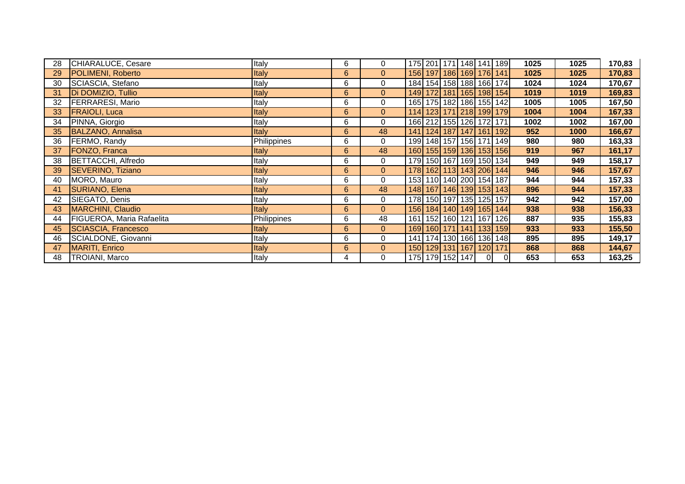| 28 | CHIARALUCE, Cesare         | Italy       | 6 | 0              | 175 201 171 148 141 189           |  |                |                                   | 1025 | 1025 | 170,83 |
|----|----------------------------|-------------|---|----------------|-----------------------------------|--|----------------|-----------------------------------|------|------|--------|
| 29 | POLIMENI, Roberto          | Italy       | 6 | $\mathbf{0}$   |                                   |  |                | 156 197 186 169 176 141           | 1025 | 1025 | 170,83 |
| 30 | SCIASCIA, Stefano          | Italy       | 6 | 0              | 184 154 158 188 166 174           |  |                |                                   | 1024 | 1024 | 170,67 |
| 31 | Di DOMIZIO, Tullio         | Italy       | 6 | $\overline{0}$ |                                   |  |                | 149 172 181 165 198 154           | 1019 | 1019 | 169,83 |
| 32 | <b>FERRARESI, Mario</b>    | Italy       | 6 | $\mathbf 0$    |                                   |  |                | 165 175 182 186 155 142           | 1005 | 1005 | 167,50 |
| 33 | <b>FRAIOLI, Luca</b>       | Italy       | 6 | $\overline{0}$ |                                   |  |                | 114 123 171 218 199 179           | 1004 | 1004 | 167,33 |
| 34 | PINNA, Giorgio             | Italy       | 6 | 0              | 166 212 155 126 172 171           |  |                |                                   | 1002 | 1002 | 167,00 |
| 35 | <b>BALZANO, Annalisa</b>   | Italy       | 6 | 48             |                                   |  |                | 141   124   187   147   161   192 | 952  | 1000 | 166,67 |
| 36 | FERMO, Randy               | Philippines | 6 | 0              |                                   |  |                | 199 148 157 156 171 149           | 980  | 980  | 163,33 |
| 37 | <b>FONZO, Franca</b>       | Italy       | 6 | 48             |                                   |  |                | 160 155 159 136 153 156           | 919  | 967  | 161,17 |
| 38 | BETTACCHI, Alfredo         | Italy       | 6 | 0              | 179 150 167 169 150 134           |  |                |                                   | 949  | 949  | 158,17 |
| 39 | <b>SEVERINO, Tiziano</b>   | Italy       | 6 | $\mathbf{0}$   |                                   |  |                | 178 162 113 143 206 144           | 946  | 946  | 157,67 |
| 40 | MORO, Mauro                | Italy       | 6 | $\mathbf 0$    | 153 110 140 200 154 187           |  |                |                                   | 944  | 944  | 157,33 |
| 41 | SURIANO, Elena             | Italy       | 6 | 48             |                                   |  |                | 148 167 146 139 153 143           | 896  | 944  | 157,33 |
| 42 | SIEGATO, Denis             | Italy       | 6 | 0              | 178 150 197 135 125 157           |  |                |                                   | 942  | 942  | 157,00 |
| 43 | MARCHINI, Claudio          | Italy       | 6 | $\mathbf{0}$   |                                   |  |                | 156 184 140 149 165 144           | 938  | 938  | 156,33 |
| 44 | FIGUEROA, Maria Rafaelita  | Philippines | 6 | 48             |                                   |  |                | 161   152   160   121   167   126 | 887  | 935  | 155,83 |
| 45 | <b>SCIASCIA, Francesco</b> | Italy       | 6 | $\mathbf{0}$   |                                   |  |                | 169 160 171 141 133 159           | 933  | 933  | 155,50 |
| 46 | SCIALDONE, Giovanni        | Italy       | 6 | 0              | 141   174   130   166   136   148 |  |                |                                   | 895  | 895  | 149,17 |
| 47 | <b>MARITI, Enrico</b>      | Italy       | 6 | $\mathbf{0}$   | 150 129 131 167 120 171           |  |                |                                   | 868  | 868  | 144,67 |
| 48 | TROIANI, Marco             | Italy       | 4 | 0              | 175 179 152 147                   |  | $\overline{0}$ | 01                                | 653  | 653  | 163,25 |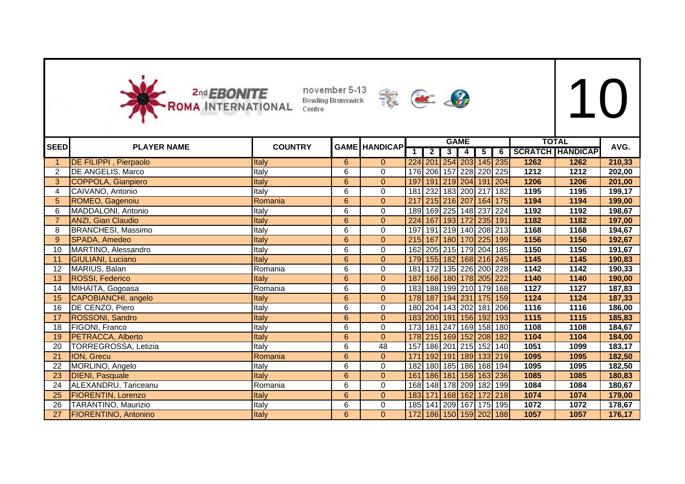



| <b>SEED</b>    |                               | <b>COUNTRY</b> |                | <b>GAME HANDICAP</b> |     |                         | <b>GAME</b>         |   |                         |      | <b>TOTAL</b>            | AVG.   |
|----------------|-------------------------------|----------------|----------------|----------------------|-----|-------------------------|---------------------|---|-------------------------|------|-------------------------|--------|
|                | <b>PLAYER NAME</b>            |                |                |                      | 1   | $\overline{2}$          | $3 \mid 4 \mid$     | 5 | $\overline{6}$          |      | <b>SCRATCH HANDICAP</b> |        |
|                | <b>DE FILIPPI</b> , Pierpaolo | Italy          | 6              | $\overline{0}$       |     |                         |                     |   | 224 201 254 203 145 235 | 1262 | 1262                    | 210,33 |
| 2              | DE ANGELIS, Marco             | Italy          | 6              | $\Omega$             | 176 |                         |                     |   | 206 157 228 220 225     | 1212 | 1212                    | 202,00 |
| 3              | <b>COPPOLA, Gianpiero</b>     | Italy          | $6\phantom{a}$ | $\overline{0}$       | 197 |                         |                     |   | 191 219 204 191 204     | 1206 | 1206                    | 201,00 |
| $\overline{4}$ | CAIVANO, Antonio              | Italy          | 6              | $\Omega$             | 181 |                         | 232 183 200 217 182 |   |                         | 1195 | 1195                    | 199,17 |
| 5              | ROMEO, Gagenoiu               | Romania        | 6              | $\overline{0}$       | 217 |                         |                     |   | 215 216 207 164 175     | 1194 | 1194                    | 199,00 |
| 6              | MADDALONI, Antonio            | Italy          | 6              | $\mathbf 0$          |     |                         |                     |   | 189 169 225 148 237 224 | 1192 | 1192                    | 198,67 |
|                | <b>ANZI, Gian Claudio</b>     | Italy          | 6              | $\mathbf{0}$         |     | 224 167 193 172 235 191 |                     |   |                         | 1182 | 1182                    | 197,00 |
| 8              | <b>BRANCHESI, Massimo</b>     | Italy          | 6              | 0                    | 197 |                         |                     |   | 191 219 140 208 213     | 1168 | 1168                    | 194,67 |
| 9              | SPADA, Amedeo                 | Italy          | 6              | $\overline{0}$       |     |                         |                     |   | 215 167 180 170 225 199 | 1156 | 1156                    | 192,67 |
| 10             | MARTINO, Alessandro           | Italy          | 6              | $\overline{0}$       | 162 |                         |                     |   | 205 215 179 204 185     | 1150 | 1150                    | 191,67 |
| 11             | GIULIANI, Luciano             | Italy          | 6              | $\mathbf{0}$         |     |                         |                     |   | 179 155 182 168 216 245 | 1145 | 1145                    | 190,83 |
| 12             | MARIUS, Balan                 | Romania        | 6              | 0                    | 181 |                         |                     |   | 172 135 226 200 228     | 1142 | 1142                    | 190,33 |
| 13             | ROSSI, Federico               | Italy          | 6              | $\mathbf{0}$         |     |                         |                     |   | 187 168 180 178 205 222 | 1140 | 1140                    | 190,00 |
| 14             | MIHAITA, Gogoasa              | Romania        | 6              | $\mathbf 0$          |     |                         |                     |   | 183 188 199 210 179 168 | 1127 | 1127                    | 187,83 |
| 15             | CAPOBIANCHI, angelo           | Italy          | 6              | $\mathbf{0}$         |     |                         |                     |   | 178 187 194 231 175 159 | 1124 | 1124                    | 187,33 |
| 16             | DE CENZO, Piero               | Italy          | 6              | $\mathbf 0$          |     |                         |                     |   | 180 204 143 202 181 206 | 1116 | 1116                    | 186,00 |
| 17             | <b>ROSSONI, Sandro</b>        | Italy          | 6              | $\mathbf{0}$         |     |                         |                     |   | 183 200 191 156 192 193 | 1115 | 1115                    | 185,83 |
| 18             | FIGONI, Franco                | Italy          | 6              | $\mathbf 0$          |     |                         |                     |   | 173 181 247 169 158 180 | 1108 | 1108                    | 184,67 |
| 19             | PETRACCA, Alberto             | Italy          | 6              | $\Omega$             |     | 178 215 169 152 208 182 |                     |   |                         | 1104 | 1104                    | 184,00 |
| 20             | TORREGROSSA, Letizia          | Italy          | 6              | 48                   | 157 |                         |                     |   | 186 201 215 152 140     | 1051 | 1099                    | 183,17 |
| 21             | ION, Grecu                    | Romania        | 6              | $\Omega$             | 171 |                         |                     |   | 192 191 189 133 219     | 1095 | 1095                    | 182,50 |
| 22             | MORLINO, Angelo               | Italy          | 6              | 0                    |     |                         |                     |   | 182 180 185 186 168 194 | 1095 | 1095                    | 182,50 |
| 23             | <b>DIENI, Pasquale</b>        | Italy          | $6\phantom{a}$ | $\mathbf{0}$         |     |                         |                     |   | 161 186 181 158 163 236 | 1085 | 1085                    | 180,83 |
| 24             | ALEXANDRU, Tariceanu          | Romania        | 6              | 0                    |     | 168 148 178 209 182 199 |                     |   |                         | 1084 | 1084                    | 180,67 |
| 25             | <b>FIORENTIN, Lorenzo</b>     | Italy          | 6              | $\overline{0}$       |     |                         |                     |   | 183 171 168 162 172 218 | 1074 | 1074                    | 179,00 |
| 26             | TARANTINO, Maurizio           | Italy          | 6              | $\mathbf 0$          |     |                         |                     |   | 185 141 209 167 175 195 | 1072 | 1072                    | 178,67 |
| 27             | FIORENTINO, Antonino          | Italy          | 6              | $\mathbf{0}$         |     |                         |                     |   | 172 186 150 159 202 188 | 1057 | 1057                    | 176,17 |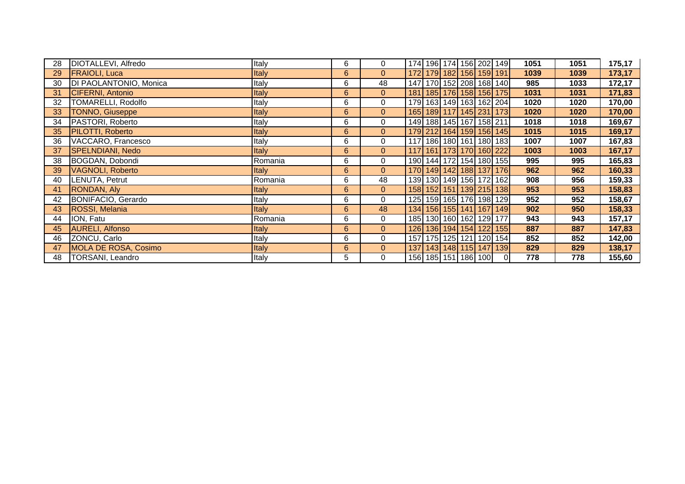| 28 | DIOTALLEVI, Alfredo       | Italy        | 6              | 0              | 174 196 174 156 202 149           |  |                         |                                   | 1051 | 1051 | 175,17 |
|----|---------------------------|--------------|----------------|----------------|-----------------------------------|--|-------------------------|-----------------------------------|------|------|--------|
| 29 | <b>FRAIOLI, Luca</b>      | Italy        | 6              | $\overline{0}$ |                                   |  | 172 179 182 156 159 191 |                                   | 1039 | 1039 | 173,17 |
| 30 | DI PAOLANTONIO, Monica    | Italy        | 6              | 48             |                                   |  |                         | 147 170 152 208 168 140           | 985  | 1033 | 172,17 |
| 31 | CIFERNI, Antonio          | <b>Italy</b> | 6              | $\overline{0}$ |                                   |  |                         | 181   185   176   158   156   175 | 1031 | 1031 | 171,83 |
| 32 | <b>TOMARELLI, Rodolfo</b> | Italy        | 6              | 0              |                                   |  |                         | 179 163 149 163 162 204           | 1020 | 1020 | 170,00 |
| 33 | <b>TONNO, Giuseppe</b>    | <b>Italy</b> | 6              | $\overline{0}$ |                                   |  |                         | 165 189 117 145 231 173           | 1020 | 1020 | 170,00 |
| 34 | PASTORI, Roberto          | Italy        | 6              | 0              |                                   |  | 149 188 145 167 158 211 |                                   | 1018 | 1018 | 169,67 |
| 35 | PILOTTI, Roberto          | Italy        | 6              | $\overline{0}$ |                                   |  |                         | 179 212 164 159 156 145           | 1015 | 1015 | 169,17 |
| 36 | VACCARO, Francesco        | Italy        | 6              | $\mathbf 0$    | 117 186 180 161 180 183           |  |                         |                                   | 1007 | 1007 | 167,83 |
| 37 | SPELNDIANI, Nedo          | Italy        | $6\phantom{a}$ | $\overline{0}$ | 117   161   173   170   160   222 |  |                         |                                   | 1003 | 1003 | 167,17 |
| 38 | BOGDAN, Dobondi           | Romania      | 6              | 0              | 190  144  172  154  180  155      |  |                         |                                   | 995  | 995  | 165,83 |
| 39 | VAGNOLI, Roberto          | Italy        | 6              | $\overline{0}$ |                                   |  |                         | 170 149 142 188 137 176           | 962  | 962  | 160,33 |
| 40 | LENUTA, Petrut            | Romania      | 6              | 48             |                                   |  | 139 130 149 156 172 162 |                                   | 908  | 956  | 159,33 |
| 41 | RONDAN, Aly               | Italy        | 6              | $\mathbf{0}$   |                                   |  |                         | 158 152 151 139 215 138           | 953  | 953  | 158,83 |
| 42 | BONIFACIO, Gerardo        | Italy        | 6              | 0              |                                   |  |                         | 125 159 165 176 198 129           | 952  | 952  | 158,67 |
| 43 | <b>ROSSI, Melania</b>     | Italy        | $6\phantom{a}$ | 48             |                                   |  |                         | 134 156 155 141 167 149           | 902  | 950  | 158,33 |
| 44 | ION, Fatu                 | Romania      | 6              | $\mathbf 0$    |                                   |  | 185 130 160 162 129 177 |                                   | 943  | 943  | 157,17 |
| 45 | <b>AURELI, Alfonso</b>    | Italy        | 6              | $\overline{0}$ |                                   |  |                         | 126 136 194 154 122 155           | 887  | 887  | 147,83 |
| 46 | ZONCU, Carlo              | Italy        | 6              | 0              | 157   175   125   121   120   154 |  |                         |                                   | 852  | 852  | 142,00 |
| 47 | MOLA DE ROSA, Cosimo      | Italy        | $6\phantom{a}$ | $\overline{0}$ |                                   |  |                         | 137 143 148 115 147 139           | 829  | 829  | 138,17 |
| 48 | TORSANI, Leandro          | Italy        | 5              | $\mathbf 0$    |                                   |  | 156 185 151 186 100     | ΟI                                | 778  | 778  | 155,60 |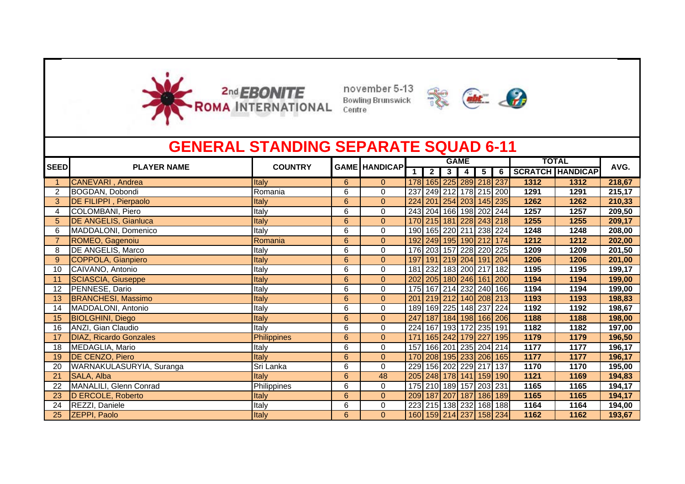



|                 | <b>GENERAL STANDING SEPARATE SQUAD 6-11</b> |                |   |                      |              |                |                |                |                         |           |      |                         |        |
|-----------------|---------------------------------------------|----------------|---|----------------------|--------------|----------------|----------------|----------------|-------------------------|-----------|------|-------------------------|--------|
| <b>SEED</b>     | <b>PLAYER NAME</b>                          | <b>COUNTRY</b> |   | <b>GAME HANDICAP</b> |              |                |                | <b>GAME</b>    |                         |           |      | <b>TOTAL</b>            | AVG.   |
|                 |                                             |                |   |                      | $\mathbf{1}$ | 2 <sub>1</sub> | 3 <sup>1</sup> | $\overline{4}$ | $\overline{5}$          | $\bullet$ |      | <b>SCRATCH HANDICAP</b> |        |
|                 | CANEVARI, Andrea                            | Italy          | 6 | $\mathbf{0}$         |              |                |                |                | 178 165 225 289 218 237 |           | 1312 | 1312                    | 218,67 |
| $\overline{2}$  | BOGDAN, Dobondi                             | Romania        | 6 | $\Omega$             | 237          |                |                |                | 249 212 178 215 200     |           | 1291 | 1291                    | 215,17 |
| 3               | <b>DE FILIPPI</b> , Pierpaolo               | Italy          | 6 | $\Omega$             |              |                |                |                | 224 201 254 203 145 235 |           | 1262 | 1262                    | 210,33 |
| 4               | COLOMBANI, Piero                            | Italy          | 6 | 0                    |              |                |                |                | 243 204 166 198 202 244 |           | 1257 | 1257                    | 209,50 |
| 5               | <b>DE ANGELIS, Gianluca</b>                 | Italy          | 6 | $\mathbf{0}$         |              |                |                |                | 170 215 181 228 243 218 |           | 1255 | 1255                    | 209,17 |
| 6               | MADDALONI, Domenico                         | Italy          | 6 | $\Omega$             |              |                |                |                | 190 165 220 211 238 224 |           | 1248 | 1248                    | 208,00 |
|                 | ROMEO, Gagenoiu                             | Romania        | 6 | $\mathbf{0}$         |              |                |                |                | 192 249 195 190 212 174 |           | 1212 | 1212                    | 202,00 |
| 8               | <b>DE ANGELIS, Marco</b>                    | Italy          | 6 | 0                    | 176          |                |                |                | 203 157 228 220 225     |           | 1209 | 1209                    | 201,50 |
| 9               | COPPOLA, Gianpiero                          | Italy          | 6 | $\mathbf{0}$         | 197          | 191            |                |                | 219 204 191             | 204       | 1206 | 1206                    | 201,00 |
| 10              | CAIVANO, Antonio                            | Italy          | 6 | $\Omega$             | 181          |                |                |                | 232 183 200 217 182     |           | 1195 | 1195                    | 199,17 |
|                 | SCIASCIA, Giuseppe                          | Italy          | 6 | $\Omega$             | 202          |                |                |                | 205 180 246 161 200     |           | 1194 | 1194                    | 199,00 |
| 12 <sup>2</sup> | PENNESE, Dario                              | Italy          | 6 | 0                    |              |                |                |                | 175 167 214 232 240 166 |           | 1194 | 1194                    | 199,00 |
| 13              | <b>BRANCHESI, Massimo</b>                   | Italy          | 6 | $\mathbf{0}$         | 201          |                |                |                | 219 212 140 208 213     |           | 1193 | 1193                    | 198,83 |
| 14              | MADDALONI, Antonio                          | Italy          | 6 | 0                    |              |                |                |                | 189 169 225 148 237 224 |           | 1192 | 1192                    | 198,67 |
| 15              | <b>BIOLGHINI</b> , Diego                    | Italy          | 6 | $\overline{0}$       |              |                |                |                | 247 187 184 198 166 206 |           | 1188 | 1188                    | 198,00 |
| 16              | ANZI, Gian Claudio                          | Italy          | 6 | 0                    |              |                |                |                | 224 167 193 172 235 191 |           | 1182 | 1182                    | 197,00 |
|                 | <b>DIAZ, Ricardo Gonzales</b>               | Philippines    | 6 | $\overline{0}$       | 171          |                |                |                | 165 242 179 227         | 195       | 1179 | 1179                    | 196,50 |
| 18              | MEDAGLIA, Mario                             | Italy          | 6 | $\mathbf 0$          | 157          |                |                |                | 166 201 235 204 214     |           | 1177 | 1177                    | 196,17 |
| 19              | DE CENZO, Piero                             | Italy          | 6 | $\Omega$             | 170          |                |                |                | 208 195 233 206 165     |           | 1177 | 1177                    | 196,17 |
| 20              | WARNAKULASURYIA, Suranga                    | Sri Lanka      | 6 | $\Omega$             | 229          |                |                |                | 156 202 229 217         | 137       | 1170 | 1170                    | 195,00 |
|                 | SALA, Alba                                  | Italy          | 6 | 48                   |              |                |                |                | 205 248 178 141 159 190 |           | 1121 | 1169                    | 194,83 |
| 22              | MANALILI, Glenn Conrad                      | Philippines    | 6 | 0                    |              |                |                |                | 175 210 189 157 203 231 |           | 1165 | 1165                    | 194,17 |
| 23              | D ERCOLE, Roberto                           | Italy          | 6 | $\mathbf{0}$         |              |                |                |                | 209 187 207 187 186 189 |           | 1165 | 1165                    | 194,17 |
| 24              | REZZI, Daniele                              | Italy          | 6 | $\Omega$             | 223          |                |                |                | 215 138 232 168 188     |           | 1164 | 1164                    | 194,00 |
| 25              | <b>ZEPPI, Paolo</b>                         | Italy          | 6 | $\Omega$             |              |                |                |                | 160 159 214 237 158 234 |           | 1162 | 1162                    | 193,67 |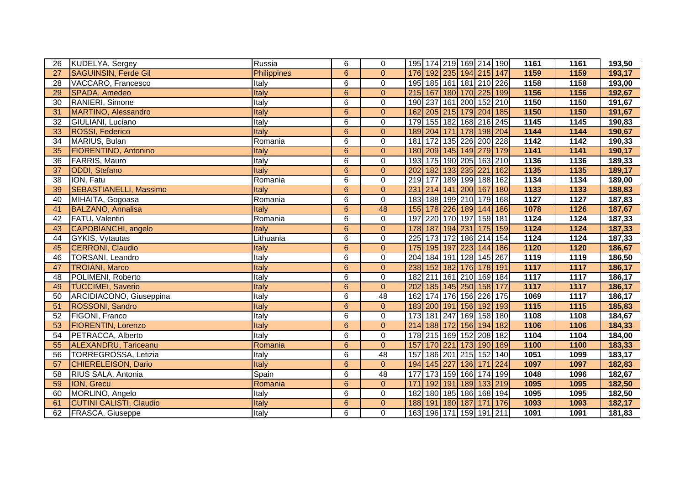| 26 | KUDELYA, Sergey                | Russia        | 6              | $\mathbf 0$    | 195 174 219 169 214 190        |                 |                     |                  | 1161              | 1161 | 193,50 |
|----|--------------------------------|---------------|----------------|----------------|--------------------------------|-----------------|---------------------|------------------|-------------------|------|--------|
| 27 | <b>SAGUINSIN, Ferde Gil</b>    | Philippines   | $\overline{6}$ | $\overline{0}$ | 176 192 235 194 215 147        |                 |                     |                  | 1159              | 1159 | 193,17 |
| 28 | VACCARO, Francesco             | Italy         | 6              | $\pmb{0}$      | 195 185 161 181 210 226        |                 |                     |                  | 1158              | 1158 | 193,00 |
| 29 | SPADA, Amedeo                  | Italy         | 6              | $\overline{0}$ | 215 167 180 170 225 199        |                 |                     |                  | 1156              | 1156 | 192,67 |
| 30 | RANIERI, Simone                | Italy         | $\overline{6}$ | $\overline{0}$ | 190 237 161 200 152 210        |                 |                     |                  | 1150              | 1150 | 191,67 |
| 31 | MARTINO, Alessandro            | Italy         | 6              | $\mathbf{0}$   | 205 215 179 204 185<br>162     |                 |                     |                  | 1150              | 1150 | 191,67 |
| 32 | GIULIANI, Luciano              | Italy         | 6              | $\pmb{0}$      | 179                            |                 | 155 182 168 216 245 |                  | $\overline{1145}$ | 1145 | 190,83 |
| 33 | <b>ROSSI, Federico</b>         | Italy         | $\overline{6}$ | $\mathbf{0}$   | 204 171 178 198 204<br>189     |                 |                     |                  | 1144              | 1144 | 190,67 |
| 34 | MARIUS, Bulan                  | Romania       | 6              | $\mathbf 0$    | 181                            |                 | 172 135 226 200 228 |                  | 1142              | 1142 | 190,33 |
| 35 | <b>FIORENTINO, Antonino</b>    | Italy         | $6\phantom{a}$ | $\bf 0$        | 180                            |                 | 209 145 149 279 179 |                  | 1141              | 1141 | 190,17 |
| 36 | <b>FARRIS, Mauro</b>           | Italy         | 6              | $\mathbf 0$    | 193                            |                 | 175 190 205 163 210 |                  | 1136              | 1136 | 189,33 |
| 37 | ODDI, Stefano                  | Italy         | $\overline{6}$ | $\bf 0$        | 202                            | 182 133 235 221 |                     | 162              | 1135              | 1135 | 189,17 |
| 38 | ION, Fatu                      | Romania       | 6              | $\mathbf 0$    | 219 177 189 199 188 162        |                 |                     |                  | 1134              | 1134 | 189,00 |
| 39 | <b>SEBASTIANELLI, Massimo</b>  | Italy         | $6\phantom{a}$ | $\mathbf 0$    | 231                            | 214 141 200 167 |                     | 180              | 1133              | 1133 | 188,83 |
| 40 | MIHAITA, Gogoasa               | Romania       | $\overline{6}$ | $\overline{0}$ | 183 188 199 210 179 168        |                 |                     |                  | 1127              | 1127 | 187,83 |
| 41 | <b>BALZANO, Annalisa</b>       | Italy         | $6\phantom{a}$ | 48             | 155                            | 178 226 189 144 |                     | 186              | 1078              | 1126 | 187,67 |
| 42 | FATU, Valentin                 | Romania       | 6              | $\mathbf 0$    | 197                            | 220 170 197 159 |                     | 181              | 1124              | 1124 | 187,33 |
| 43 | CAPOBIANCHI, angelo            | Italy         | $6\phantom{a}$ | $\mathbf{0}$   | 178                            | 187 194 231     | 175                 | 159              | 1124              | 1124 | 187,33 |
| 44 | GYKIS, Vytautas                | Lithuania     | 6              | $\mathbf 0$    | $\overline{225}$               | 173 172 186 214 |                     | 154              | 1124              | 1124 | 187,33 |
| 45 | <b>CERRONI, Claudio</b>        | Italy         | 6              | $\mathbf{0}$   | 175<br>  195   197   223   144 |                 |                     | 186              | 1120              | 1120 | 186,67 |
| 46 | TORSANI, Leandro               | Italy         | 6              | $\pmb{0}$      | $\overline{204}$               | 184 191 128     | $\frac{145}{ }$     | 267              | 1119              | 1119 | 186,50 |
| 47 | <b>TROIANI, Marco</b>          | Italy         | $6\phantom{a}$ | $\mathbf{0}$   | 238                            |                 | 152 182 176 178 191 |                  | $\overline{1117}$ | 1117 | 186,17 |
| 48 | POLIMENI, Roberto              | Italy         | 6              | $\pmb{0}$      | 211<br>182                     |                 | 161 210 169 184     |                  | $\overline{1117}$ | 1117 | 186,17 |
| 49 | <b>TUCCIMEI, Saverio</b>       | Italy         | $6\phantom{a}$ | $\mathbf{0}$   | 202                            |                 | 185 145 250 158 177 |                  | 1117              | 1117 | 186,17 |
| 50 | ARCIDIACONO, Giuseppina        | <b>T</b> taly | 6              | 48             | 162                            | 174 176 156 226 |                     | $\overline{175}$ | 1069              | 1117 | 186,17 |
| 51 | ROSSONI, Sandro                | Italy         | $6\phantom{a}$ | $\mathbf{0}$   | 183                            | 200 191 156 192 |                     | 193              | 1115              | 1115 | 185,83 |
| 52 | FIGONI, Franco                 | Italy         | 6              | 0              | 173                            |                 | 181 247 169 158     | 180              | 1108              | 1108 | 184,67 |
| 53 | <b>FIORENTIN, Lorenzo</b>      | Italy         | $6\phantom{a}$ | $\mathbf{0}$   | 214 188 172 156 194 182        |                 |                     |                  | 1106              | 1106 | 184,33 |
| 54 | PETRACCA, Alberto              | Italy         | 6              | 0              | 215 169 152 208 182<br>178     |                 |                     |                  | 1104              | 1104 | 184,00 |
| 55 | ALEXANDRU, Tariceanu           | Romania       | $\overline{6}$ | $\overline{0}$ | 157                            |                 | 170 221 173 190 189 |                  | 1100              | 1100 | 183,33 |
| 56 | TORREGROSSA, Letizia           | Italy         | $\overline{6}$ | 48             | 157                            | 186 201 215 152 |                     | 140              | 1051              | 1099 | 183,17 |
| 57 | CHIERELEISON, Dario            | Italy         | 6              | $\overline{0}$ | 194 145 227 136 171            |                 |                     | 224              | 1097              | 1097 | 182,83 |
| 58 | RIUS SALA, Antonia             | Spain         | 6              | 48             | 177                            |                 | 173 159 166 174 199 |                  | 1048              | 1096 | 182,67 |
| 59 | <b>ION, Grecu</b>              | Romania       | 6              | $\mathbf{0}$   | $\overline{171}$               |                 | 192 191 189 133 219 |                  | 1095              | 1095 | 182,50 |
| 60 | MORLINO, Angelo                | Italy         | 6              | $\pmb{0}$      | 182 180 185 186 168 194        |                 |                     |                  | 1095              | 1095 | 182,50 |
| 61 | <b>CUTINI CALISTI, Claudio</b> | Italy         | $6\phantom{a}$ | $\mathbf{0}$   | 188<br>191 180 187 171         |                 |                     | 176              | 1093              | 1093 | 182,17 |
| 62 | <b>FRASCA, Giuseppe</b>        | Italy         | 6              | $\mathbf 0$    | 163 196 171 159 191 211        |                 |                     |                  | 1091              | 1091 | 181,83 |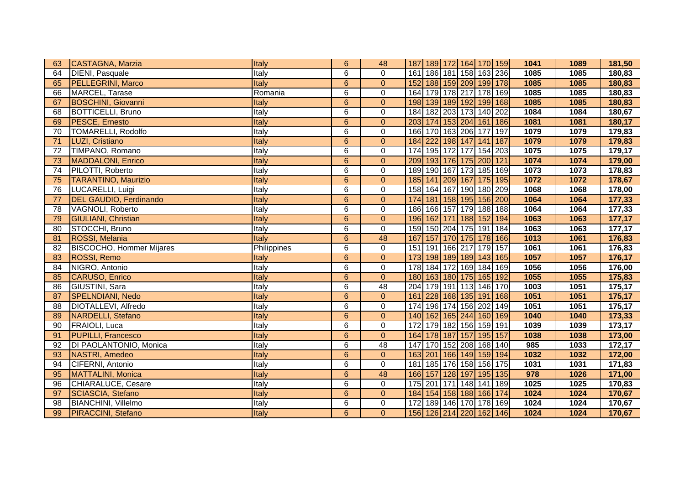| 63 | CASTAGNA, Marzia                | Italy       | $6\phantom{1}$ | 48              | 187   189   172   164   170   159 |                             |  | 1041 | 1089 | 181,50 |
|----|---------------------------------|-------------|----------------|-----------------|-----------------------------------|-----------------------------|--|------|------|--------|
| 64 | <b>DIENI, Pasquale</b>          | Italy       | 6              | $\Omega$        | 161   186   181   158   163   236 |                             |  | 1085 | 1085 | 180,83 |
| 65 | <b>PELLEGRINI, Marco</b>        | Italy       | $6\phantom{a}$ | $\mathbf{0}$    | 152 188 159 209 199 178           |                             |  | 1085 | 1085 | 180,83 |
| 66 | MARCEL, Tarase                  | Romania     | 6              | 0               | 164 179 178 217 178 169           |                             |  | 1085 | 1085 | 180,83 |
| 67 | <b>BOSCHINI, Giovanni</b>       | Italy       | 6              | $\mathbf{0}$    | 198 139 189 192 199 168           |                             |  | 1085 | 1085 | 180,83 |
| 68 | <b>BOTTICELLI, Bruno</b>        | Italy       | 6              | $\mathbf 0$     | 184 182 203 173 140 202           |                             |  | 1084 | 1084 | 180,67 |
| 69 | <b>PESCE, Ernesto</b>           | Italy       | 6              | $\mathbf{0}$    | 203 174 153 204 161 186           |                             |  | 1081 | 1081 | 180,17 |
| 70 | <b>TOMARELLI, Rodolfo</b>       | Italy       | 6              | $\mathbf 0$     | 166 170 163 206 177 197           |                             |  | 1079 | 1079 | 179,83 |
| 71 | LUZI, Cristiano                 | Italy       | $6\phantom{a}$ | $\mathbf{0}$    | 184 222 198 147 141 187           |                             |  | 1079 | 1079 | 179,83 |
| 72 | TIMPANO, Romano                 | Italy       | 6              | $\pmb{0}$       | 174 195 172 177 154 203           |                             |  | 1075 | 1075 | 179,17 |
| 73 | <b>MADDALONI, Enrico</b>        | Italy       | $6\phantom{1}$ | $\pmb{0}$       | 209 193 176 175 200 121           |                             |  | 1074 | 1074 | 179,00 |
| 74 | PILOTTI, Roberto                | Italy       | 6              | $\mathbf 0$     | 189 190 167 173 185 169           |                             |  | 1073 | 1073 | 178,83 |
| 75 | <b>TARANTINO, Maurizio</b>      | Italy       | 6              | $\mathbf{0}$    | 185 141 209 167 175 195           |                             |  | 1072 | 1072 | 178,67 |
| 76 | LUCARELLI, Luigi                | Italy       | 6              | $\pmb{0}$       | 158 164 167 190 180 209           |                             |  | 1068 | 1068 | 178,00 |
| 77 | <b>DEL GAUDIO, Ferdinando</b>   | Italy       | $\overline{6}$ | $\mathbf{0}$    | 174 181 158 195 156 200           |                             |  | 1064 | 1064 | 177,33 |
| 78 | VAGNOLI, Roberto                | Italy       | 6              | 0               | 186 166 157 179 188 188           |                             |  | 1064 | 1064 | 177,33 |
| 79 | <b>GIULIANI, Christian</b>      | Italy       | $6\phantom{a}$ | $\mathbf 0$     | 196 162 171 188 152 194           |                             |  | 1063 | 1063 | 177,17 |
| 80 | STOCCHI, Bruno                  | Italy       | 6              | $\mathbf 0$     | 159 150 204 175 191 184           |                             |  | 1063 | 1063 | 177,17 |
| 81 | ROSSI, Melania                  | Italy       | 6              | 48              | 167                               | 157 170 175 178 166         |  | 1013 | 1061 | 176,83 |
| 82 | <b>BISCOCHO, Hommer Mijares</b> | Philippines | 6              | 0               | 151                               | 191 166 217 179 157         |  | 1061 | 1061 | 176,83 |
| 83 | ROSSI, Remo                     | Italy       | 6              | $\mathbf{0}$    | 173 198 189 189 143 165           |                             |  | 1057 | 1057 | 176,17 |
| 84 | NIGRO, Antonio                  | Italy       | 6              | $\mathbf 0$     | 178 184 172 169 184 169           |                             |  | 1056 | 1056 | 176,00 |
| 85 | CARUSO, Enrico                  | Italy       | $6\phantom{1}$ | $\mathbf{0}$    | 180 163 180 175 165 192           |                             |  | 1055 | 1055 | 175,83 |
| 86 | GIUSTINI, Sara                  | Italy       | 6              | 48              | 204 179 191 113 146 170           |                             |  | 1003 | 1051 | 175,17 |
| 87 | <b>SPELNDIANI, Nedo</b>         | Italy       | 6              | $\mathbf{0}$    | 161                               | 228 168 135 191 168         |  | 1051 | 1051 | 175,17 |
| 88 | <b>DIOTALLEVI</b> , Alfredo     | Italy       | 6              | $\pmb{0}$       | 174                               | 196 174 156 202 149         |  | 1051 | 1051 | 175,17 |
| 89 | NARDELLI, Stefano               | Italy       | 6              | $\mathbf{0}$    | 140 162 165 244 160 169           |                             |  | 1040 | 1040 | 173,33 |
| 90 | <b>FRAIOLI, Luca</b>            | Italy       | 6              | $\Omega$        | 172                               | 179 182 156 159 191         |  | 1039 | 1039 | 173,17 |
| 91 | <b>PUPILLI, Francesco</b>       | Italy       | $6\phantom{1}$ | $\mathbf{0}$    | 164 178 187 157 195 157           |                             |  | 1038 | 1038 | 173,00 |
| 92 | DI PAOLANTONIO, Monica          | Italy       | 6              | $\overline{48}$ | 147 170 152 208 168 140           |                             |  | 985  | 1033 | 172,17 |
| 93 | NASTRI, Amedeo                  | Italy       | $6\phantom{a}$ | $\pmb{0}$       | 163 201 166 149 159 194           |                             |  | 1032 | 1032 | 172,00 |
| 94 | CIFERNI, Antonio                | Italy       | 6              | $\overline{0}$  | 181   185   176   158   156   175 |                             |  | 1031 | 1031 | 171,83 |
| 95 | MATTALINI, Monica               | Italy       | 6              | 48              | 166 157 128 197 195 135           |                             |  | 978  | 1026 | 171,00 |
| 96 | CHIARALUCE, Cesare              | Italy       | 6              | $\pmb{0}$       | 175 201 171 148 141 189           |                             |  | 1025 | 1025 | 170,83 |
| 97 | <b>SCIASCIA, Stefano</b>        | Italy       | $6\phantom{a}$ | $\mathbf{0}$    | 184 154 158 188 166 174           |                             |  | 1024 | 1024 | 170,67 |
| 98 | <b>BIANCHINI, Villelmo</b>      | Italy       | 6              | 0               | 172                               | 189   146   170   178   169 |  | 1024 | 1024 | 170,67 |
| 99 | <b>PIRACCINI, Stefano</b>       | Italy       | $6\phantom{1}$ | $\mathbf{0}$    | 156 126 214 220 162 146           |                             |  | 1024 | 1024 | 170,67 |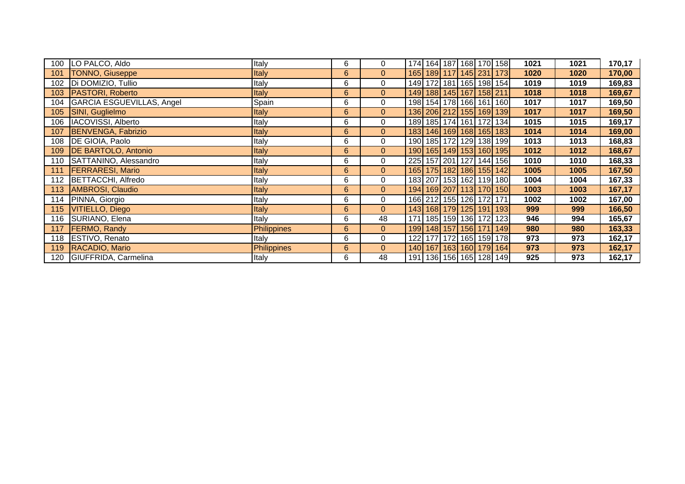|     | 100 LO PALCO, Aldo         | Italy              | 6              | 0              |     |  |                         | 174 164 187 168 170 158           | 1021 | 1021 | 170,17 |
|-----|----------------------------|--------------------|----------------|----------------|-----|--|-------------------------|-----------------------------------|------|------|--------|
| 101 | TONNO, Giuseppe            | Italy              | 6              | $\overline{0}$ |     |  |                         | 165 189 117 145 231 173           | 1020 | 1020 | 170,00 |
| 102 | Di DOMIZIO, Tullio         | Italy              | 6              | $\mathbf 0$    |     |  |                         | 149 172 181 165 198 154           | 1019 | 1019 | 169,83 |
| 103 | <b>PASTORI, Roberto</b>    | <b>Italy</b>       | 6              | $\overline{0}$ |     |  | 149 188 145 167 158 211 |                                   | 1018 | 1018 | 169,67 |
| 104 | GARCIA ESGUEVILLAS, Angel  | Spain              | 6              | 0              |     |  |                         | 198 154 178 166 161 160           | 1017 | 1017 | 169,50 |
| 105 | SINI, Guglielmo            | Italy              | 6              | $\overline{0}$ |     |  |                         | 136 206 212 155 169 139           | 1017 | 1017 | 169,50 |
| 106 | <b>IACOVISSI, Alberto</b>  | Italy              | 6              | 0              |     |  |                         | 189 185 174 161 172 134           | 1015 | 1015 | 169,17 |
| 107 | <b>BENVENGA, Fabrizio</b>  | Italy              | 6              | $\overline{0}$ |     |  |                         | 183 146 169 168 165 183           | 1014 | 1014 | 169,00 |
| 108 | DE GIOIA, Paolo            | Italy              | 6              | 0              |     |  |                         | 190 185 172 129 138 199           | 1013 | 1013 | 168,83 |
| 109 | <b>DE BARTOLO, Antonio</b> | Italy              | 6              | $\overline{0}$ |     |  |                         | 190 165 149 153 160 195           | 1012 | 1012 | 168,67 |
|     | 110 SATTANINO, Alessandro  | Italy              | 6              | 0              |     |  |                         | 225 157 201 127 144 156           | 1010 | 1010 | 168,33 |
| 111 | <b>FERRARESI, Mario</b>    | Italy              | 6              | $\overline{0}$ |     |  |                         | 165 175 182 186 155 142           | 1005 | 1005 | 167,50 |
|     | 112 BETTACCHI, Alfredo     | Italy              | 6              | $\mathbf 0$    |     |  |                         | 183 207 153 162 119 180           | 1004 | 1004 | 167,33 |
| 113 | AMBROSI, Claudio           | Italy              | 6              | $\overline{0}$ |     |  |                         | 194 169 207 113 170 150           | 1003 | 1003 | 167,17 |
|     | 114 PINNA, Giorgio         | Italy              | 6              | 0              |     |  | 166 212 155 126 172 171 |                                   | 1002 | 1002 | 167,00 |
| 115 | VITIELLO, Diego            | Italy              | $6\phantom{.}$ | $\overline{0}$ |     |  |                         | 143 168 179 125 191 193           | 999  | 999  | 166,50 |
|     | 116 SURIANO, Elena         | Italy              | 6              | 48             | 171 |  |                         | 185 159 136 172 123               | 946  | 994  | 165,67 |
| 117 | <b>FERMO, Randy</b>        | <b>Philippines</b> | $6\phantom{.}$ | $\overline{0}$ |     |  |                         | 199 148 157 156 171 149           | 980  | 980  | 163,33 |
|     | 118 ESTIVO, Renato         | Italy              | 6              | $\mathbf 0$    |     |  |                         | 122 177 172 165 159 178           | 973  | 973  | 162,17 |
|     | 119 RACADIO, Mario         | Philippines        | 6              | $\overline{0}$ |     |  |                         | 140 167 163 160 179 164           | 973  | 973  | 162,17 |
|     | 120 GIUFFRIDA, Carmelina   | Italy              | 6              | 48             |     |  |                         | 191   136   156   165   128   149 | 925  | 973  | 162,17 |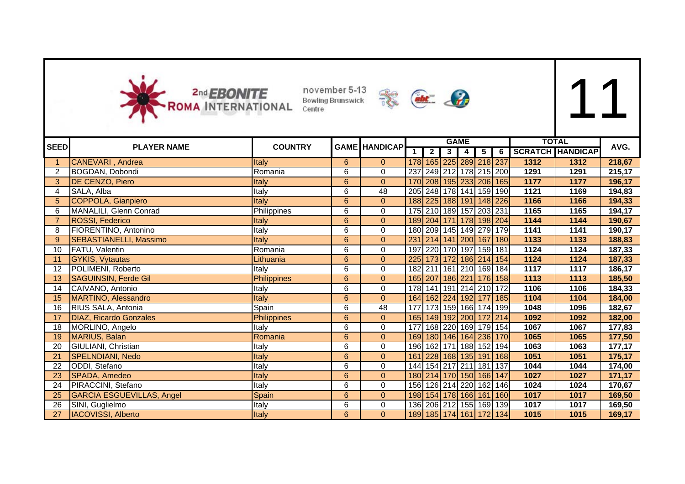



| <b>SEED</b>     | <b>PLAYER NAME</b>               | <b>COUNTRY</b>     |                | <b>GAME HANDICAP</b> |     |                |             | <b>GAME</b>             |                |                         |      | <b>TOTAL</b>            | AVG.   |
|-----------------|----------------------------------|--------------------|----------------|----------------------|-----|----------------|-------------|-------------------------|----------------|-------------------------|------|-------------------------|--------|
|                 |                                  |                    |                |                      |     | $\overline{2}$ | 3           | 4                       | 5 <sup>5</sup> | $6 \mid$                |      | <b>SCRATCH HANDICAP</b> |        |
|                 | <b>CANEVARI</b> , Andrea         | Italy              | 6              | $\mathbf{0}$         |     |                |             | 178 165 225 289 218 237 |                |                         | 1312 | 1312                    | 218,67 |
|                 | BOGDAN, Dobondi                  | Romania            | 6              | $\Omega$             | 237 |                |             |                         |                | 249 212 178 215 200     | 1291 | 1291                    | 215,17 |
| 3               | DE CENZO, Piero                  | Italy              | $6\phantom{a}$ | $\overline{0}$       |     |                |             |                         |                | 170 208 195 233 206 165 | 1177 | 1177                    | 196,17 |
| 4               | SALA, Alba                       | Italy              | 6              | 48                   |     |                |             |                         |                | 205 248 178 141 159 190 | 1121 | 1169                    | 194,83 |
| 5               | COPPOLA, Gianpiero               | Italy              | $6\phantom{a}$ | $\Omega$             |     |                |             |                         |                | 188 225 188 191 148 226 | 1166 | 1166                    | 194,33 |
| 6               | MANALILI, Glenn Conrad           | Philippines        | 6              | $\mathbf 0$          |     |                |             | 175 210 189 157 203 231 |                |                         | 1165 | 1165                    | 194,17 |
|                 | <b>ROSSI, Federico</b>           | Italy              | $6\phantom{a}$ | $\mathbf{0}$         |     |                |             |                         |                | 189 204 171 178 198 204 | 1144 | 1144                    | 190,67 |
| 8               | FIORENTINO, Antonino             | Italy              | 6              | $\Omega$             |     |                |             |                         |                | 180 209 145 149 279 179 | 1141 | 1141                    | 190,17 |
| 9               | SEBASTIANELLI, Massimo           | <b>Italy</b>       | $6\phantom{a}$ | $\overline{0}$       | 231 |                |             |                         |                | 214 141 200 167 180     | 1133 | 1133                    | 188,83 |
| 10              | FATU, Valentin                   | Romania            | 6              | $\Omega$             | 197 |                | 220 170     |                         | 197 159 181    |                         | 1124 | 1124                    | 187,33 |
| 11              | <b>GYKIS, Vytautas</b>           | Lithuania          | $6\phantom{a}$ | $\overline{0}$       |     |                |             |                         |                | 225 173 172 186 214 154 | 1124 | 1124                    | 187,33 |
| 12              | POLIMENI, Roberto                | Italy              | 6              | 0                    |     |                |             |                         |                | 182 211 161 210 169 184 | 1117 | 1117                    | 186,17 |
| 13              | <b>SAGUINSIN, Ferde Gil</b>      | <b>Philippines</b> | $6\phantom{a}$ | $\Omega$             |     |                |             |                         |                | 165 207 186 221 176 158 | 1113 | 1113                    | 185,50 |
| 14              | CAIVANO, Antonio                 | Italy              | 6              | 0                    |     |                |             |                         |                | 178 141 191 214 210 172 | 1106 | 1106                    | 184,33 |
| 15              | MARTINO, Alessandro              | Italy              | $6\phantom{a}$ | $\mathbf{0}$         |     |                |             |                         |                | 164 162 224 192 177 185 | 1104 | 1104                    | 184,00 |
| 16              | RIUS SALA, Antonia               | Spain              | 6              | 48                   | 177 |                |             |                         |                | 173 159 166 174 199     | 1048 | 1096                    | 182,67 |
| 17              | DIAZ, Ricardo Gonzales           | <b>Philippines</b> | $\overline{6}$ | $\Omega$             |     |                |             |                         |                | 165 149 192 200 172 214 | 1092 | 1092                    | 182,00 |
| 18              | MORLINO, Angelo                  | Italy              | 6              | $\Omega$             | 177 |                |             |                         |                | 168 220 169 179 154     | 1067 | 1067                    | 177,83 |
| 19              | MARIUS, Balan                    | Romania            | $\overline{6}$ | $\overline{0}$       |     |                |             |                         |                | 169 180 146 164 236 170 | 1065 | 1065                    | 177,50 |
| 20              | GIULIANI, Christian              | Italy              | 6              | $\mathbf 0$          |     |                | 196 162 171 |                         |                | 188 152 194             | 1063 | 1063                    | 177,17 |
| 21              | <b>SPELNDIANI, Nedo</b>          | Italy              | $6\phantom{a}$ | $\Omega$             | 161 |                |             |                         |                | 228 168 135 191 168     | 1051 | 1051                    | 175,17 |
| 22              | ODDI, Stefano                    | Italy              | 6              | $\Omega$             |     |                |             |                         |                | 144 154 217 211 181 137 | 1044 | 1044                    | 174,00 |
| 23              | SPADA, Amedeo                    | Italy              | $6\phantom{a}$ | $\Omega$             |     |                |             | 180 214 170 150 166 147 |                |                         | 1027 | 1027                    | 171,17 |
| 24              | PIRACCINI, Stefano               | Italy              | 6              | 0                    |     |                |             |                         |                | 156 126 214 220 162 146 | 1024 | 1024                    | 170,67 |
| 25              | <b>GARCIA ESGUEVILLAS, Angel</b> | Spain              | $6\phantom{a}$ | $\overline{0}$       |     |                |             |                         |                | 198 154 178 166 161 160 | 1017 | 1017                    | 169,50 |
| 26              | SINI, Guglielmo                  | Italy              | 6              | 0                    |     |                |             |                         |                | 136 206 212 155 169 139 | 1017 | 1017                    | 169,50 |
| $\overline{27}$ | <b>IACOVISSI, Alberto</b>        | Italy              | $6\phantom{a}$ | $\mathbf{0}$         |     |                |             |                         |                | 189 185 174 161 172 134 | 1015 | 1015                    | 169,17 |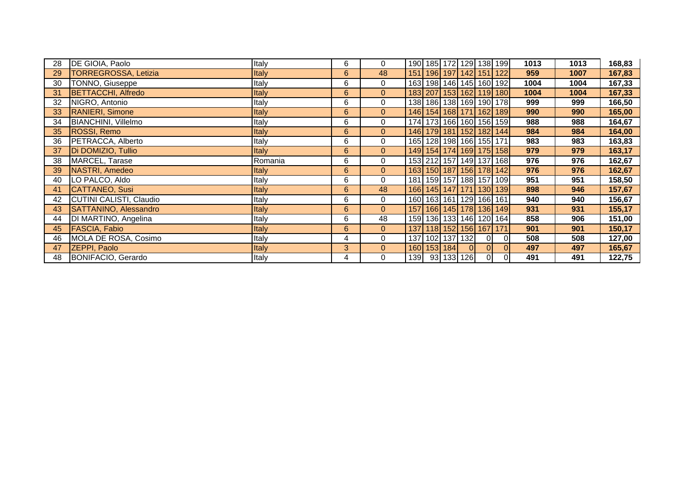| 28 | DE GIOIA, Paolo              | Italy        | 6 | $\mathbf 0$    | 190 185 172 129 138 199           |             |            |                |                                   | 1013 | 1013 | 168,83 |
|----|------------------------------|--------------|---|----------------|-----------------------------------|-------------|------------|----------------|-----------------------------------|------|------|--------|
| 29 | <b>TORREGROSSA, Letizia</b>  | Italy        | 6 | 48             |                                   |             |            |                | 151   196   197   142   151   122 | 959  | 1007 | 167,83 |
| 30 | TONNO, Giuseppe              | Italy        | 6 | 0              | 163 198 146 145 160 192           |             |            |                |                                   | 1004 | 1004 | 167,33 |
| 31 | <b>BETTACCHI, Alfredo</b>    | <b>Italy</b> | 6 | $\mathbf{0}$   | 183 207 153 162 119 180           |             |            |                |                                   | 1004 | 1004 | 167,33 |
| 32 | NIGRO, Antonio               | Italy        | 6 | 0              | 138 186 138 169 190 178           |             |            |                |                                   | 999  | 999  | 166,50 |
| 33 | <b>RANIERI, Simone</b>       | Italy        | 6 | $\mathbf{0}$   | 146 154 168 171 162 189           |             |            |                |                                   | 990  | 990  | 165,00 |
| 34 | BIANCHINI, Villelmo          | Italy        | 6 | $\mathbf 0$    | 174 173 166 160 156 159           |             |            |                |                                   | 988  | 988  | 164,67 |
| 35 | ROSSI, Remo                  | Italy        | 6 | $\mathbf{0}$   |                                   |             |            |                | 146 179 181 152 182 144           | 984  | 984  | 164,00 |
| 36 | <b>PETRACCA, Alberto</b>     | Italy        | 6 | 0              | 165 128 198 166 155 171           |             |            |                |                                   | 983  | 983  | 163,83 |
| 37 | Di DOMIZIO, Tullio           | Italy        | 6 | $\mathbf{0}$   |                                   |             |            |                | 149 154 174 169 175 158           | 979  | 979  | 163,17 |
| 38 | MARCEL, Tarase               | Romania      | 6 | 0              | 153 212 157 149 137 168           |             |            |                |                                   | 976  | 976  | 162,67 |
| 39 | NASTRI, Amedeo               | Italy        | 6 | $\overline{0}$ |                                   |             |            |                | 163 150 187 156 178 142           | 976  | 976  | 162,67 |
| 40 | LO PALCO, Aldo               | Italy        | 6 | $\mathbf 0$    | 181   159   157   188   157   109 |             |            |                |                                   | 951  | 951  | 158,50 |
| 41 | CATTANEO, Susi               | Italy        | 6 | 48             |                                   |             |            |                | 166 145 147 171 130 139           | 898  | 946  | 157,67 |
| 42 | CUTINI CALISTI, Claudio      | Italy        | 6 | 0              | 160 163 161 129 166 161           |             |            |                |                                   | 940  | 940  | 156,67 |
| 43 | <b>SATTANINO, Alessandro</b> | Italy        | 6 | $\overline{0}$ | 157 166 145 178 136 149           |             |            |                |                                   | 931  | 931  | 155,17 |
| 44 | DI MARTINO, Angelina         | Italy        | 6 | 48             | 159 136 133 146 120 164           |             |            |                |                                   | 858  | 906  | 151,00 |
| 45 | <b>FASCIA, Fabio</b>         | Italy        | 6 | $\overline{0}$ | 137 118 152 156 167 171           |             |            |                |                                   | 901  | 901  | 150,17 |
| 46 | MOLA DE ROSA, Cosimo         | Italy        | 4 | 0              | 137 102 137 132                   |             |            | $\overline{0}$ | 01                                | 508  | 508  | 127,00 |
| 47 | <b>ZEPPI, Paolo</b>          | <b>Italy</b> | 3 | $\mathbf{0}$   |                                   | 160 153 184 | $\Omega$   | ΟI             | $\overline{0}$                    | 497  | 497  | 165,67 |
| 48 | BONIFACIO, Gerardo           | Italy        | 4 | 0              | 139                               |             | 93 133 126 | $\overline{0}$ | 0                                 | 491  | 491  | 122,75 |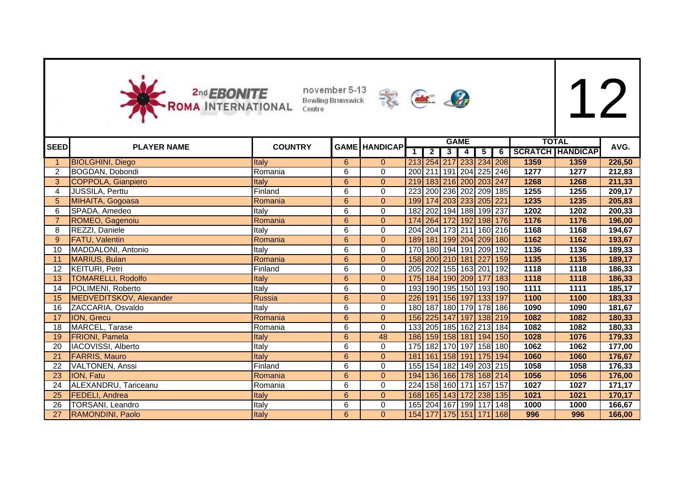



| <b>SEED</b> | <b>PLAYER NAME</b>        | <b>COUNTRY</b> |                | <b>GAME HANDICAP</b> |                |                         | <b>GAME</b>                       |                |   |      | <b>TOTAL</b>            | AVG.   |
|-------------|---------------------------|----------------|----------------|----------------------|----------------|-------------------------|-----------------------------------|----------------|---|------|-------------------------|--------|
|             |                           |                |                |                      | $\overline{2}$ | $\overline{\mathbf{3}}$ | 4                                 | 5 <sub>1</sub> | 6 |      | <b>SCRATCH HANDICAP</b> |        |
|             | <b>BIOLGHINI, Diego</b>   | Italy          | 6              | $\Omega$             |                |                         | 213 254 217 233 234 208           |                |   | 1359 | 1359                    | 226,50 |
|             | BOGDAN, Dobondi           | Romania        | 6              | $\Omega$             |                |                         | 200 211 191 204 225 246           |                |   | 1277 | 1277                    | 212,83 |
| 3           | COPPOLA, Gianpiero        | <b>Italy</b>   | $6\phantom{a}$ | $\Omega$             |                |                         | 219 183 216 200 203 247           |                |   | 1268 | 1268                    | 211,33 |
| 4           | JUSSILA, Perttu           | Finland        | 6              | 0                    |                |                         | 223 200 236 202 209 185           |                |   | 1255 | 1255                    | 209,17 |
| 5           | MIHAITA, Gogoasa          | Romania        | $6\phantom{a}$ | $\overline{0}$       |                |                         | 199 174 203 233 205 221           |                |   | 1235 | 1235                    | 205,83 |
| 6           | SPADA, Amedeo             | Italy          | 6              | $\Omega$             |                |                         | 182 202 194 188 199 237           |                |   | 1202 | 1202                    | 200,33 |
|             | ROMEO, Gagenoiu           | Romania        | $\overline{6}$ | $\Omega$             |                |                         | 174 264 172 192 198 176           |                |   | 1176 | 1176                    | 196,00 |
| 8           | REZZI, Daniele            | Italy          | 6              | 0                    |                |                         | 204 204 173 211 160 216           |                |   | 1168 | 1168                    | 194,67 |
| 9           | <b>FATU, Valentin</b>     | Romania        | $6\phantom{a}$ | $\Omega$             |                |                         | 189 181 199 204 209 180           |                |   | 1162 | 1162                    | 193,67 |
| 10          | MADDALONI, Antonio        | Italy          | 6              | $\Omega$             |                |                         | 170 180 194 191 209 192           |                |   | 1136 | 1136                    | 189,33 |
|             | MARIUS, Bulan             | Romania        | $\overline{6}$ | $\overline{0}$       |                |                         | 158 200 210 181 227 159           |                |   | 1135 | 1135                    | 189,17 |
| 12          | <b>KEITURI, Petri</b>     | Finland        | 6              | $\Omega$             |                |                         | 205 202 155 163 201 192           |                |   | 1118 | 1118                    | 186,33 |
| 13          | <b>TOMARELLI, Rodolfo</b> | Italy          | $6\phantom{a}$ | $\Omega$             |                |                         | 175 184 190 209 177 183           |                |   | 1118 | 1118                    | 186,33 |
| 14          | <b>POLIMENI</b> , Roberto | Italy          | 6              | $\Omega$             |                |                         | 193 190 195 150 193 190           |                |   | 1111 | 1111                    | 185,17 |
| 15          | MEDVEDITSKOV, Alexander   | Russia         | $6\phantom{a}$ | $\Omega$             |                |                         | 226 191 156 197 133 197           |                |   | 1100 | 1100                    | 183,33 |
| 16          | ZACCARIA, Osvaldo         | Italy          | 6              | 0                    |                |                         | 180   187   180   179   178   186 |                |   | 1090 | 1090                    | 181,67 |
| 17          | ION, Grecu                | Romania        | $6\phantom{a}$ | $\overline{0}$       |                |                         | 156 225 147 197 138 219           |                |   | 1082 | 1082                    | 180,33 |
| 18          | MARCEL, Tarase            | Romania        | 6              | $\Omega$             |                |                         | 133 205 185 162 213 184           |                |   | 1082 | 1082                    | 180,33 |
| 19          | <b>FRIONI</b> , Pamela    | Italy          | $6\phantom{1}$ | 48                   |                |                         | 186 159 158 181 194 150           |                |   | 1028 | 1076                    | 179,33 |
| 20          | IACOVISSI, Alberto        | Italy          | 6              | $\mathbf 0$          |                |                         | 175 182 170 197 158 180           |                |   | 1062 | 1062                    | 177,00 |
| 21          | <b>FARRIS, Mauro</b>      | <b>Italy</b>   | $6\phantom{1}$ | $\Omega$             |                |                         | 181 161 158 191 175 194           |                |   | 1060 | 1060                    | 176,67 |
| 22          | <b>VALTONEN, Anssi</b>    | Finland        | 6              | 0                    |                |                         | 155 154 182 149 203 215           |                |   | 1058 | 1058                    | 176,33 |
| 23          | <b>ION, Fatu</b>          | Romania        | $6\phantom{a}$ | $\Omega$             |                |                         | 194 136 166 178 168 214           |                |   | 1056 | 1056                    | 176,00 |
| 24          | ALEXANDRU, Tariceanu      | Romania        | 6              | $\Omega$             |                |                         | 224 158 160 171 157 157           |                |   | 1027 | 1027                    | 171,17 |
| 25          | <b>FEDELI, Andrea</b>     | Italy          | $6\phantom{a}$ | $\Omega$             |                |                         | 168 165 143 172 238 135           |                |   | 1021 | 1021                    | 170,17 |
| 26          | <b>TORSANI, Leandro</b>   | Italy          | 6              | 0                    |                |                         | 165 204 167 199 117 148           |                |   | 1000 | 1000                    | 166,67 |
| 27          | RAMONDINI, Paolo          | Italy          | 6              | $\mathbf{0}$         |                |                         | 154 177 175 151 171 168           |                |   | 996  | 996                     | 166,00 |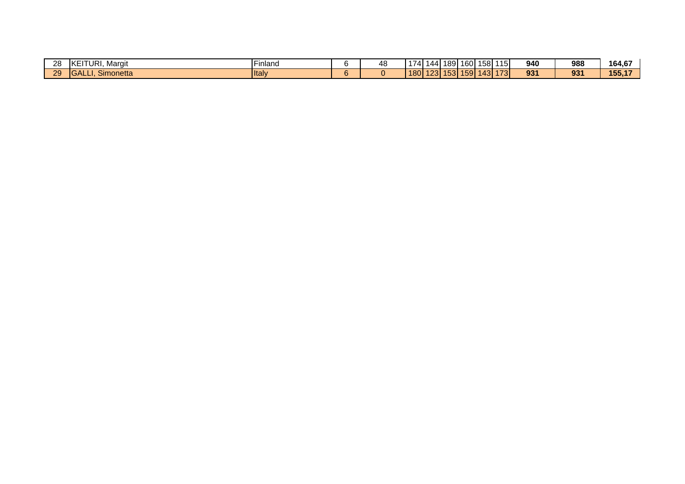| 28 | URI.<br>IKE)<br>Margit             | .<br><b>IFinland</b> | 48 | .<br>74          | 144 | 189 I    | 160 <sup>1</sup> | 158  | 115         | 940 | 988 | 164,67     |
|----|------------------------------------|----------------------|----|------------------|-----|----------|------------------|------|-------------|-----|-----|------------|
| 29 | $\sim$<br><b>IGAL</b><br>Simonetta | <b>I</b> taly        |    | 180 <sup>1</sup> |     | 12311531 | 159              | 1431 | 172<br>-01- | 931 | 93' | 155,1<br>. |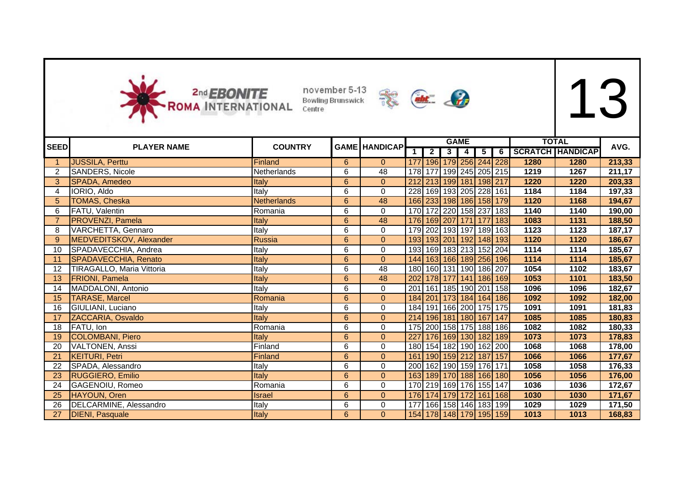



|                |                                  |                    |                |                      |                  |                         |                | <b>GAME</b>    |                |      | <b>TOTAL</b>       |        |
|----------------|----------------------------------|--------------------|----------------|----------------------|------------------|-------------------------|----------------|----------------|----------------|------|--------------------|--------|
| <b>SEED</b>    | <b>PLAYER NAME</b>               | <b>COUNTRY</b>     |                | <b>GAME HANDICAP</b> |                  | $\overline{2}$          | 3 <sup>1</sup> | $\overline{4}$ | $\overline{5}$ |      | 6 SCRATCH HANDICAP | AVG.   |
|                | <b>JUSSILA, Perttu</b>           | Finland            | 6              | $\overline{0}$       | 177              | 196 179 256 244 228     |                |                |                | 1280 | 1280               | 213,33 |
| 2              | <b>SANDERS, Nicole</b>           | <b>Netherlands</b> | 6              | 48                   |                  | 178 177 199 245 205 215 |                |                |                | 1219 | 1267               | 211,17 |
| 3              | SPADA, Amedeo                    | <b>Italy</b>       | $\overline{6}$ | $\overline{0}$       |                  | 212 213 199 181 198 217 |                |                |                | 1220 | 1220               | 203,33 |
| 4              | IORIO, Aldo                      | Italy              | 6              | 0                    |                  | 228 169 193 205 228 161 |                |                |                | 1184 | 1184               | 197,33 |
| 5              | <b>TOMAS, Cheska</b>             | <b>Netherlands</b> | 6              | 48                   |                  | 166 233 198 186 158 179 |                |                |                | 1120 | 1168               | 194,67 |
| 6              | FATU, Valentin                   | Romania            | 6              | 0                    |                  | 170 172 220 158 237 183 |                |                |                | 1140 | 1140               | 190,00 |
| $\overline{7}$ | <b>PROVENZI, Pamela</b>          | Italy              | 6              | 48                   |                  | 176 169 207 171 177 183 |                |                |                | 1083 | 1131               | 188,50 |
| 8              | VARCHETTA, Gennaro               | Italy              | 6              | 0                    |                  | 179 202 193 197 189 163 |                |                |                | 1123 | 1123               | 187,17 |
| 9              | MEDVEDITSKOV, Alexander          | <b>Russia</b>      | 6              | $\mathbf{0}$         |                  | 193 193 201 192 148 193 |                |                |                | 1120 | 1120               | 186,67 |
| 10             | SPADAVECCHIA, Andrea             | Italy              | 6              | 0                    |                  | 193 169 183 213 152 204 |                |                |                | 1114 | 1114               | 185,67 |
| 11             | SPADAVECCHIA, Renato             | Italy              | 6              | $\overline{0}$       |                  | 144 163 166 189 256 196 |                |                |                | 1114 | 1114               | 185,67 |
| 12             | <b>TIRAGALLO, Maria Vittoria</b> | Italy              | 6              | 48                   |                  | 180 160 131 190 186 207 |                |                |                | 1054 | 1102               | 183,67 |
| 13             | <b>FRIONI, Pamela</b>            | Italy              | 6              | 48                   |                  | 202 178 177 141 186 169 |                |                |                | 1053 | 1101               | 183,50 |
| 14             | MADDALONI, Antonio               | Italy              | 6              | 0                    |                  | 201 161 185 190 201 158 |                |                |                | 1096 | 1096               | 182,67 |
| 15             | <b>TARASE, Marcel</b>            | Romania            | 6              | $\overline{0}$       |                  | 184 201 173 184 164 186 |                |                |                | 1092 | 1092               | 182,00 |
| 16             | GIULIANI, Luciano                | Italy              | 6              | $\mathbf 0$          |                  | 184 191 166 200 175 175 |                |                |                | 1091 | 1091               | 181,83 |
| 17             | ZACCARIA, Osvaldo                | Italy              | 6              | $\overline{0}$       |                  | 214 196 181 180 167 147 |                |                |                | 1085 | 1085               | 180,83 |
| 18             | FATU, Ion                        | Romania            | 6              | 0                    |                  | 175 200 158 175 188 186 |                |                |                | 1082 | 1082               | 180,33 |
| 19             | <b>COLOMBANI, Piero</b>          | Italy              | 6              | $\mathbf{0}$         | $\overline{227}$ | 176 169 130 182 189     |                |                |                | 1073 | 1073               | 178,83 |
| 20             | <b>VALTONEN, Anssi</b>           | Finland            | 6              | 0                    |                  | 180 154 182 190 162 200 |                |                |                | 1068 | 1068               | 178,00 |
| 21             | <b>KEITURI, Petri</b>            | Finland            | 6              | $\mathbf{0}$         |                  | 161 190 159 212 187 157 |                |                |                | 1066 | 1066               | 177,67 |
| 22             | SPADA, Alessandro                | Italy              | 6              | 0                    |                  | 200 162 190 159 176 171 |                |                |                | 1058 | 1058               | 176,33 |
| 23             | <b>RUGGIERO, Emilio</b>          | Italy              | 6              | $\overline{0}$       |                  | 163 189 170 188 166 180 |                |                |                | 1056 | 1056               | 176,00 |
| 24             | GAGENOIU, Romeo                  | Romania            | 6              | 0                    |                  | 170 219 169 176 155 147 |                |                |                | 1036 | 1036               | 172,67 |
| 25             | HAYOUN, Oren                     | <b>Israel</b>      | 6              | $\mathbf{0}$         |                  | 176 174 179 172 161 168 |                |                |                | 1030 | 1030               | 171,67 |
| 26             | DELCARMINE, Alessandro           | Italy              | 6              | 0                    |                  | 177 166 158 146 183 199 |                |                |                | 1029 | 1029               | 171,50 |
| 27             | <b>DIENI, Pasquale</b>           | Italy              | 6              | $\mathbf{0}$         |                  | 154 178 148 179 195 159 |                |                |                | 1013 | 1013               | 168,83 |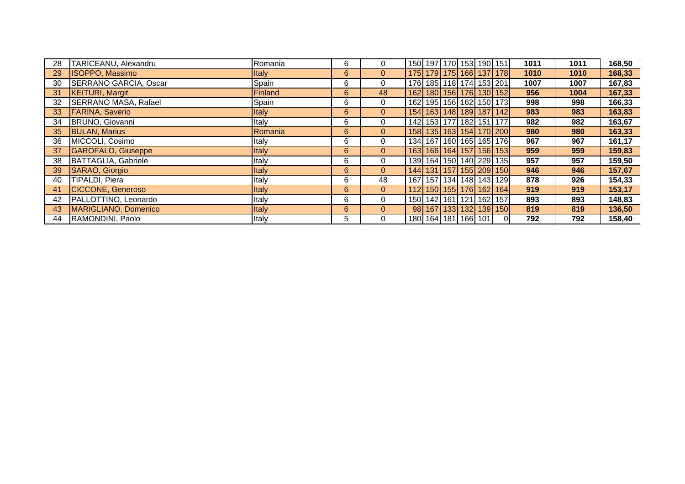| 28 | TARICEANU, Alexandru        | Romania      | 6 | $\mathbf{0}$   |                     |  |  | 150 197 170 153 190 151           | 1011 | 1011 | 168,50 |
|----|-----------------------------|--------------|---|----------------|---------------------|--|--|-----------------------------------|------|------|--------|
| 29 | <b>ISOPPO, Massimo</b>      | <b>Italy</b> | 6 | $\overline{0}$ |                     |  |  | 175 179 175 166 137 178           | 1010 | 1010 | 168,33 |
| 30 | SERRANO GARCIA, Oscar       | Spain        | 6 | 0              |                     |  |  | 176 185 118 174 153 201           | 1007 | 1007 | 167,83 |
| 31 | <b>KEITURI, Margit</b>      | Finland      | 6 | 48             |                     |  |  | 162 180 156 176 130 152           | 956  | 1004 | 167,33 |
| 32 | <b>SERRANO MASA, Rafael</b> | Spain        | 6 | 0              |                     |  |  | 162 195 156 162 150 173           | 998  | 998  | 166,33 |
| 33 | <b>FARINA, Saverio</b>      | <b>Italy</b> | 6 | $\overline{0}$ |                     |  |  | 154 163 148 189 187 142           | 983  | 983  | 163,83 |
| 34 | BRUNO, Giovanni             | Italy        | 6 | $\mathbf{0}$   |                     |  |  | 142 153 177 182 151 177           | 982  | 982  | 163,67 |
| 35 | <b>BULAN, Marius</b>        | Romania      | 6 | $\overline{0}$ |                     |  |  | 158 135 163 154 170 200           | 980  | 980  | 163,33 |
| 36 | MICCOLI, Cosimo             | Italy        | 6 | 0              |                     |  |  | 134 167 160 165 165 176           | 967  | 967  | 161,17 |
| 37 | GAROFALO, Giuseppe          | <b>Italy</b> | 6 | $\overline{0}$ |                     |  |  | 163 166 164 157 156 153           | 959  | 959  | 159,83 |
| 38 | BATTAGLIA, Gabriele         | Italy        | 6 | 0              |                     |  |  | 139 164 150 140 229 135           | 957  | 957  | 159,50 |
| 39 | SARAO, Giorgio              | <b>Italy</b> | 6 | $\overline{0}$ |                     |  |  | 144 131 157 155 209 150           | 946  | 946  | 157,67 |
| 40 | TIPALDI, Piera              | Italy        | 6 | 48             |                     |  |  | 167   157   134   148   143   129 | 878  | 926  | 154,33 |
| 41 | <b>CICCONE, Generoso</b>    | Italy        | 6 | $\overline{0}$ |                     |  |  | 112 150 155 176 162 164           | 919  | 919  | 153,17 |
| 42 | PALLOTTINO, Leonardo        | Italy        | 6 | $\mathbf 0$    |                     |  |  | 150 142 161 121 162 157           | 893  | 893  | 148,83 |
| 43 | MARIGLIANO, Domenico        | <b>Italy</b> | 6 | $\mathbf{0}$   |                     |  |  | 98 167 133 132 139 150            | 819  | 819  | 136,50 |
| 44 | RAMONDINI, Paolo            | Italy        | 5 | 0              | 180 164 181 166 101 |  |  | $\Omega$                          | 792  | 792  | 158,40 |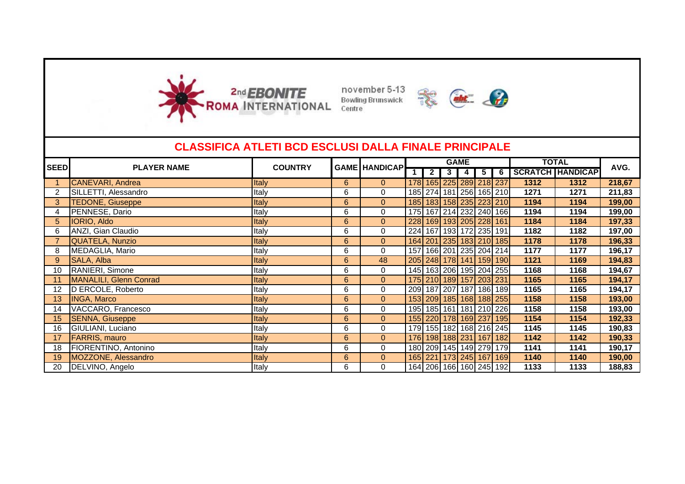





|                 | <b>CLASSIFICA ATLETI BCD ESCLUSI DALLA FINALE PRINCIPALE</b> |                |                |                      |     |                |                |                         |             |      |                         |        |
|-----------------|--------------------------------------------------------------|----------------|----------------|----------------------|-----|----------------|----------------|-------------------------|-------------|------|-------------------------|--------|
| <b>SEED</b>     | <b>PLAYER NAME</b>                                           | <b>COUNTRY</b> |                | <b>GAME HANDICAP</b> |     |                |                | <b>GAME</b>             |             |      | <b>TOTAL</b>            | AVG.   |
|                 |                                                              |                |                |                      |     | $\overline{2}$ | 3 <sup>1</sup> | 4 I                     | $5\sqrt{6}$ |      | <b>SCRATCH HANDICAP</b> |        |
|                 | <b>CANEVARI, Andrea</b>                                      | Italy          | 6              | $\overline{0}$       |     |                |                | 178 165 225 289 218 237 |             | 1312 | 1312                    | 218,67 |
| 2               | SILLETTI, Alessandro                                         | Italy          | 6              | 0                    |     |                |                | 185 274 181 256 165 210 |             | 1271 | 1271                    | 211,83 |
| 3               | <b>TEDONE, Giuseppe</b>                                      | Italy          | 6              | $\overline{0}$       |     |                |                | 185 183 158 235 223 210 |             | 1194 | 1194                    | 199,00 |
| 4               | PENNESE, Dario                                               | Italy          | 6              | 0                    |     |                |                | 175 167 214 232 240 166 |             | 1194 | 1194                    | 199,00 |
| 5               | <b>IORIO, Aldo</b>                                           | Italy          | 6              | $\mathbf{0}$         | 228 |                |                | 169 193 205 228 161     |             | 1184 | 1184                    | 197,33 |
| 6               | ANZI, Gian Claudio                                           | Italy          | 6              | 0                    |     |                |                | 224 167 193 172 235 191 |             | 1182 | 1182                    | 197,00 |
|                 | <b>QUATELA, Nunzio</b>                                       | Italy          | 6              | $\overline{0}$       |     |                |                | 164 201 235 183 210 185 |             | 1178 | 1178                    | 196,33 |
| 8               | MEDAGLIA, Mario                                              | Italy          | 6              | 0                    |     |                |                | 157 166 201 235 204 214 |             | 1177 | 1177                    | 196,17 |
| 9               | SALA, Alba                                                   | Italy          | 6              | 48                   |     |                |                | 205 248 178 141 159 190 |             | 1121 | 1169                    | 194,83 |
| 10              | RANIERI, Simone                                              | Italy          | 6              | 0                    |     |                |                | 145 163 206 195 204 255 |             | 1168 | 1168                    | 194,67 |
| 11              | MANALILI, Glenn Conrad                                       | Italy          | 6              | $\mathbf{0}$         |     |                |                | 175 210 189 157 203 231 |             | 1165 | 1165                    | 194,17 |
| 12              | D ERCOLE, Roberto                                            | Italy          | 6              | 0                    |     |                |                | 209 187 207 187 186 189 |             | 1165 | 1165                    | 194,17 |
| 13 <sup>°</sup> | <b>INGA, Marco</b>                                           | Italy          | $6\phantom{1}$ | $\overline{0}$       |     |                |                | 153 209 185 168 188 255 |             | 1158 | 1158                    | 193,00 |
| 14              | VACCARO, Francesco                                           | Italy          | 6              | 0                    |     |                |                | 195 185 161 181 210 226 |             | 1158 | 1158                    | 193,00 |
| 15              | <b>SENNA, Giuseppe</b>                                       | Italy          | 6              | $\mathbf{0}$         |     |                |                | 155 220 178 169 237 195 |             | 1154 | 1154                    | 192,33 |
| 16              | GIULIANI, Luciano                                            | Italy          | 6              | 0                    |     |                |                | 179 155 182 168 216 245 |             | 1145 | 1145                    | 190,83 |
| 17              | <b>FARRIS, mauro</b>                                         | Italy          | 6              | 0                    |     |                |                | 176 198 188 231 167 182 |             | 1142 | 1142                    | 190,33 |
| 18              | FIORENTINO, Antonino                                         | Italy          | 6              | 0                    |     |                |                | 180 209 145 149 279 179 |             | 1141 | 1141                    | 190,17 |
| 19              | MOZZONE, Alessandro                                          | Italy          | 6              | $\overline{0}$       |     |                |                | 165 221 173 245 167 169 |             | 1140 | 1140                    | 190,00 |
| 20              | DELVINO, Angelo                                              | Italy          | 6              | 0                    |     |                |                | 164 206 166 160 245 192 |             | 1133 | 1133                    | 188,83 |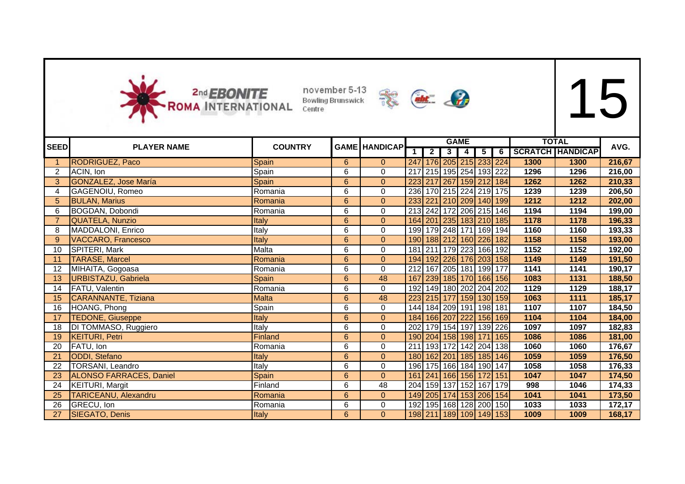



|                | <b>2nd EBONITE</b><br>ROMA INTERNATIONAL | Centre         | november 5-13<br><b>Bowling Brunswick</b> |                      | abt 2            |                |   |                         |                |                |                         |      |        |
|----------------|------------------------------------------|----------------|-------------------------------------------|----------------------|------------------|----------------|---|-------------------------|----------------|----------------|-------------------------|------|--------|
| SEEDI          | <b>PLAYER NAME</b>                       | <b>COUNTRY</b> |                                           | <b>GAME HANDICAP</b> |                  |                |   | <b>GAME</b>             |                |                | <b>TOTAL</b>            |      | AVG.   |
|                |                                          |                |                                           |                      | $\mathbf{1}$     | $\overline{2}$ | 3 | 4                       | $\overline{5}$ | $\overline{6}$ | <b>SCRATCH HANDICAP</b> |      |        |
| 1.             | <b>RODRIGUEZ, Paco</b>                   | Spain          | 6                                         | $\overline{0}$       |                  |                |   | 247 176 205 215 233 224 |                |                | 1300                    | 1300 | 216,67 |
| $\overline{2}$ | ACIN, Ion                                | Spain          | 6                                         | $\mathbf{0}$         | 217              |                |   | 215 195 254 193 222     |                |                | 1296                    | 1296 | 216,00 |
| 3              | <b>GONZALEZ, Jose María</b>              | Spain          | $6\phantom{1}$                            | $\Omega$             | 223              |                |   | 217 267 159 212 184     |                |                | 1262                    | 1262 | 210,33 |
| 4              | <b>GAGENOIU, Romeo</b>                   | Romania        | 6                                         | 0                    | 236              |                |   | 170 215 224 219 175     |                |                | 1239                    | 1239 | 206,50 |
| 5 <sup>5</sup> | <b>BULAN, Marius</b>                     | Romania        | 6                                         | $\overline{0}$       | 233              |                |   | 221 210 209 140 199     |                |                | 1212                    | 1212 | 202,00 |
| 6              | BOGDAN, Dobondi                          | Romania        | 6                                         | $\Omega$             |                  |                |   | 213 242 172 206 215 146 |                |                | 1194                    | 1194 | 199,00 |
| $\overline{7}$ | QUATELA, Nunzio                          | Italy          | 6                                         | $\Omega$             |                  |                |   | 164 201 235 183 210 185 |                |                | 1178                    | 1178 | 196,33 |
| 8              | MADDALONI, Enrico                        | Italy          | 6                                         | $\mathbf 0$          |                  |                |   | 199 179 248 171 169 194 |                |                | 1160                    | 1160 | 193,33 |
| 9              | <b>VACCARO, Francesco</b>                | Italy          | 6                                         | $\Omega$             |                  |                |   | 190 188 212 160 226 182 |                |                | 1158                    | 1158 | 193,00 |
| 10             | SPITERI, Mark                            | Malta          | 6                                         | $\mathbf 0$          | 181              |                |   | 211 179 223 166 192     |                |                | 1152                    | 1152 | 192,00 |
| 11             | <b>TARASE, Marcel</b>                    | Romania        | $6\phantom{1}$                            | $\Omega$             | 194              | 192 226        |   |                         |                | 176 203 158    | 1149                    | 1149 | 191,50 |
| 12             | MIHAITA, Gogoasa                         | Romania        | 6                                         | 0                    | 212              | 167 205        |   |                         |                | 181 199 177    | 1141                    | 1141 | 190,17 |
| 13             | <b>URBISTAZU, Gabriela</b>               | Spain          | 6                                         | 48                   | 167              |                |   | 239 185 170 166 156     |                |                | 1083                    | 1131 | 188,50 |
| 14             | FATU, Valentin                           | Romania        | 6                                         | 0                    | 192              |                |   | 149 180 202 204 202     |                |                | 1129                    | 1129 | 188,17 |
| 15             | <b>CARANNANTE, Tiziana</b>               | <b>Malta</b>   | 6                                         | 48                   | 223              |                |   | 215 177 159 130 159     |                |                | 1063                    | 1111 | 185,17 |
| 16             | HOANG, Phong                             | Spain          | 6                                         | $\Omega$             |                  |                |   | 144 184 209 191 198 181 |                |                | 1107                    | 1107 | 184,50 |
| 17             | <b>TEDONE, Giuseppe</b>                  | Italy          | 6                                         | $\overline{0}$       |                  |                |   | 184 166 207 222         |                | 156 169        | 1104                    | 1104 | 184,00 |
| 18             | DI TOMMASO, Ruggiero                     | Italy          | 6                                         | $\mathbf 0$          | $\overline{202}$ |                |   | 179 154 197 139 226     |                |                | 1097                    | 1097 | 182,83 |
| 19             | <b>KEITURI, Petri</b>                    | Finland        | $6\phantom{1}$                            | $\overline{0}$       |                  |                |   | 190 204 158 198         | $171$          | 165            | 1086                    | 1086 | 181,00 |
| 20             | FATU, Ion                                | Romania        | 6                                         | $\Omega$             | 211              | 193 172        |   |                         | 142 204        | 138            | 1060                    | 1060 | 176,67 |
| 21             | <b>ODDI</b> , Stefano                    | Italy          | 6                                         | $\Omega$             | 180              | 162 201        |   |                         |                | 185 185 146    | 1059                    | 1059 | 176,50 |
| 22             | <b>TORSANI, Leandro</b>                  | Italy          | 6                                         | $\Omega$             |                  |                |   | 196 175 166 184 190 147 |                |                | 1058                    | 1058 | 176,33 |
| 23             | <b>ALONSO FARRACES, Daniel</b>           | Spain          | 6                                         | $\overline{0}$       | 161              | 241 166        |   |                         | 156 172 151    |                | 1047                    | 1047 | 174,50 |
| 24             | <b>KEITURI, Margit</b>                   | Finland        | 6                                         | $\overline{48}$      | 204              | 159 137        |   | 152                     |                | 167 179        | 998                     | 1046 | 174,33 |
| 25             | <b>TARICEANU, Alexandru</b>              | Romania        | $6\phantom{a}$                            | $\overline{0}$       |                  |                |   | 149 205 174 153 206 154 |                |                | 1041                    | 1041 | 173,50 |
| 26             | GRECU, Ion                               | Romania        | 6                                         | 0                    | 192              |                |   | 195 168 128 200 150     |                |                | 1033                    | 1033 | 172,17 |
| 27             | SIEGATO, Denis                           | Italy          | 6                                         | $\overline{0}$       |                  |                |   | 198 211 189 109 149 153 |                |                | 1009                    | 1009 | 168,17 |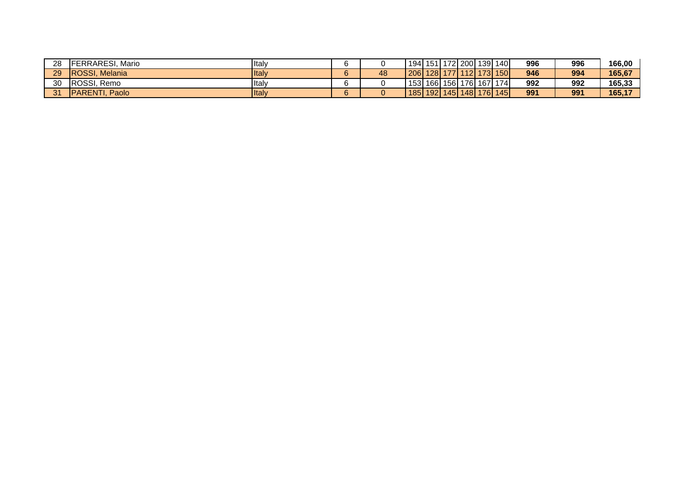| 28 | <b>IFERRARESI.</b><br>Mario | <b>Italy</b>  |    |    | 194   151                         |  |  | ' 172  200  139  140 | 996 | 996 | 166,00 |
|----|-----------------------------|---------------|----|----|-----------------------------------|--|--|----------------------|-----|-----|--------|
| 29 | <b>IROSSI, Melania</b>      | <b>I</b> taly |    | 48 | 206 128                           |  |  | 177 112 173 150      | 946 | 994 | 165.67 |
| 30 | ROSSI, Remo                 | <b>I</b> taly |    |    | 153   166   156   176   167   174 |  |  |                      | 992 | 992 | 165.33 |
| 24 | <b>IPARENTI.</b><br>Paolo   | <b>I</b> taly | c. |    | 185 192 145 148 1                 |  |  | 176 145              | 991 | 991 | 165,17 |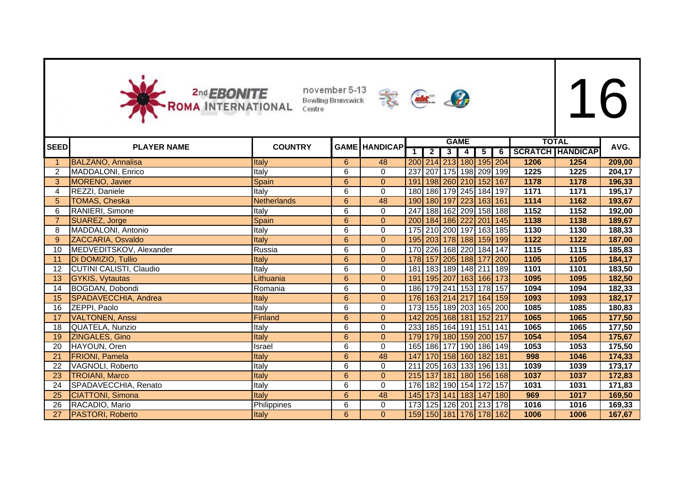



|                |                          |                |                | <b>GAME HANDICAP</b> |                         |                |                         | <b>GAME</b>    |                 |                                   | <b>TOTAL</b> |                         | AVG.   |
|----------------|--------------------------|----------------|----------------|----------------------|-------------------------|----------------|-------------------------|----------------|-----------------|-----------------------------------|--------------|-------------------------|--------|
| <b>SEED</b>    | <b>PLAYER NAME</b>       | <b>COUNTRY</b> |                |                      | $\overline{\mathbf{1}}$ | $\overline{2}$ | 3 <sup>1</sup>          | $\overline{4}$ | $5\overline{)}$ | 6                                 |              | <b>SCRATCH HANDICAP</b> |        |
| $\mathbf{1}$   | <b>BALZANO, Annalisa</b> | Italy          | 6              | 48                   |                         |                |                         |                |                 | 200 214 213 180 195 204           | 1206         | 1254                    | 209,00 |
| $\overline{2}$ | MADDALONI, Enrico        | Italy          | 6              | 0                    |                         |                | 237 207 175 198 209 199 |                |                 |                                   | 1225         | 1225                    | 204,17 |
| 3              | MORENO, Javier           | Spain          | 6              | $\mathbf{0}$         | 191                     |                | 198 260 210 152         |                |                 | 167                               | 1178         | 1178                    | 196,33 |
| 4              | REZZI, Daniele           | Italy          | 6              | $\mathsf{O}$         |                         |                | 180 186 179 245 184 197 |                |                 |                                   | 1171         | 1171                    | 195,17 |
| 5              | <b>TOMAS, Cheska</b>     | Netherlands    | 6              | 48                   |                         |                | 190 180 197 223 163 161 |                |                 |                                   | 1114         | 1162                    | 193,67 |
| 6              | RANIERI, Simone          | Italy          | 6              | 0                    | $\overline{247}$        |                | 188 162 209 158 188     |                |                 |                                   | 1152         | 1152                    | 192,00 |
| $\overline{7}$ | SUAREZ, Jorge            | Spain          | 6              | $\mathbf{0}$         |                         |                | 200 184 186 222 201     |                |                 | 145                               | 1138         | 1138                    | 189,67 |
| 8              | MADDALONI, Antonio       | Italy          | 6              | 0                    |                         |                | 175 210 200 197 163 185 |                |                 |                                   | 1130         | 1130                    | 188,33 |
| 9              | ZACCARIA, Osvaldo        | Italy          | 6              | $\mathbf 0$          |                         |                |                         |                |                 | 195 203 178 188 159 199           | 1122         | 1122                    | 187,00 |
| 10             | MEDVEDITSKOV, Alexander  | Russia         | 6              | 0                    |                         |                | 170 226 168 220 184 147 |                |                 |                                   | 1115         | 1115                    | 185,83 |
| 11             | Di DOMIZIO, Tullio       | Italy          | 6              | $\mathbf{0}$         |                         |                | 178 157 205 188 177     |                |                 | 200                               | 1105         | 1105                    | 184,17 |
| 12             | CUTINI CALISTI, Claudio  | Italy          | 6              | 0                    | 181                     |                | 183 189 148 211 189     |                |                 |                                   | 1101         | 1101                    | 183,50 |
| 13             | <b>GYKIS, Vytautas</b>   | Lithuania      | 6              | $\mathbf{0}$         |                         |                |                         |                |                 | 191   195   207   163   166   173 | 1095         | 1095                    | 182,50 |
| 14             | BOGDAN, Dobondi          | Romania        | 6              | 0                    |                         |                | 186 179 241 153 178 157 |                |                 |                                   | 1094         | 1094                    | 182,33 |
| 15             | SPADAVECCHIA, Andrea     | Italy          | 6              | $\mathbf{0}$         |                         |                | 176 163 214 217 164 159 |                |                 |                                   | 1093         | 1093                    | 182,17 |
| 16             | ZEPPI, Paolo             | Italy          | 6              | 0                    |                         |                | 173 155 189 203 165 200 |                |                 |                                   | 1085         | 1085                    | 180,83 |
| 17             | <b>VALTONEN, Anssi</b>   | Finland        | 6              | $\mathbf 0$          |                         |                | 142 205 168 181 152 217 |                |                 |                                   | 1065         | 1065                    | 177,50 |
| 18             | QUATELA, Nunzio          | Italy          | 6              | 0                    |                         |                | 233 185 164 191 151 141 |                |                 |                                   | 1065         | 1065                    | 177,50 |
| 19             | ZINGALES, Gino           | Italy          | 6              | $\overline{0}$       |                         |                | 179 179 180 159 200 157 |                |                 |                                   | 1054         | 1054                    | 175,67 |
| 20             | HAYOUN, Oren             | Israel         | 6              | $\Omega$             |                         |                | 165 186 177 190 186 149 |                |                 |                                   | 1053         | 1053                    | 175,50 |
| 21             | <b>FRIONI</b> , Pamela   | Italy          | $6\phantom{a}$ | 48                   | 147                     |                | 170 158 160 182 181     |                |                 |                                   | 998          | 1046                    | 174,33 |
| 22             | VAGNOLI, Roberto         | Italy          | 6              | 0                    |                         |                | 211 205 163 133 196 131 |                |                 |                                   | 1039         | 1039                    | 173,17 |
| 23             | <b>TROIANI, Marco</b>    | Italy          | $6\phantom{a}$ | $\overline{0}$       |                         |                | 215 137 181 180 156 168 |                |                 |                                   | 1037         | 1037                    | 172,83 |
| 24             | SPADAVECCHIA, Renato     | Italy          | 6              | $\Omega$             | 176                     |                | 182 190 154 172         |                |                 | 157                               | 1031         | 1031                    | 171,83 |
| 25             | <b>CIATTONI, Simona</b>  | Italy          | 6              | 48                   |                         |                | 145 173 141 183 147     |                |                 | 180                               | 969          | 1017                    | 169,50 |
| 26             | RACADIO, Mario           | Philippines    | 6              | 0                    |                         |                | 173 125 126 201 213 178 |                |                 |                                   | 1016         | 1016                    | 169,33 |
| 27             | PASTORI, Roberto         | <b>Italy</b>   | 6              | $\mathbf{0}$         |                         |                |                         |                |                 | 159 150 181 176 178 162           | 1006         | 1006                    | 167,67 |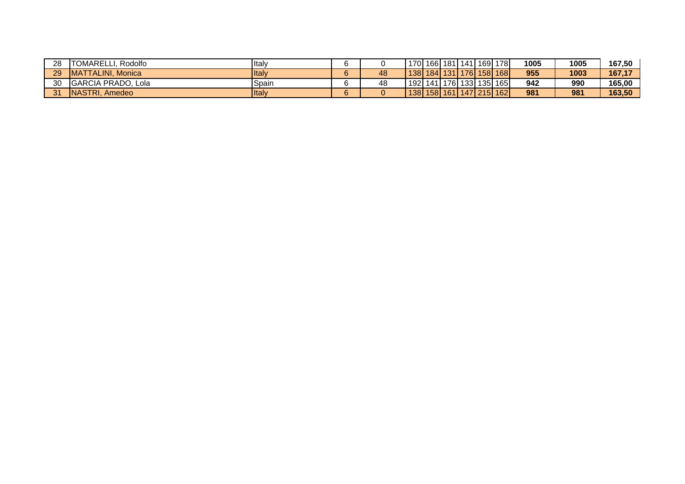| 28 | TOMARELL.<br>. Rodolfo    | <b>Italy</b> |    |           |  |  | 170   166   181   141   169   178 | 1005 | 1005 | 167,50 |
|----|---------------------------|--------------|----|-----------|--|--|-----------------------------------|------|------|--------|
| 29 | <b>MATTALINI, Monica</b>  | <b>Italy</b> | 48 | $138$ 184 |  |  | 131  176  158  168  1             | 955  | 1003 | 167,17 |
| 30 | <b>GARCIA PRADO, Lola</b> | ISpain       | 48 | 192   141 |  |  | 176 133 135 165                   | 942  | 990  | 165.00 |
| 24 | <b>INASTRI, Amedeo</b>    | <b>Italy</b> |    |           |  |  | 138 158 161 147 215 162           | 981  | 981  | 163.50 |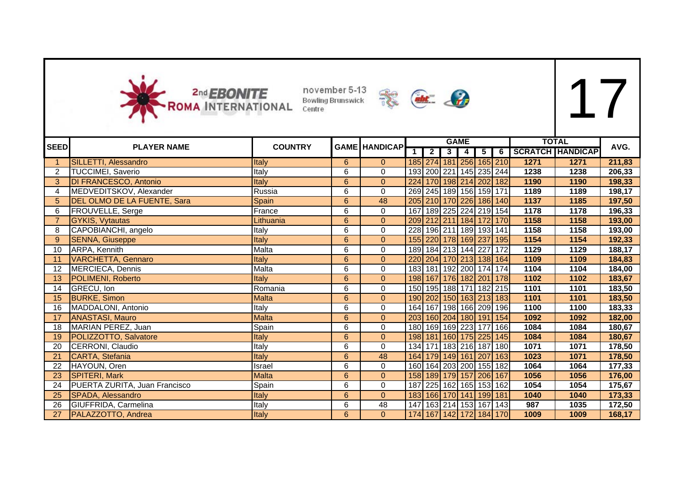



| <b>SEED</b>    | <b>PLAYER NAME</b>            | <b>COUNTRY</b> |                | <b>GAME HANDICAP</b> |     |                |                         | <b>GAME</b> |                         |   |      | <b>TOTAL</b>            | AVG.   |
|----------------|-------------------------------|----------------|----------------|----------------------|-----|----------------|-------------------------|-------------|-------------------------|---|------|-------------------------|--------|
|                |                               |                |                |                      |     | $\overline{2}$ | $\overline{\mathbf{3}}$ | 4           | $5\overline{)}$         | 6 |      | <b>SCRATCH HANDICAP</b> |        |
|                | SILLETTI, Alessandro          | Italy          | 6              | $\overline{0}$       |     |                |                         |             | 185 274 181 256 165 210 |   | 1271 | 1271                    | 211,83 |
| $\overline{2}$ | <b>TUCCIMEI, Saverio</b>      | Italy          | 6              | $\Omega$             |     |                |                         |             | 193 200 221 145 235 244 |   | 1238 | 1238                    | 206,33 |
| 3              | <b>DI FRANCESCO, Antonio</b>  | <b>Italy</b>   | 6              | $\pmb{0}$            |     |                |                         |             | 224 170 198 214 202 182 |   | 1190 | 1190                    | 198,33 |
| 4              | MEDVEDITSKOV, Alexander       | Russia         | 6              | 0                    |     |                |                         |             | 269 245 189 156 159 171 |   | 1189 | 1189                    | 198,17 |
| 5              | DEL OLMO DE LA FUENTE, Sara   | Spain          | $6\phantom{a}$ | 48                   |     |                |                         |             | 205 210 170 226 186 140 |   | 1137 | 1185                    | 197,50 |
| 6              | FROUVELLE, Serge              | France         | $\overline{6}$ | 0                    | 167 |                |                         |             | 189 225 224 219 154     |   | 1178 | 1178                    | 196,33 |
|                | <b>GYKIS, Vytautas</b>        | Lithuania      | 6              | $\overline{0}$       |     |                |                         |             | 209 212 211 184 172 170 |   | 1158 | 1158                    | 193,00 |
| 8              | CAPOBIANCHI, angelo           | Italy          | 6              | 0                    |     |                |                         |             | 228 196 211 189 193 141 |   | 1158 | 1158                    | 193,00 |
| 9              | <b>SENNA, Giuseppe</b>        | Italy          | $6\phantom{a}$ | $\overline{0}$       |     |                |                         |             | 155 220 178 169 237 195 |   | 1154 | 1154                    | 192,33 |
| 10             | ARPA, Kennith                 | Malta          | 6              | 0                    |     |                |                         |             | 189 184 213 144 227 172 |   | 1129 | 1129                    | 188,17 |
| 11             | <b>VARCHETTA, Gennaro</b>     | <b>Italy</b>   | 6              | $\overline{0}$       |     |                |                         |             | 220 204 170 213 138 164 |   | 1109 | 1109                    | 184,83 |
| 12             | MERCIECA, Dennis              | Malta          | 6              | 0                    |     |                |                         |             | 183 181 192 200 174 174 |   | 1104 | 1104                    | 184,00 |
| 13             | POLIMENI, Roberto             | <b>Italy</b>   | $6\phantom{a}$ | $\mathbf{0}$         |     |                |                         |             | 198 167 176 182 201 178 |   | 1102 | 1102                    | 183,67 |
| 14             | GRECU, Ion                    | Romania        | 6              | 0                    |     |                |                         |             | 150 195 188 171 182 215 |   | 1101 | 1101                    | 183,50 |
| 15             | <b>BURKE, Simon</b>           | <b>Malta</b>   | $6\phantom{a}$ | $\overline{0}$       |     |                |                         |             | 190 202 150 163 213 183 |   | 1101 | 1101                    | 183,50 |
| 16             | MADDALONI, Antonio            | Italy          | $\overline{6}$ | $\mathsf 0$          |     |                |                         |             | 164 167 198 166 209 196 |   | 1100 | 1100                    | 183,33 |
| 17             | <b>ANASTASI, Mauro</b>        | <b>Malta</b>   | $6\phantom{a}$ | $\overline{0}$       |     |                |                         |             | 203 160 204 180 191 154 |   | 1092 | 1092                    | 182,00 |
| 18             | MARIAN PEREZ, Juan            | Spain          | 6              | 0                    |     |                |                         |             | 180 169 169 223 177 166 |   | 1084 | 1084                    | 180,67 |
| 19             | POLIZZOTTO, Salvatore         | Italy          | $6\phantom{a}$ | $\mathbf{0}$         |     |                |                         |             | 198 181 160 175 225 145 |   | 1084 | 1084                    | 180,67 |
| 20             | CERRONI, Claudio              | Italy          | 6              | $\mathbf 0$          |     |                |                         |             | 134 171 183 216 187 180 |   | 1071 | 1071                    | 178,50 |
| 21             | CARTA, Stefania               | Italy          | $6\phantom{a}$ | 48                   |     |                |                         |             | 164 179 149 161 207 163 |   | 1023 | 1071                    | 178,50 |
| 22             | HAYOUN, Oren                  | Israel         | $\overline{6}$ | $\mathbf 0$          |     |                |                         |             | 160 164 203 200 155 182 |   | 1064 | 1064                    | 177,33 |
| 23             | SPITERI, Mark                 | <b>Malta</b>   | $6\phantom{a}$ | $\overline{0}$       |     |                |                         |             | 158 189 179 157 206 167 |   | 1056 | 1056                    | 176,00 |
| 24             | PUERTA ZURITA, Juan Francisco | Spain          | $\overline{6}$ | $\mathbf 0$          |     |                |                         |             | 187 225 162 165 153 162 |   | 1054 | 1054                    | 175,67 |
| 25             | SPADA, Alessandro             | Italy          | $6\phantom{a}$ | $\overline{0}$       |     |                |                         |             | 183 166 170 141 199 181 |   | 1040 | 1040                    | 173,33 |
| 26             | GIUFFRIDA, Carmelina          | Italy          | $\overline{6}$ | $\overline{48}$      |     |                |                         |             | 147 163 214 153 167 143 |   | 987  | 1035                    | 172,50 |
| 27             | PALAZZOTTO, Andrea            | Italy          | 6 <sup>°</sup> | $\overline{0}$       |     |                |                         |             | 174 167 142 172 184 170 |   | 1009 | 1009                    | 168,17 |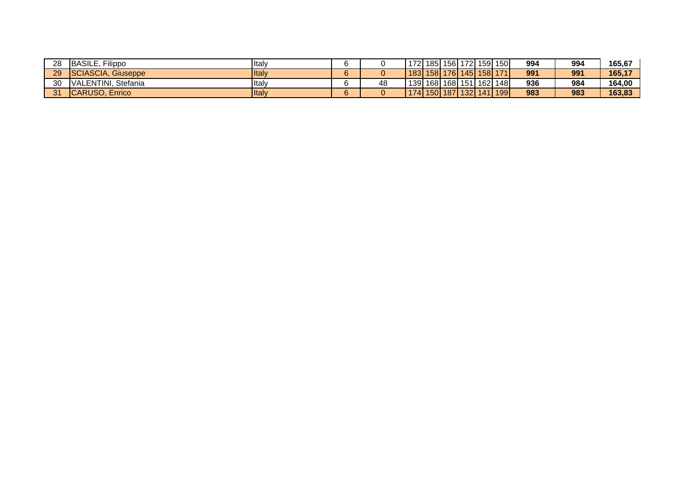| 28 | <b>IBASILE.</b><br>Filippo | <b>I</b> taly |    | $172$ 185 |           |                 | `l 156  172  159  150   |     | 994 | 994 | 165,67 |
|----|----------------------------|---------------|----|-----------|-----------|-----------------|-------------------------|-----|-----|-----|--------|
| 29 | SCIASCIA, Giuseppe         | <b>I</b> talv |    |           | 183   158 |                 | 176 145 158 171         |     | 991 | 991 | 165,17 |
| 30 | VALENTINI, Stefania        | <b>I</b> taly | 48 |           |           |                 | 139 168 168 151 162 148 |     | 936 | 984 | 164.00 |
| 24 | CARUSO, Enrico             | <b>Italy</b>  |    |           |           | 174 150 187 132 | 141                     | 199 | 983 | 983 | 163.83 |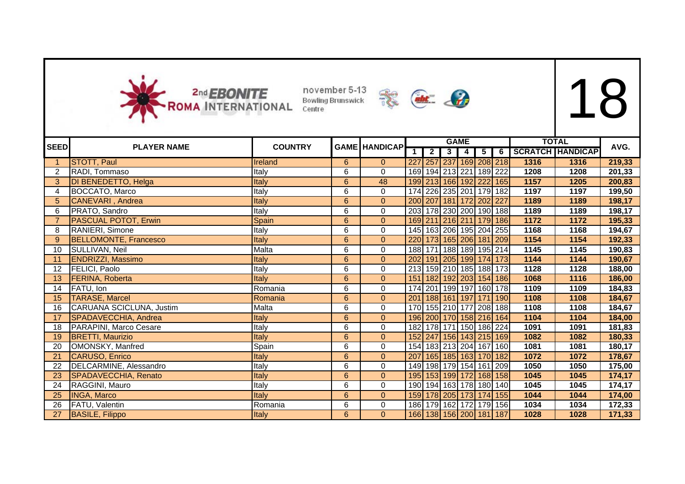



| <b>SEED</b>       |                              | <b>COUNTRY</b> |                |                      |            |                | <b>GAME</b>    |                         |                |                         |      | <b>TOTAL</b>            | AVG.   |
|-------------------|------------------------------|----------------|----------------|----------------------|------------|----------------|----------------|-------------------------|----------------|-------------------------|------|-------------------------|--------|
|                   | <b>PLAYER NAME</b>           |                |                | <b>GAME HANDICAP</b> |            | $\overline{2}$ | 3 <sup>1</sup> | $\overline{4}$          | 5 <sub>1</sub> | $-6$                    |      | <b>SCRATCH HANDICAP</b> |        |
|                   | <b>STOTT, Paul</b>           | Ireland        | 6              | $\overline{0}$       | 227        |                |                |                         |                | 257 237 169 208 218     | 1316 | 1316                    | 219,33 |
| $\overline{2}$    | RADI, Tommaso                | Italy          | 6              | $\mathbf 0$          | 169        |                |                | 194 213 221 189 222     |                |                         | 1208 | 1208                    | 201,33 |
| 3                 | DI BENEDETTO, Helga          | Italy          | $\overline{6}$ | 48                   |            |                |                |                         |                | 199 213 166 192 222 165 | 1157 | 1205                    | 200,83 |
| $\overline{4}$    | BOCCATO, Marco               | Italy          | $\overline{6}$ | 0                    |            |                |                | 174 226 235 201 179 182 |                |                         | 1197 | 1197                    | 199,50 |
| 5                 | <b>CANEVARI</b> , Andrea     | Italy          | $\overline{6}$ | $\overline{0}$       |            |                |                | 200 207 181 172 202 227 |                |                         | 1189 | 1189                    | 198,17 |
| 6                 | PRATO, Sandro                | Italy          | $\overline{6}$ | $\mathbf 0$          |            |                |                | 203 178 230 200 190 188 |                |                         | 1189 | 1189                    | 198,17 |
|                   | <b>PASCUAL POTOT, Erwin</b>  | Spain          | 6              | $\mathbf{0}$         |            |                |                |                         |                | 169 211 216 211 179 186 | 1172 | 1172                    | 195,33 |
| 8                 | RANIERI, Simone              | Italy          | 6              | 0                    |            |                |                |                         |                | 145 163 206 195 204 255 | 1168 | 1168                    | 194,67 |
| 9                 | <b>BELLOMONTE, Francesco</b> | <b>Italy</b>   | 6              | $\overline{0}$       |            |                |                |                         |                | 220 173 165 206 181 209 | 1154 | 1154                    | 192,33 |
| 10                | SULLIVAN, Neil               | Malta          | 6              | 0                    |            |                |                |                         |                | 188 171 188 189 195 214 | 1145 | 1145                    | 190,83 |
| 11                | <b>ENDRIZZI, Massimo</b>     | Italy          | 6              | $\mathbf{0}$         | 202        |                |                |                         |                | 191 205 199 174 173     | 1144 | 1144                    | 190,67 |
| $12 \overline{ }$ | <b>FELICI, Paolo</b>         | Italy          | 6              | 0                    |            |                |                |                         |                | 213 159 210 185 188 173 | 1128 | 1128                    | 188,00 |
| 13                | FERINA, Roberta              | Italy          | 6              | $\overline{0}$       | 151        |                |                |                         |                | 182 192 203 154 186     | 1068 | 1116                    | 186,00 |
| 14                | FATU, Ion                    | Romania        | 6              | $\pmb{0}$            |            |                |                |                         |                | 174 201 199 197 160 178 | 1109 | 1109                    | 184,83 |
| 15                | <b>TARASE, Marcel</b>        | Romania        | 6              | $\mathbf{0}$         | 201        |                |                |                         |                | 188 161 197 171 190     | 1108 | 1108                    | 184,67 |
| 16                | CARUANA SCICLUNA, Justim     | Malta          | 6              | $\mathbf 0$          |            |                |                |                         |                | 170 155 210 177 208 188 | 1108 | 1108                    | 184,67 |
| 17                | SPADAVECCHIA, Andrea         | Italy          | 6              | $\overline{0}$       |            |                |                |                         |                | 196 200 170 158 216 164 | 1104 | 1104                    | 184,00 |
| 18                | PARAPINI, Marco Cesare       | Italy          | 6              | 0                    |            |                |                | 182 178 171 150 186 224 |                |                         | 1091 | 1091                    | 181,83 |
| 19                | <b>BRETTI, Maurizio</b>      | Italy          | 6              | $\overline{0}$       |            |                |                |                         |                | 152 247 156 143 215 169 | 1082 | 1082                    | 180,33 |
| 20                | OMONSKY, Manfred             | Spain          | 6              | 0                    |            |                |                |                         |                | 154 183 213 204 167 160 | 1081 | 1081                    | 180,17 |
| 21                | <b>CARUSO, Enrico</b>        | Italy          | 6              | $\overline{0}$       | 207        |                |                | 165 185 163 170 182     |                |                         | 1072 | 1072                    | 178,67 |
| 22                | DELCARMINE, Alessandro       | Italy          | 6              | 0                    |            |                |                | 149 198 179 154 161 209 |                |                         | 1050 | 1050                    | 175,00 |
| 23                | SPADAVECCHIA, Renato         | Italy          | 6              | $\overline{0}$       | <b>195</b> |                |                | 153 199 172 168 158     |                |                         | 1045 | 1045                    | 174,17 |
| 24                | RAGGINI, Mauro               | Italy          | 6              | 0                    |            | 190 194 163    |                |                         | 178 180 140    |                         | 1045 | 1045                    | 174,17 |
| 25                | <b>INGA, Marco</b>           | Italy          | 6              | $\overline{0}$       | 159        |                | 178 205        |                         |                | 173 174 155             | 1044 | 1044                    | 174,00 |
| 26                | FATU, Valentin               | Romania        | 6              | $\mathsf 0$          |            | 186 179 162    |                |                         | 172 179 156    |                         | 1034 | 1034                    | 172,33 |
| 27                | <b>BASILE, Filippo</b>       | Italy          | 6              | $\Omega$             |            |                |                | 166 138 156 200 181 187 |                |                         | 1028 | 1028                    | 171,33 |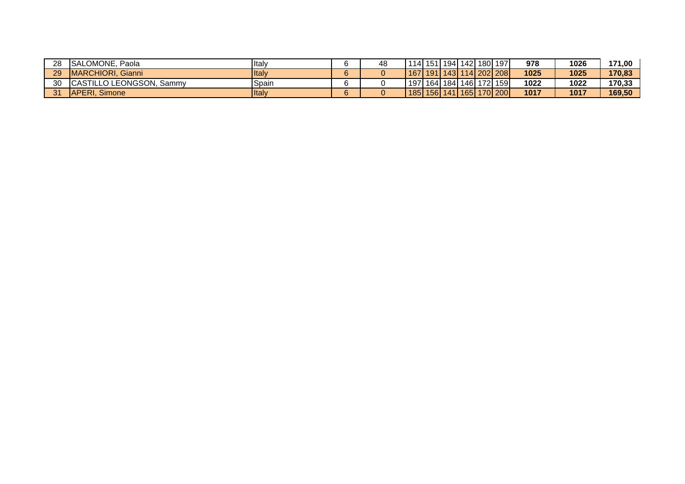| 28 | SALOMONE, Paola          | <b>I</b> Italy |   | 48 |  |  | 114   151   194   142   180   197 | 978  | 1026 | 171,00 |
|----|--------------------------|----------------|---|----|--|--|-----------------------------------|------|------|--------|
| 29 | MARCHIORI, Gianni        | <b>I</b> ltalv |   |    |  |  | 167   191   143   114   202   208 | 1025 | 1025 | 170.83 |
| 30 | CASTILLO LEONGSON, Sammy | Spain          |   |    |  |  | 197   164   184   146   172   159 | 1022 | 1022 | 170.33 |
| 24 | APERI.<br>Simone         | <b>Italy</b>   | ຂ |    |  |  | 185   156   141   165   170   200 | 1017 | 1017 | 169.50 |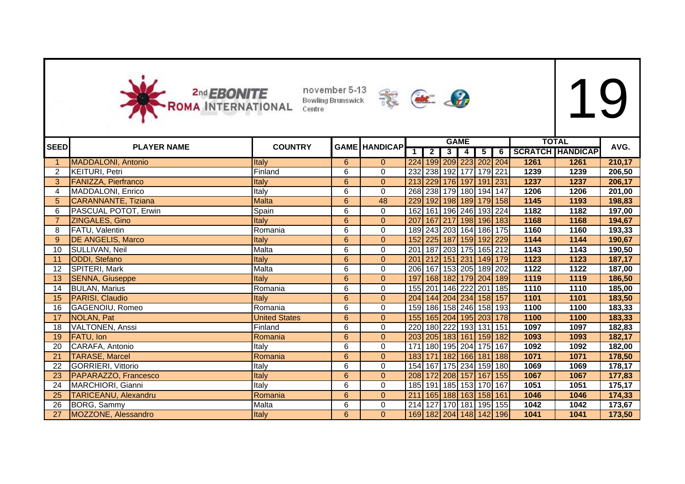



|             |                             | <b>COUNTRY</b>       |                |                      |                  |                |                | <b>GAME</b>              |               |                                   |      | <b>TOTAL</b>       | AVG.   |
|-------------|-----------------------------|----------------------|----------------|----------------------|------------------|----------------|----------------|--------------------------|---------------|-----------------------------------|------|--------------------|--------|
| <b>SEED</b> | <b>PLAYER NAME</b>          |                      |                | <b>GAME HANDICAP</b> |                  | $\overline{2}$ | 3 <sup>1</sup> | $\overline{\phantom{a}}$ | $\frac{1}{5}$ |                                   |      | 6 SCRATCH HANDICAP |        |
|             | <b>MADDALONI, Antonio</b>   | <b>Italy</b>         | 6              | $\overline{0}$       |                  |                |                |                          |               | 224 199 209 223 202 204           | 1261 | 1261               | 210,17 |
| 2           | KEITURI, Petri              | Finland              | 6              | 0                    |                  |                |                |                          |               | 232 238 192 177 179 221           | 1239 | 1239               | 206,50 |
| 3           | <b>FANIZZA, Pierfranco</b>  | Italy                | 6              | $\boldsymbol{0}$     |                  |                |                |                          |               | 213 229 176 197 191 231           | 1237 | 1237               | 206,17 |
| 4           | MADDALONI, Enrico           | Italy                | 6              | 0                    |                  |                |                |                          |               | 268 238 179 180 194 147           | 1206 | 1206               | 201,00 |
| 5           | <b>CARANNANTE, Tiziana</b>  | <b>Malta</b>         | 6              | 48                   |                  |                |                |                          |               | 229 192 198 189 179 158           | 1145 | 1193               | 198,83 |
| 6           | PASCUAL POTOT, Erwin        | Spain                | 6              | 0                    |                  |                |                |                          |               | 162 161 196 246 193 224           | 1182 | 1182               | 197,00 |
|             | ZINGALES, Gino              | Italy                | $6\phantom{1}$ | $\overline{0}$       |                  |                |                |                          |               | 207 167 217 198 196 183           | 1168 | 1168               | 194,67 |
| 8           | FATU, Valentin              | Romania              | 6              | 0                    |                  |                |                |                          |               | 189 243 203 164 186 175           | 1160 | 1160               | 193,33 |
| 9           | <b>DE ANGELIS, Marco</b>    | Italy                | $\overline{6}$ | $\overline{0}$       |                  |                |                |                          |               | 152 225 187 159 192 229           | 1144 | 1144               | 190,67 |
| 10          | SULLIVAN, Neil              | Malta                | 6              | 0                    |                  |                |                |                          |               | 201   187   203   175   165   212 | 1143 | 1143               | 190,50 |
| 11          | ODDI, Stefano               | <b>Italy</b>         | 6              | $\overline{0}$       | 201              |                |                |                          |               | 212 151 231 149 179               | 1123 | 1123               | 187,17 |
| 12          | SPITERI, Mark               | Malta                | 6              | 0                    |                  |                |                |                          |               | 206 167 153 205 189 202           | 1122 | 1122               | 187,00 |
| 13          | <b>SENNA, Giuseppe</b>      | Italy                | 6              | $\overline{0}$       |                  |                |                |                          |               | 197 168 182 179 204 189           | 1119 | 1119               | 186,50 |
| 14          | <b>BULAN, Marius</b>        | Romania              | 6              | 0                    |                  |                |                |                          |               | 155 201 146 222 201 185           | 1110 | 1110               | 185,00 |
| 15          | <b>PARISI, Claudio</b>      | <b>Italy</b>         | $6\phantom{1}$ | $\mathbf{0}$         |                  |                |                |                          |               | 204 144 204 234 158 157           | 1101 | 1101               | 183,50 |
| 16          | GAGENOIU, Romeo             | Romania              | 6              | 0                    |                  |                |                |                          |               | 159 186 158 246 158 193           | 1100 | 1100               | 183,33 |
| 17          | NOLAN, Pat                  | <b>United States</b> | 6              | $\mathbf{0}$         |                  |                |                |                          |               | 155 165 204 195 203 178           | 1100 | 1100               | 183,33 |
| 18          | <b>VALTONEN, Anssi</b>      | Finland              | 6              | 0                    |                  |                |                |                          |               | 220 180 222 193 131 151           | 1097 | 1097               | 182,83 |
| 19          | <b>FATU, Ion</b>            | Romania              | 6              | $\mathbf{0}$         |                  |                |                |                          |               | 203 205 183 161 159 182           | 1093 | 1093               | 182,17 |
| 20          | CARAFA, Antonio             | Italy                | 6              | 0                    |                  |                |                |                          |               | 171 180 195 204 175 167           | 1092 | 1092               | 182,00 |
| 21          | <b>TARASE, Marcel</b>       | Romania              | 6              | $\overline{0}$       |                  |                |                |                          |               | 183 171 182 166 181 188           | 1071 | 1071               | 178,50 |
| 22          | GORRIERI, Vittorio          | Italy                | 6              | 0                    |                  |                |                |                          |               | 154   167   175   234   159   180 | 1069 | 1069               | 178,17 |
| 23          | PAPARAZZO, Francesco        | <b>Italy</b>         | $\overline{6}$ | $\mathbf{0}$         |                  |                |                |                          |               | 208 172 208 157 167 155           | 1067 | 1067               | 177,83 |
| 24          | MARCHIORI, Gianni           | Italy                | 6              | 0                    |                  |                |                |                          |               | 185 191 185 153 170 167           | 1051 | 1051               | 175,17 |
| 25          | <b>TARICEANU, Alexandru</b> | Romania              | 6              | $\mathbf{0}$         | $\overline{211}$ |                |                |                          |               | 165 188 163 158 161               | 1046 | 1046               | 174,33 |
| 26          | BORG, Sammy                 | Malta                | 6              | 0                    |                  |                |                |                          |               | 214 127 170 181 195 155           | 1042 | 1042               | 173,67 |
| 27          | MOZZONE, Alessandro         | Italy                | 6              | $\mathbf{0}$         |                  |                |                |                          |               | 169 182 204 148 142 196           | 1041 | 1041               | 173,50 |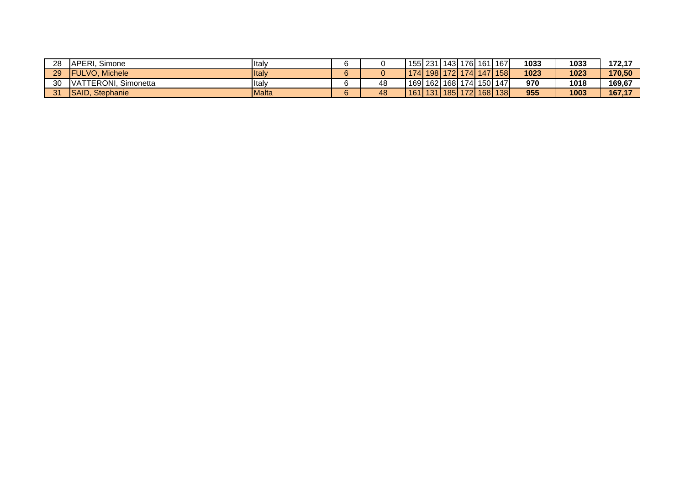| 28 | IAPERI.<br>Simone        | <b>I</b> taly |    |    | 155 231                        |                           |  | 143  176  161  167 | 1033 | 1033 | 172,17 |
|----|--------------------------|---------------|----|----|--------------------------------|---------------------------|--|--------------------|------|------|--------|
| 29 | <b>IFULVO. Michele</b>   | <b>I</b> talv | c. |    |                                | 174   198   172   174   1 |  | <b>147 158</b>     | 1023 | 1023 | 170.50 |
| 30 | VATTERONI, Simonetta     | <b>I</b> talv |    | 48 | ' 169  162  168  174  150  147 |                           |  |                    | 970  | 1018 | 169,67 |
| 31 | <b>SAID</b><br>Stephanie | IMalta        | е. | 48 | $161$ 131 185 172              |                           |  | 168 138            | 955  | 1003 | 167.17 |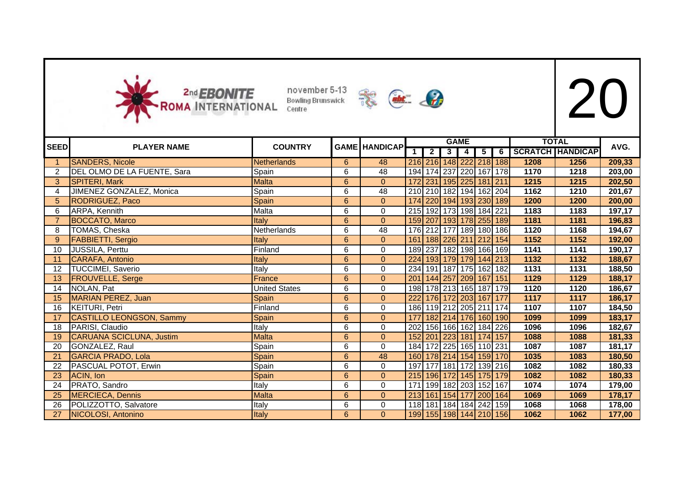



| <b>SEED</b>                | <b>PLAYER NAME</b>              | <b>COUNTRY</b>       |                | <b>GAME HANDICAP</b> |             |                |                | <b>GAME</b>             |                 |                |      | <b>TOTAL</b>            | AVG.   |
|----------------------------|---------------------------------|----------------------|----------------|----------------------|-------------|----------------|----------------|-------------------------|-----------------|----------------|------|-------------------------|--------|
|                            |                                 |                      |                |                      | $\mathbf 1$ | $\overline{2}$ | 3 <sup>1</sup> | $\overline{4}$          | $5\overline{)}$ | $\overline{6}$ |      | <b>SCRATCH HANDICAP</b> |        |
| $\overline{\phantom{0}}$ 1 | <b>SANDERS, Nicole</b>          | Netherlands          | 6              | 48                   |             |                |                | 216 216 148 222 218 188 |                 |                | 1208 | 1256                    | 209,33 |
| $\overline{2}$             | DEL OLMO DE LA FUENTE, Sara     | Spain                | 6              | 48                   | 194         |                |                | 174 237 220 167 178     |                 |                | 1170 | 1218                    | 203,00 |
| 3                          | SPITERI, Mark                   | <b>Malta</b>         | 6              | $\Omega$             |             |                |                | 172 231 195 225 181 211 |                 |                | 1215 | 1215                    | 202,50 |
| 4                          | JIMENEZ GONZALEZ, Monica        | Spain                | 6              | 48                   |             |                |                | 210 210 182 194 162 204 |                 |                | 1162 | 1210                    | 201,67 |
| 5                          | <b>RODRIGUEZ, Paco</b>          | Spain                | 6              | $\overline{0}$       |             |                |                | 174 220 194 193 230 189 |                 |                | 1200 | 1200                    | 200,00 |
| 6                          | ARPA, Kennith                   | Malta                | 6              | $\mathbf 0$          |             |                |                | 215 192 173 198 184 221 |                 |                | 1183 | 1183                    | 197,17 |
|                            | <b>BOCCATO, Marco</b>           | Italy                | $6\phantom{a}$ | $\mathbf{0}$         |             |                |                | 159 207 193 178 255 189 |                 |                | 1181 | 1181                    | 196,83 |
| 8                          | TOMAS, Cheska                   | Netherlands          | 6              | 48                   |             |                |                | 176 212 177 189 180 186 |                 |                | 1120 | 1168                    | 194,67 |
| 9                          | <b>FABBIETTI, Sergio</b>        | Italy                | 6              | $\overline{0}$       | 161         |                |                | 188 226 211 212 154     |                 |                | 1152 | 1152                    | 192,00 |
| 10                         | <b>JUSSILA, Perttu</b>          | Finland              | 6              | 0                    |             |                |                | 189 237 182 198 166 169 |                 |                | 1141 | 1141                    | 190,17 |
| 11                         | CARAFA, Antonio                 | Italy                | 6              | $\overline{0}$       | 224         |                |                | 193 179 179 144 213     |                 |                | 1132 | 1132                    | 188,67 |
| 12                         | <b>TUCCIMEI, Saverio</b>        | Italy                | 6              | $\mathbf 0$          | 234         |                |                | 191 187 175 162 182     |                 |                | 1131 | 1131                    | 188,50 |
| 13                         | <b>FROUVELLE, Serge</b>         | France               | 6              | $\mathbf{0}$         | 201         |                |                | 144 257 209 167 151     |                 |                | 1129 | 1129                    | 188,17 |
| 14                         | NOLAN, Pat                      | <b>United States</b> | 6              | 0                    | 198         |                |                | 178 213 165 187 179     |                 |                | 1120 | 1120                    | 186,67 |
| 15                         | MARIAN PEREZ, Juan              | Spain                | 6              | $\overline{0}$       | 222         |                |                | 176 172 203 167 177     |                 |                | 1117 | 1117                    | 186,17 |
| 16                         | <b>KEITURI, Petri</b>           | Finland              | 6              | $\mathbf 0$          |             |                |                | 186 119 212 205 211 174 |                 |                | 1107 | 1107                    | 184,50 |
| 17                         | <b>CASTILLO LEONGSON, Sammy</b> | Spain                | 6              | $\overline{0}$       | 177         |                |                | 182 214 176 160 190     |                 |                | 1099 | 1099                    | 183,17 |
| 18                         | PARISI, Claudio                 | Italy                | 6              | 0                    | 202         |                |                | 156 166 162 184 226     |                 |                | 1096 | 1096                    | 182,67 |
| 19                         | CARUANA SCICLUNA, Justim        | <b>Malta</b>         | 6              | $\Omega$             | 152         |                |                | 201 223 181 174 157     |                 |                | 1088 | 1088                    | 181,33 |
| 20                         | GONZALEZ, Raul                  | Spain                | 6              | 0                    |             |                |                | 184 172 225 165 110 231 |                 |                | 1087 | 1087                    | 181,17 |
| 21                         | <b>GARCIA PRADO, Lola</b>       | Spain                | 6              | 48                   | <b>160</b>  |                |                | 178 214 154 159 170     |                 |                | 1035 | 1083                    | 180,50 |
| 22                         | PASCUAL POTOT, Erwin            | Spain                | 6              | 0                    | 197         |                |                | 177 181 172 139 216     |                 |                | 1082 | 1082                    | 180,33 |
| 23                         | ACIN, Ion                       | Spain                | 6              | $\overline{0}$       |             |                |                | 215 196 172 145 175 179 |                 |                | 1082 | 1082                    | 180,33 |
| 24                         | PRATO, Sandro                   | Italy                | 6              | 0                    | 171         |                |                | 199 182 203 152 167     |                 |                | 1074 | 1074                    | 179,00 |
| 25                         | MERCIECA, Dennis                | <b>Malta</b>         | 6              | $\overline{0}$       | 213         |                |                | 161 154 177 200 164     |                 |                | 1069 | 1069                    | 178,17 |
| 26                         | POLIZZOTTO, Salvatore           | Italy                | 6              | 0                    | 118         | 181            |                | 184   184   242   159   |                 |                | 1068 | 1068                    | 178,00 |
| 27                         | NICOLOSI, Antonino              | Italy                | 6              | $\Omega$             |             |                |                | 199 155 198 144 210 156 |                 |                | 1062 | 1062                    | 177,00 |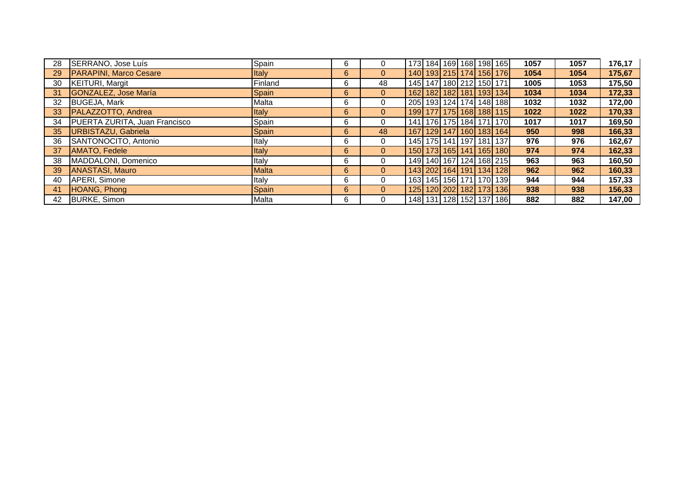| 28 | SERRANO, Jose Luís                   | Spain        | 6 | 0              |  |  | 173 184 169 168 198 165           | 1057 | 1057 | 176,17 |
|----|--------------------------------------|--------------|---|----------------|--|--|-----------------------------------|------|------|--------|
| 29 | <b>PARAPINI, Marco Cesare</b>        | <b>Italy</b> | 6 | $\mathbf{0}$   |  |  | 140 193 215 174 156 176           | 1054 | 1054 | 175,67 |
| 30 | <b>KEITURI, Margit</b>               | Finland      | 6 | 48             |  |  | 145   147   180   212   150   171 | 1005 | 1053 | 175,50 |
| 31 | GONZALEZ, Jose María                 | <b>Spain</b> | 6 | $\overline{0}$ |  |  | 162 182 182 181 193 134           | 1034 | 1034 | 172,33 |
| 32 | <b>BUGEJA, Mark</b>                  | Malta        | 6 | $\mathbf{0}$   |  |  | 205 193 124 174 148 188           | 1032 | 1032 | 172,00 |
| 33 | PALAZZOTTO, Andrea                   | <b>Italy</b> | 6 | $\overline{0}$ |  |  | 199 177 175 168 188 115           | 1022 | 1022 | 170,33 |
| 34 | <b>PUERTA ZURITA, Juan Francisco</b> | Spain        | 6 | $\Omega$       |  |  | 141   176   175   184   171   170 | 1017 | 1017 | 169,50 |
| 35 | URBISTAZU, Gabriela                  | <b>Spain</b> | 6 | 48             |  |  | 167   129   147   160   183   164 | 950  | 998  | 166,33 |
| 36 | SANTONOCITO, Antonio                 | Italy        | 6 | $\Omega$       |  |  | 145   175   141   197   181   137 | 976  | 976  | 162,67 |
| 37 | <b>AMATO, Fedele</b>                 | <b>Italy</b> | 6 | $\mathbf{0}$   |  |  | 150 173 165 141 165 180           | 974  | 974  | 162,33 |
| 38 | MADDALONI, Domenico                  | Italy        | 6 | $\Omega$       |  |  | 149 140 167 124 168 215           | 963  | 963  | 160,50 |
| 39 | <b>ANASTASI, Mauro</b>               | Malta        | 6 | $\overline{0}$ |  |  | 143 202 164 191 134 128           | 962  | 962  | 160,33 |
| 40 | APERI, Simone                        | Italy        | 6 | $\Omega$       |  |  | 163   145   156   171   170   139 | 944  | 944  | 157,33 |
| 41 | HOANG, Phong                         | <b>Spain</b> | 6 | $\overline{0}$ |  |  | 125 120 202 182 173 136           | 938  | 938  | 156,33 |
| 42 | BURKE, Simon                         | Malta        | 6 | $\Omega$       |  |  | 148 131 128 152 137 186           | 882  | 882  | 147,00 |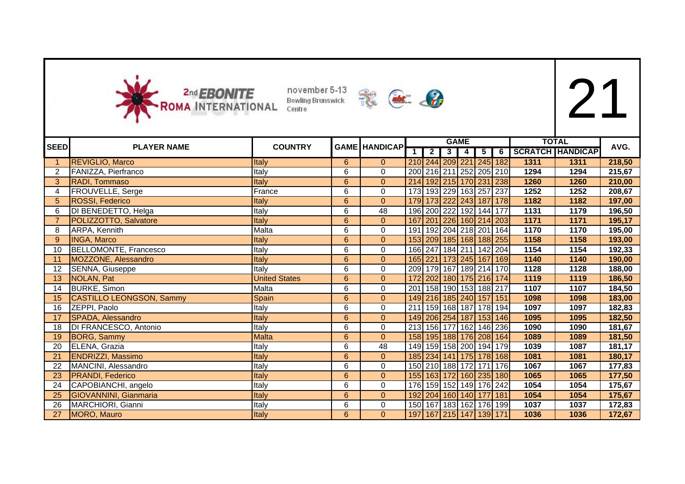



|                |                                 | <b>COUNTRY</b>       |                |                      |     |                         |   | <b>GAME</b>                       |                 |                         |      | <b>TOTAL</b>            | AVG.   |
|----------------|---------------------------------|----------------------|----------------|----------------------|-----|-------------------------|---|-----------------------------------|-----------------|-------------------------|------|-------------------------|--------|
| <b>SEED</b>    | <b>PLAYER NAME</b>              |                      |                | <b>GAME HANDICAP</b> |     | $\overline{\mathbf{2}}$ | 3 | 4                                 | $5\overline{)}$ | 6                       |      | <b>SCRATCH HANDICAP</b> |        |
|                | <b>REVIGLIO, Marco</b>          | Italy                | 6              | $\overline{0}$       |     |                         |   |                                   |                 | 210 244 209 221 245 182 | 1311 | 1311                    | 218,50 |
| 2              | FANIZZA, Pierfranco             | Italy                | 6              | 0                    |     |                         |   |                                   |                 | 200 216 211 252 205 210 | 1294 | 1294                    | 215,67 |
| 3              | RADI, Tommaso                   | Italy                | $\overline{6}$ | $\mathbf 0$          |     |                         |   |                                   |                 | 214 192 215 170 231 238 | 1260 | 1260                    | 210,00 |
| 4              | FROUVELLE, Serge                | France               | 6              | 0                    |     |                         |   | 173 193 229 163 257 237           |                 |                         | 1252 | 1252                    | 208,67 |
| 5              | ROSSI, Federico                 | Italy                | 6              | $\overline{0}$       |     |                         |   |                                   |                 | 179 173 222 243 187 178 | 1182 | 1182                    | 197,00 |
| 6              | DI BENEDETTO, Helga             | Italy                | 6              | 48                   |     |                         |   | 196 200 222 192 144 177           |                 |                         | 1131 | 1179                    | 196,50 |
| $\overline{7}$ | POLIZZOTTO, Salvatore           | Italy                | $6\phantom{a}$ | $\mathbf{0}$         | 167 |                         |   |                                   |                 | 201 226 160 214 203     | 1171 | 1171                    | 195,17 |
| 8              | ARPA, Kennith                   | Malta                | 6              | 0                    |     |                         |   | 191 192 204 218 201 164           |                 |                         | 1170 | 1170                    | 195,00 |
| 9              | <b>INGA, Marco</b>              | Italy                | 6              | $\mathbf{0}$         |     |                         |   |                                   |                 | 153 209 185 168 188 255 | 1158 | 1158                    | 193,00 |
| 10             | <b>BELLOMONTE, Francesco</b>    | Italy                | 6              | 0                    |     |                         |   | 166 247 184 211 142 204           |                 |                         | 1154 | 1154                    | 192,33 |
| 11             | <b>MOZZONE, Alessandro</b>      | Italy                | $6\phantom{a}$ | $\overline{0}$       |     |                         |   |                                   |                 | 165 221 173 245 167 169 | 1140 | 1140                    | 190,00 |
| 12             | SENNA, Giuseppe                 | Italy                | 6              | 0                    |     |                         |   |                                   |                 | 209 179 167 189 214 170 | 1128 | 1128                    | 188,00 |
| 13             | <b>NOLAN, Pat</b>               | <b>United States</b> | 6              | $\mathbf{0}$         | 172 |                         |   |                                   |                 | 202 180 175 216 174     | 1119 | 1119                    | 186,50 |
| 14             | <b>BURKE, Simon</b>             | Malta                | 6              | 0                    |     |                         |   | 201   158   190   153   188   217 |                 |                         | 1107 | 1107                    | 184,50 |
| 15             | <b>CASTILLO LEONGSON, Sammy</b> | Spain                | 6              | $\mathbf{0}$         |     |                         |   | 149 216 185 240 157 151           |                 |                         | 1098 | 1098                    | 183,00 |
| 16             | ZEPPI, Paolo                    | Italy                | 6              | 0                    | 211 |                         |   | 159 168 187 178 194               |                 |                         | 1097 | 1097                    | 182,83 |
| 17             | SPADA, Alessandro               | Italy                | 6              | $\overline{0}$       |     |                         |   |                                   |                 | 149 206 254 187 153 146 | 1095 | 1095                    | 182,50 |
| 18             | DI FRANCESCO, Antonio           | Italy                | 6              | 0                    |     |                         |   | 213 156 177 162 146 236           |                 |                         | 1090 | 1090                    | 181,67 |
| 19             | <b>BORG, Sammy</b>              | <b>Malta</b>         | $6\phantom{a}$ | $\mathbf{0}$         |     |                         |   |                                   |                 | 158 195 188 176 208 164 | 1089 | 1089                    | 181,50 |
| 20             | ELENA, Grazia                   | Italy                | 6              | 48                   |     |                         |   |                                   |                 | 149 159 158 200 194 179 | 1039 | 1087                    | 181,17 |
| 21             | ENDRIZZI, Massimo               | Italy                | 6              | $\mathbf{0}$         |     |                         |   |                                   |                 | 185 234 141 175 178 168 | 1081 | 1081                    | 180,17 |
| 22             | MANCINI, Alessandro             | Italy                | 6              | 0                    |     |                         |   | 150 210 188 172 171 176           |                 |                         | 1067 | 1067                    | 177,83 |
| 23             | <b>PRANDI, Federico</b>         | Italy                | $6\phantom{a}$ | $\mathbf{0}$         |     |                         |   |                                   |                 | 155 163 172 160 235 180 | 1065 | 1065                    | 177,50 |
| 24             | CAPOBIANCHI, angelo             | Italy                | 6              | 0                    |     |                         |   | 176 159 152 149 176 242           |                 |                         | 1054 | 1054                    | 175,67 |
| 25             | <b>GIOVANNINI, Gianmaria</b>    | Italy                | 6              | $\mathbf{0}$         |     |                         |   | 192 204 160 140 177 181           |                 |                         | 1054 | 1054                    | 175,67 |
| 26             | MARCHIORI, Gianni               | Italy                | 6              | 0                    |     |                         |   | 150 167 183 162 176 199           |                 |                         | 1037 | 1037                    | 172,83 |
| 27             | MORO, Mauro                     | Italy                | 6              | $\mathbf{0}$         |     |                         |   | 197 167 215 147 139 171           |                 |                         | 1036 | 1036                    | 172,67 |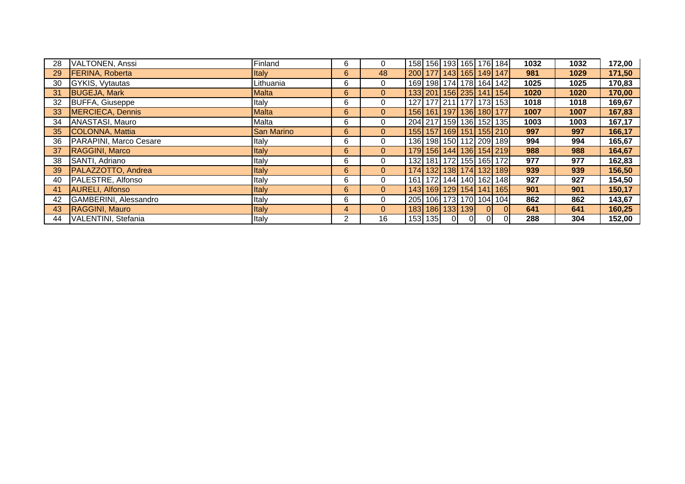| 28 | VALTONEN, Anssi           | Finland           | 6            | 0              |                       |    |                |                | 158 156 193 165 176 184           | 1032 | 1032 | 172,00 |
|----|---------------------------|-------------------|--------------|----------------|-----------------------|----|----------------|----------------|-----------------------------------|------|------|--------|
| 29 | <b>FERINA, Roberta</b>    | <b>Italy</b>      | 6            | 48             |                       |    |                |                | 200 177 143 165 149 147           | 981  | 1029 | 171,50 |
| 30 | GYKIS, Vytautas           | Lithuania         | 6            | 0              |                       |    |                |                | 169 198 174 178 164 142           | 1025 | 1025 | 170,83 |
| 31 | <b>BUGEJA, Mark</b>       | Malta             | 6            | $\overline{0}$ |                       |    |                |                | 133 201 156 235 141 154           | 1020 | 1020 | 170,00 |
| 32 | <b>BUFFA, Giuseppe</b>    | Italy             | 6            | 0              |                       |    |                |                | 127 177 211 177 173 153           | 1018 | 1018 | 169,67 |
| 33 | MERCIECA, Dennis          | Malta             | 6            | $\overline{0}$ |                       |    |                |                | 156 161 197 136 180 177           | 1007 | 1007 | 167,83 |
| 34 | ANASTASI, Mauro           | Malta             | 6            | $\mathbf 0$    |                       |    |                |                | 204 217 159 136 152 135           | 1003 | 1003 | 167,17 |
| 35 | COLONNA, Mattia           | <b>San Marino</b> | 6            | $\overline{0}$ |                       |    |                |                | 155 157 169 151 155 210           | 997  | 997  | 166,17 |
| 36 | PARAPINI, Marco Cesare    | Italy             | 6            | 0              |                       |    |                |                | 136 198 150 112 209 189           | 994  | 994  | 165,67 |
| 37 | RAGGINI, Marco            | <b>Italy</b>      | 6            | $\overline{0}$ |                       |    |                |                | 179 156 144 136 154 219           | 988  | 988  | 164,67 |
| 38 | SANTI, Adriano            | Italy             | 6            | 0              |                       |    |                |                | 132  181  172  155  165  172      | 977  | 977  | 162,83 |
| 39 | <b>PALAZZOTTO, Andrea</b> | <b>Italy</b>      | 6            | $\overline{0}$ |                       |    |                |                | 174 132 138 174 132 189           | 939  | 939  | 156,50 |
| 40 | PALESTRE, Alfonso         | Italy             | 6            | $\mathbf 0$    |                       |    |                |                | 161   172   144   140   162   148 | 927  | 927  | 154,50 |
| 41 | <b>AURELI, Alfonso</b>    | Italy             | 6            | $\overline{0}$ |                       |    |                |                | 143 169 129 154 141 165           | 901  | 901  | 150,17 |
| 42 | GAMBERINI, Alessandro     | Italy             | 6            | $\mathbf 0$    |                       |    |                |                | 205 106 173 170 104 104           | 862  | 862  | 143,67 |
| 43 | <b>RAGGINI, Mauro</b>     | <b>Italy</b>      | 4            | $\mathbf{0}$   | 183   186   133   139 |    |                | $\overline{0}$ | $\Omega$                          | 641  | 641  | 160,25 |
| 44 | VALENTINI, Stefania       | Italy             | $\mathbf{2}$ | 16             | 153 135               | 0I | $\overline{0}$ | $\overline{0}$ | $\Omega$                          | 288  | 304  | 152,00 |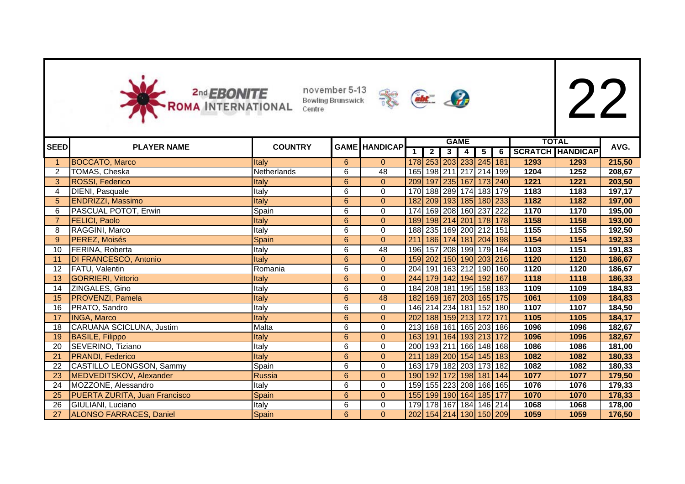



|                |                                      |                |                 |                      |            |                |                | <b>GAME</b>             |   |                |      | <b>TOTAL</b>            |        |
|----------------|--------------------------------------|----------------|-----------------|----------------------|------------|----------------|----------------|-------------------------|---|----------------|------|-------------------------|--------|
| <b>SEED</b>    | <b>PLAYER NAME</b>                   | <b>COUNTRY</b> |                 | <b>GAME HANDICAP</b> | $\bar{1}$  | $\overline{2}$ | 3 <sup>1</sup> | $\blacktriangle$        | 5 | 6 <sup>1</sup> |      | <b>SCRATCH HANDICAP</b> | AVG.   |
|                | <b>BOCCATO, Marco</b>                | Italy          | 6               | $\overline{0}$       |            |                |                | 178 253 203 233 245 181 |   |                | 1293 | 1293                    | 215,50 |
| 2              | TOMAS, Cheska                        | Netherlands    | 6               | 48                   |            |                |                | 165 198 211 217 214 199 |   |                | 1204 | 1252                    | 208,67 |
| 3              | ROSSI, Federico                      | Italy          | $6\overline{6}$ | $\overline{0}$       |            |                |                | 209 197 235 167 173 240 |   |                | 1221 | 1221                    | 203,50 |
| $\overline{4}$ | DIENI, Pasquale                      | Italy          | 6               | 0                    |            |                |                | 170 188 289 174 183 179 |   |                | 1183 | 1183                    | 197,17 |
| 5              | <b>ENDRIZZI, Massimo</b>             | Italy          | 6               | $\boldsymbol{0}$     |            |                |                | 182 209 193 185 180 233 |   |                | 1182 | 1182                    | 197,00 |
| 6              | PASCUAL POTOT, Erwin                 | Spain          | 6               | $\Omega$             |            |                |                | 174 169 208 160 237 222 |   |                | 1170 | 1170                    | 195,00 |
|                | <b>FELICI, Paolo</b>                 | Italy          | 6               | $\overline{0}$       | <b>189</b> |                |                | 198 214 201 178 178     |   |                | 1158 | 1158                    | 193,00 |
| 8              | RAGGINI, Marco                       | Italy          | 6               | $\mathbf 0$          |            |                |                | 188 235 169 200 212 151 |   |                | 1155 | 1155                    | 192,50 |
| 9              | PEREZ, Moisés                        | Spain          | 6               | $\overline{0}$       | 211        |                |                | 186 174 181 204 198     |   |                | 1154 | 1154                    | 192,33 |
| 10             | FERINA, Roberta                      | Italy          | 6               | $\overline{48}$      | 196        |                |                | 157 208 199 179 164     |   |                | 1103 | 1151                    | 191,83 |
| 11             | <b>DI FRANCESCO, Antonio</b>         | Italy          | 6               | $\mathbf{0}$         |            |                |                | 159 202 150 190 203 216 |   |                | 1120 | 1120                    | 186,67 |
| 12             | FATU, Valentin                       | Romania        | 6               | $\mathbf 0$          |            |                |                | 204 191 163 212 190 160 |   |                | 1120 | 1120                    | 186,67 |
| 13             | <b>GORRIERI, Vittorio</b>            | Italy          | 6               | $\overline{0}$       |            |                |                | 244 179 142 194 192 167 |   |                | 1118 | 1118                    | 186,33 |
| 14             | ZINGALES, Gino                       | Italy          | 6               | $\mathbf 0$          |            |                |                | 184 208 181 195 158 183 |   |                | 1109 | 1109                    | 184,83 |
| 15             | <b>PROVENZI, Pamela</b>              | Italy          | 6               | 48                   |            |                |                | 182 169 167 203 165 175 |   |                | 1061 | 1109                    | 184,83 |
| 16             | PRATO, Sandro                        | Italy          | 6               | 0                    |            |                |                | 146 214 234 181 152 180 |   |                | 1107 | 1107                    | 184,50 |
| 17             | <b>INGA, Marco</b>                   | Italy          | 6               | $\mathbf{0}$         |            |                |                | 202 188 159 213 172 171 |   |                | 1105 | 1105                    | 184,17 |
| 18             | CARUANA SCICLUNA, Justim             | Malta          | 6               | $\mathbf 0$          |            |                |                | 213 168 161 165 203 186 |   |                | 1096 | 1096                    | 182,67 |
| 19             | <b>BASILE, Filippo</b>               | Italy          | 6               | $\overline{0}$       |            |                |                | 163 191 164 193 213 172 |   |                | 1096 | 1096                    | 182,67 |
| 20             | SEVERINO, Tiziano                    | Italy          | 6               | 0                    | 200        |                |                | 193 211 166 148 168     |   |                | 1086 | 1086                    | 181,00 |
| 21             | <b>PRANDI, Federico</b>              | Italy          | 6               | $\overline{0}$       | 211        |                |                | 189 200 154 145 183     |   |                | 1082 | 1082                    | 180,33 |
| 22             | CASTILLO LEONGSON, Sammy             | Spain          | 6               | $\Omega$             |            |                |                | 163 179 182 203 173 182 |   |                | 1082 | 1082                    | 180,33 |
| 23             | MEDVEDITSKOV, Alexander              | <b>Russia</b>  | $6\phantom{a}$  | $\Omega$             |            |                |                | 190 192 172 198 181 144 |   |                | 1077 | 1077                    | 179,50 |
| 24             | MOZZONE, Alessandro                  | Italy          | 6               | 0                    |            |                |                | 159 155 223 208 166 165 |   |                | 1076 | 1076                    | 179,33 |
| 25             | <b>PUERTA ZURITA, Juan Francisco</b> | Spain          | $6\phantom{a}$  | $\mathbf{0}$         |            |                |                | 155 199 190 164 185 177 |   |                | 1070 | 1070                    | 178,33 |
| 26             | GIULIANI, Luciano                    | Italy          | 6               | 0                    |            |                |                | 179 178 167 184 146 214 |   |                | 1068 | 1068                    | 178,00 |
| 27             | <b>ALONSO FARRACES, Daniel</b>       | Spain          | $6\phantom{a}$  | $\Omega$             |            |                |                | 202 154 214 130 150 209 |   |                | 1059 | 1059                    | 176,50 |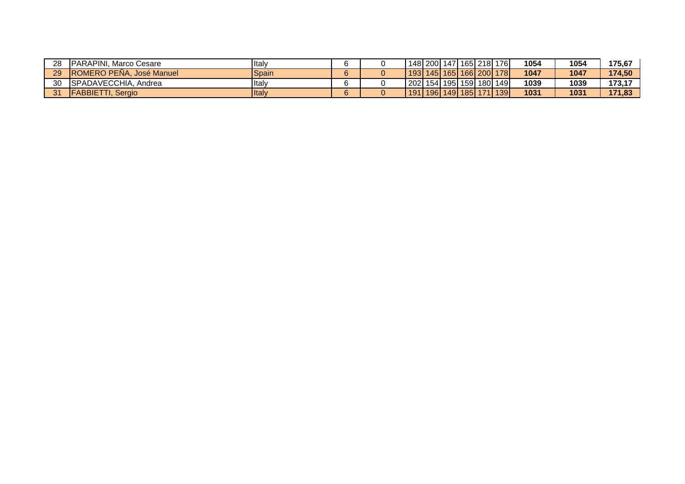| 28 | <b>IPARAPINI, Marco Cesare</b>   | <b>Italy</b>   |    |  |  | 148   200   147   165   218   176     | 1054 | 1054 | 175,67 |
|----|----------------------------------|----------------|----|--|--|---------------------------------------|------|------|--------|
| 29 | <b>IROMERO PENA, José Manuel</b> | Spain          |    |  |  | 193   145   165   166   200   178     | 1047 | 1047 | 174.50 |
| 30 | SPADAVECCHIA, Andrea             | <b>Ital</b>    |    |  |  | 202  154  195  159  180  149          | 1039 | 1039 | 173.17 |
| 94 | <b>IFABBIETTI</b><br>. Seraio    | <b>I</b> ltaly | 6. |  |  | 191   196   149   185   171   139   1 | 1031 | 1031 | 171.83 |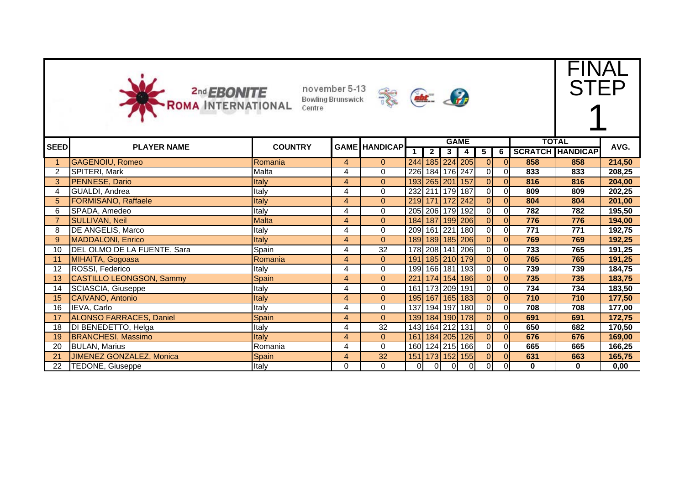



FINAL STEP

|                |                                 |                |                |                      |                |                 |             | <b>GAME</b>     |                |                          |          | <b>TOTAL</b>            | AVG.   |
|----------------|---------------------------------|----------------|----------------|----------------------|----------------|-----------------|-------------|-----------------|----------------|--------------------------|----------|-------------------------|--------|
| <b>SEED</b>    | <b>PLAYER NAME</b>              | <b>COUNTRY</b> |                | <b>GAME HANDICAP</b> |                | 2 <sup>1</sup>  | $3^{\circ}$ | 4               | 5              | $\overline{\phantom{a}}$ |          | <b>SCRATCH HANDICAP</b> |        |
|                | <b>GAGENOIU, Romeo</b>          | Romania        | 4              | $\overline{0}$       | 244            |                 |             | 185 224 205     | 01             | $\overline{0}$           | 858      | 858                     | 214,50 |
| $\overline{2}$ | SPITERI, Mark                   | Malta          | 4              | 0                    |                | 226 184 176 247 |             |                 | 0I             | $\overline{0}$           | 833      | 833                     | 208,25 |
| 3              | PENNESE, Dario                  | Italy          | 4              | $\mathbf{0}$         |                | 193 265 201 157 |             |                 | ΟI             | $\overline{0}$           | 816      | 816                     | 204,00 |
| 4              | GUALDI, Andrea                  | Italy          | 4              | $\pmb{0}$            |                | 232 211 179 187 |             |                 | οI             | $\overline{0}$           | 809      | 809                     | 202,25 |
| 5              | <b>FORMISANO, Raffaele</b>      | Italy          | $\overline{4}$ | $\mathbf{0}$         |                | 219 171 172 242 |             |                 | $\overline{0}$ | $\overline{0}$           | 804      | 804                     | 201,00 |
| 6              | SPADA, Amedeo                   | Italy          | 4              | 0                    |                | 205 206 179 192 |             |                 | ٥I             | $\overline{0}$           | 782      | 782                     | 195,50 |
|                | <b>SULLIVAN, Neil</b>           | <b>Malta</b>   | $\overline{4}$ | $\overline{0}$       |                |                 |             | 184 187 199 206 | ΟI             | $\overline{0}$           | 776      | 776                     | 194,00 |
| 8              | <b>DE ANGELIS, Marco</b>        | Italy          | 4              | $\mathbf 0$          |                |                 |             | 209 161 221 180 | $\overline{0}$ | $\overline{0}$           | 771      | 771                     | 192,75 |
| 9              | <b>MADDALONI, Enrico</b>        | <b>Italy</b>   | 4              | $\Omega$             |                |                 |             | 189 189 185 206 | 0              | $\overline{0}$           | 769      | 769                     | 192,25 |
| 10             | DEL OLMO DE LA FUENTE, Sara     | Spain          | 4              | 32                   |                |                 |             | 178 208 141 206 | 0I             | $\overline{0}$           | 733      | 765                     | 191,25 |
| 11             | MIHAITA, Gogoasa                | Romania        | $\overline{4}$ | $\overline{0}$       |                |                 |             | 191 185 210 179 | 0              | 0                        | 765      | 765                     | 191,25 |
| 12             | ROSSI, Federico                 | Italy          | 4              | $\mathbf 0$          |                | 199 166 181     |             | 193             | 0I             | $\overline{0}$           | 739      | 739                     | 184,75 |
| 13             | <b>CASTILLO LEONGSON, Sammy</b> | Spain          | 4              | $\overline{0}$       | 221            |                 | 174 154     | 186             | ΟI             | $\overline{0}$           | 735      | 735                     | 183,75 |
| 14             | SCIASCIA, Giuseppe              | Italy          | 4              | 0                    | 161            | 173 209 191     |             |                 | 0I             | $\overline{0}$           | 734      | 734                     | 183,50 |
| 15             | CAIVANO, Antonio                | Italy          | 4              | $\mathbf{0}$         | 195            |                 | 167 165 183 |                 | ΟI             | $\overline{0}$           | 710      | 710                     | 177,50 |
| 16             | IEVA, Carlo                     | Italy          | 4              | $\mathbf 0$          |                |                 |             | 137 194 197 180 | οI             | $\Omega$                 | 708      | 708                     | 177,00 |
| 17             | <b>ALONSO FARRACES, Daniel</b>  | Spain          | $\overline{4}$ | $\Omega$             |                |                 |             | 139 184 190 178 | ΟI             | $\overline{0}$           | 691      | 691                     | 172,75 |
| 18             | DI BENEDETTO, Helga             | Italy          | 4              | 32                   |                | 143 164 212 131 |             |                 | οI             | $\overline{0}$           | 650      | 682                     | 170,50 |
| 19             | <b>BRANCHESI, Massimo</b>       | <b>Italy</b>   | $\overline{4}$ | $\overline{0}$       |                | 161 184 205     |             | 126             | ΟI             | $\overline{0}$           | 676      | 676                     | 169,00 |
| 20             | <b>BULAN, Marius</b>            | Romania        | 4              | $\Omega$             |                |                 |             | 160 124 215 166 | 0I             | $\overline{0}$           | 665      | 665                     | 166,25 |
| 21             | <b>JIMENEZ GONZALEZ, Monica</b> | Spain          | $\overline{4}$ | 32                   |                |                 |             | 151 173 152 155 | $\overline{0}$ | $\overline{0}$           | 631      | 663                     | 165,75 |
| 22             | TEDONE, Giuseppe                | Italy          | 0              | 0                    | $\overline{0}$ | 0I              | 0I          | 0I              | 0I             | $\overline{0}$           | $\bf{0}$ | $\bf{0}$                | 0,00   |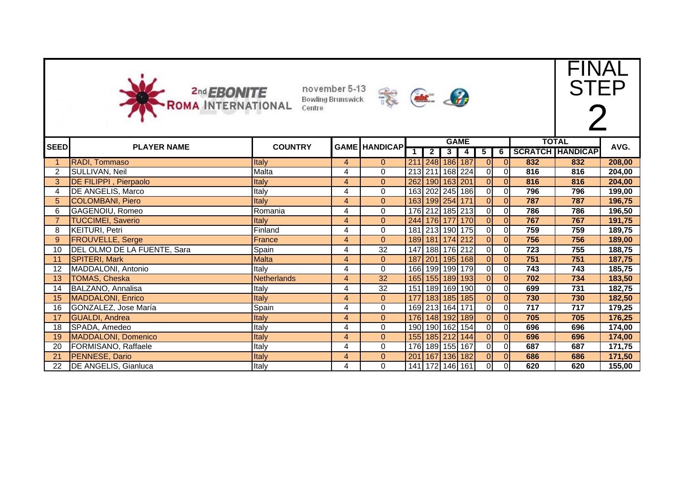



FINAL

STEP

| <b>SEED</b>    | <b>PLAYER NAME</b>            | <b>COUNTRY</b> |                | <b>GAME HANDICAP</b> |  |                |                         | <b>GAME</b>           |                         |                |                  | <b>TOTAL</b>            | AVG.   |
|----------------|-------------------------------|----------------|----------------|----------------------|--|----------------|-------------------------|-----------------------|-------------------------|----------------|------------------|-------------------------|--------|
|                |                               |                |                |                      |  | $\overline{2}$ | $\overline{\mathbf{3}}$ | 4                     | 5                       | 6              |                  | <b>SCRATCH HANDICAP</b> |        |
|                | RADI, Tommaso                 | <b>Italy</b>   | $\overline{4}$ | $\mathbf{0}$         |  |                |                         | 211 248 186 187       | $\overline{0}$          | $\overline{O}$ | 832              | 832                     | 208,00 |
| $\overline{2}$ | SULLIVAN, Neil                | Malta          | 4              | $\mathbf{0}$         |  |                |                         | 213 211 168 224       | $\overline{O}$          | 0I             | 816              | 816                     | 204,00 |
| 3 <sup>1</sup> | <b>DE FILIPPI</b> , Pierpaolo | Italy          | $\overline{4}$ | $\overline{0}$       |  |                |                         | 262 190 163 201       | 0                       | $\overline{0}$ | 816              | 816                     | 204,00 |
|                | <b>DE ANGELIS, Marco</b>      | Italy          | 4              | $\mathbf{0}$         |  |                |                         | 163 202 245 186       | $\overline{O}$          | $\overline{0}$ | 796              | 796                     | 199,00 |
| 5 <sup>5</sup> | <b>COLOMBANI, Piero</b>       | Italy          | $\overline{4}$ | $\overline{0}$       |  |                |                         | 163 199 254 171       | 0                       | $\overline{0}$ | 787              | 787                     | 196,75 |
| 6              | GAGENOIU, Romeo               | Romania        | 4              | 0                    |  |                |                         | 176 212 185 213       | $\overline{O}$          | $\overline{0}$ | 786              | 786                     | 196,50 |
|                | <b>TUCCIMEI, Saverio</b>      | Italy          | $\overline{4}$ | $\Omega$             |  |                |                         | 244 176 177 170       | 0                       | $\overline{0}$ | 767              | 767                     | 191,75 |
| 8              | <b>KEITURI, Petri</b>         | Finland        | 4              | $\Omega$             |  |                |                         | 181 213 190 175       | οI                      | $\Omega$       | 759              | 759                     | 189,75 |
| 9              | <b>FROUVELLE, Serge</b>       | France         | $\overline{4}$ | $\Omega$             |  |                |                         | 189 181 174 212       | οI                      | $\overline{0}$ | 756              | 756                     | 189,00 |
| 10             | DEL OLMO DE LA FUENTE, Sara   | Spain          | 4              | $\overline{32}$      |  |                |                         | 147 188 176 212       | $\overline{0}$          | $\overline{0}$ | $\overline{723}$ | 755                     | 188,75 |
| 11             | SPITERI, Mark                 | <b>Malta</b>   | $\overline{4}$ | $\overline{0}$       |  |                |                         | 187 201 195 168       | οI                      | $\overline{0}$ | 751              | 751                     | 187,75 |
| 12             | MADDALONI, Antonio            | Italy          | 4              | $\Omega$             |  |                |                         | 166 199 199 179       | οI                      | $\Omega$       | 743              | 743                     | 185,75 |
| 13             | <b>TOMAS, Cheska</b>          | Netherlands    | $\overline{4}$ | 32                   |  |                |                         | 165 155 189 193       | οI                      | $\Omega$       | 702              | 734                     | 183,50 |
| 14             | BALZANO, Annalisa             | Italy          | 4              | 32                   |  |                |                         | 151   189   169   190 | οI                      | $\Omega$       | 699              | 731                     | 182,75 |
| 15             | <b>MADDALONI, Enrico</b>      | Italy          | $\overline{4}$ | $\overline{0}$       |  |                |                         | 177 183 185 185       | $\overline{\mathsf{O}}$ | $\overline{0}$ | 730              | 730                     | 182,50 |
| 16             | GONZALEZ, Jose María          | Spain          | 4              | 0                    |  |                |                         | 169 213 164 171       | $\overline{0}$          | $\overline{0}$ | 717              | 717                     | 179,25 |
| 17             | <b>GUALDI, Andrea</b>         | Italy          | $\overline{4}$ | $\overline{0}$       |  |                |                         | 176 148 192 189       | $\overline{\mathsf{O}}$ | $\overline{0}$ | 705              | 705                     | 176,25 |
| 18             | SPADA, Amedeo                 | Italy          | 4              | 0                    |  |                |                         | 190 190 162 154       | $\overline{O}$          | $\Omega$       | 696              | 696                     | 174,00 |
| 19             | <b>MADDALONI, Domenico</b>    | Italy          | $\overline{4}$ | $\Omega$             |  |                |                         | 155 185 212 144       | 0                       | $\overline{0}$ | 696              | 696                     | 174,00 |
| 20             | FORMISANO, Raffaele           | Italy          | 4              | 0                    |  |                |                         | 176 189 155 167       | $\overline{O}$          | $\overline{0}$ | 687              | 687                     | 171,75 |
| 21             | PENNESE, Dario                | Italy          | $\overline{4}$ | $\Omega$             |  |                |                         | 201 167 136 182       | οI                      | $\Omega$       | 686              | 686                     | 171,50 |
| 22             | <b>DE ANGELIS, Gianluca</b>   | Italy          | 4              | 0                    |  |                |                         | 141 172 146 161       | $\overline{0}$          | 0I             | 620              | 620                     | 155,00 |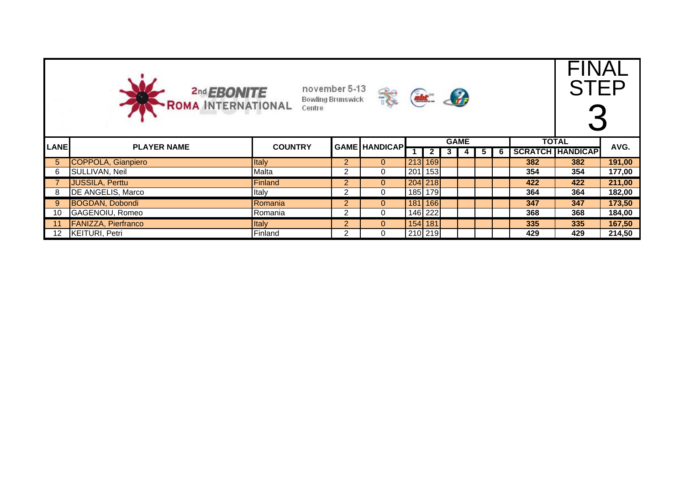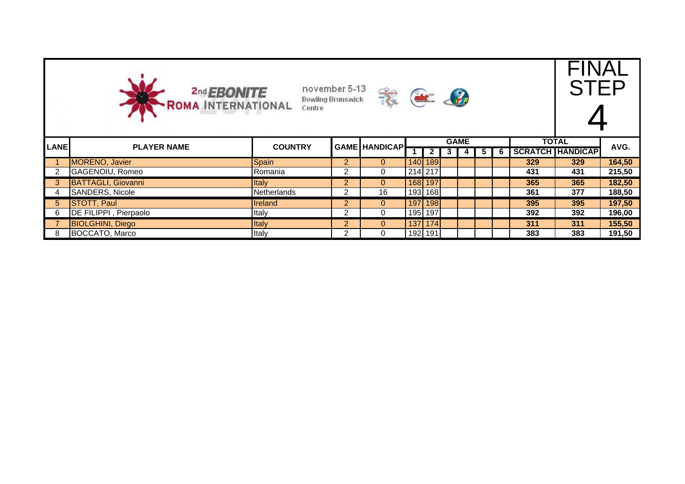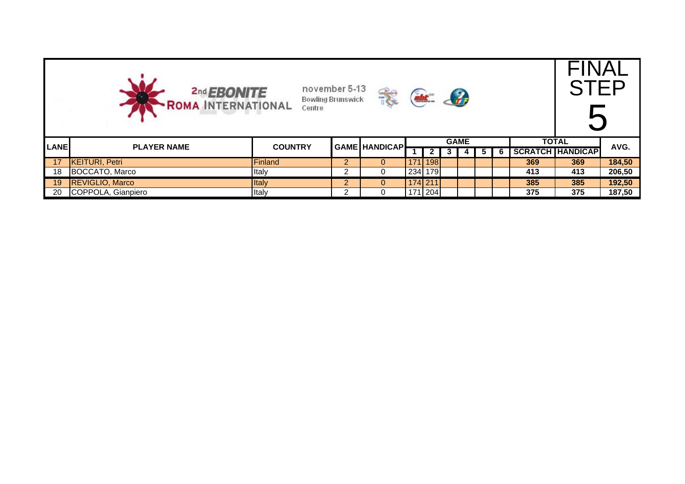|             | november 5-13<br>2nd <b>EBONITE</b><br>$\left\langle \cdot \right\rangle$<br><b>Bowling Brunswick</b><br>-ROMA INTERNATIONAL<br>Centre<br><b>TOTAL</b> |                |                |                |  |           |   |  |    |   |     |                         | STFF   |
|-------------|--------------------------------------------------------------------------------------------------------------------------------------------------------|----------------|----------------|----------------|--|-----------|---|--|----|---|-----|-------------------------|--------|
| <b>LANE</b> | <b>GAME</b><br><b>GAME HANDICAP</b>                                                                                                                    |                |                |                |  |           |   |  |    |   |     |                         | AVG.   |
|             | <b>PLAYER NAME</b>                                                                                                                                     | <b>COUNTRY</b> |                |                |  | 2         | J |  | Ð. | 6 |     | <b>SCRATCH HANDICAP</b> |        |
| 17          | <b>KEITURI, Petri</b>                                                                                                                                  | Finland        | $\overline{2}$ | $\overline{0}$ |  | 171   198 |   |  |    |   | 369 | 369                     | 184,50 |
| 18          | BOCCATO, Marco                                                                                                                                         | Italy          |                | 0              |  | 234 179   |   |  |    |   | 413 | 413                     | 206,50 |
| 19          | <b>REVIGLIO, Marco</b>                                                                                                                                 | <b>Italy</b>   | $\overline{2}$ | $\mathbf{0}$   |  | 174 211   |   |  |    |   | 385 | 385                     | 192,50 |
| 20          | COPPOLA, Gianpiero                                                                                                                                     | Italy          |                | 0              |  | 171 204   |   |  |    |   | 375 | 375                     | 187,50 |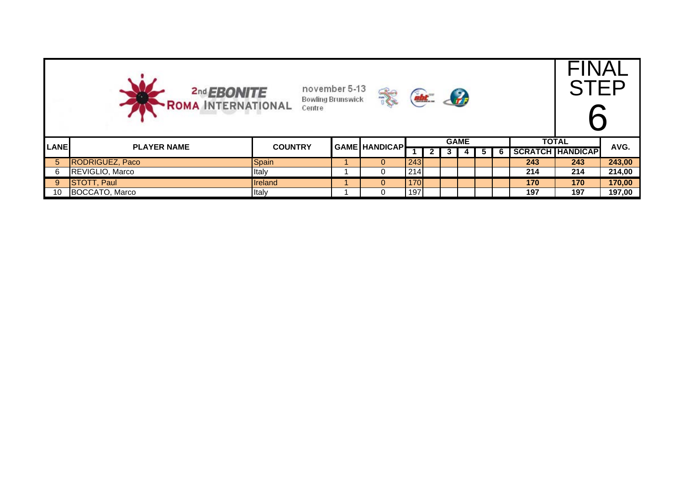|             | november 5-13<br>2nd <b>EBONITE</b><br>$\frac{2}{\sqrt{2}}$<br><b>Bowling Brunswick</b><br>-ROMA INTERNATIONAL<br>Centre<br><b>GAME</b> |                |  |                      |     |   |  |  |   |   |     |                         | STFF   |
|-------------|-----------------------------------------------------------------------------------------------------------------------------------------|----------------|--|----------------------|-----|---|--|--|---|---|-----|-------------------------|--------|
| <b>LANE</b> | <b>PLAYER NAME</b>                                                                                                                      | <b>COUNTRY</b> |  | <b>GAME HANDICAP</b> |     |   |  |  |   |   |     | <b>TOTAL</b>            | AVG.   |
|             |                                                                                                                                         |                |  |                      |     | 2 |  |  | ວ | 6 |     | <b>SCRATCH HANDICAP</b> |        |
| 5           | RODRIGUEZ, Paco                                                                                                                         | Spain          |  | $\overline{0}$       | 243 |   |  |  |   |   | 243 | 243                     | 243,00 |
|             | REVIGLIO, Marco                                                                                                                         | Italy          |  | 0                    | 214 |   |  |  |   |   | 214 | 214                     | 214,00 |
| -9          | <b>STOTT, Paul</b>                                                                                                                      | <b>Ireland</b> |  | $\overline{0}$       | 170 |   |  |  |   |   | 170 | 170                     | 170,00 |
| 10          | BOCCATO, Marco                                                                                                                          | Italy          |  | 0                    | 197 |   |  |  |   |   | 197 | 197                     | 197,00 |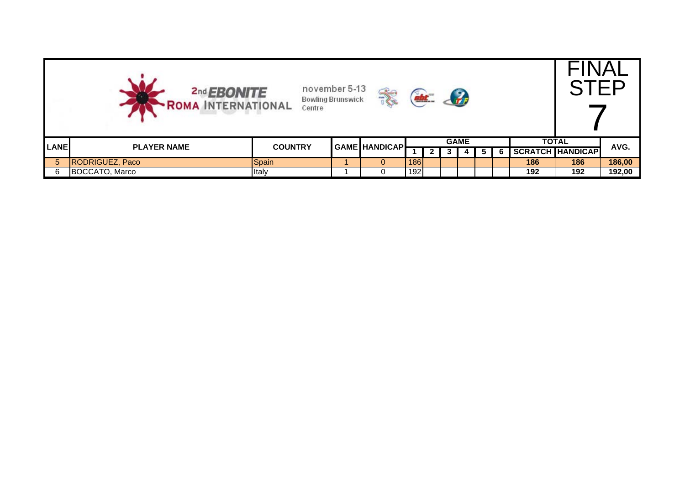|                | november 5-13<br>2nd <b>EBONITE</b><br>$\mathcal{L}_r$<br><b>Bowling Brunswick</b><br><b>- ROMA INTERNATIONAL</b><br>Centre<br><b>GAME</b><br><b>GAME HANDICAP</b> |                |  |              |     |   |  |  |    |   |     |                         | $\overline{\mathsf{u}}$<br>STEP |
|----------------|--------------------------------------------------------------------------------------------------------------------------------------------------------------------|----------------|--|--------------|-----|---|--|--|----|---|-----|-------------------------|---------------------------------|
| <b>LANE</b>    | <b>PLAYER NAME</b>                                                                                                                                                 | <b>COUNTRY</b> |  |              |     |   |  |  |    |   |     | <b>TOTAL</b>            | AVG.                            |
|                |                                                                                                                                                                    |                |  |              |     | 2 |  |  | Ð. | 6 |     | <b>SCRATCH HANDICAP</b> |                                 |
| 5 <sup>1</sup> | <b>RODRIGUEZ, Paco</b>                                                                                                                                             | Spain          |  | $\mathbf{0}$ | 186 |   |  |  |    |   | 186 | 186                     | 186,00                          |
| 6              | BOCCATO, Marco                                                                                                                                                     | Italy          |  |              | 192 |   |  |  |    |   | 192 | 192                     | 192,00                          |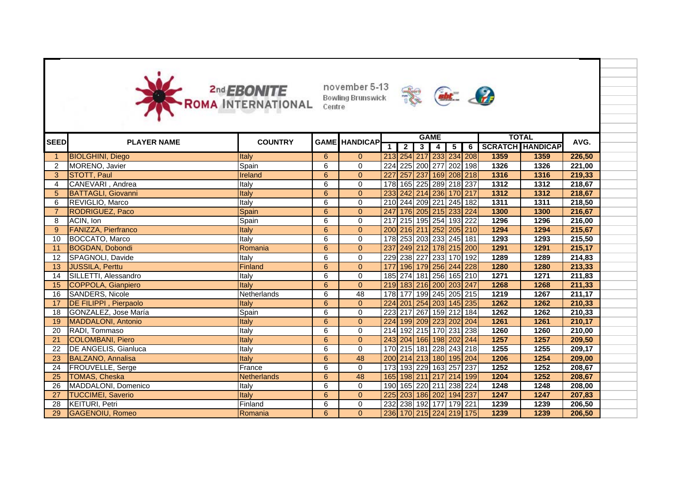

november 5-13





|             |                               |                    |   |                      |                  |                         | <b>GAME</b>     |                         |   |                         | <b>TOTAL</b> |        |  |
|-------------|-------------------------------|--------------------|---|----------------------|------------------|-------------------------|-----------------|-------------------------|---|-------------------------|--------------|--------|--|
| <b>SEED</b> | <b>PLAYER NAME</b>            | <b>COUNTRY</b>     |   | <b>GAME HANDICAP</b> |                  | $\overline{\mathbf{2}}$ | $3 \mid 4 \mid$ | $5\sqrt{ }$             | 6 | <b>SCRATCH HANDICAP</b> |              | AVG.   |  |
|             | <b>BIOLGHINI, Diego</b>       | Italy              | 6 | $\overline{0}$       |                  |                         |                 | 213 254 217 233 234 208 |   | 1359                    | 1359         | 226,50 |  |
|             | MORENO, Javier                | Spain              | 6 | $\Omega$             |                  |                         |                 | 224 225 200 277 202 198 |   | 1326                    | 1326         | 221,00 |  |
| 3           | STOTT, Paul                   | Ireland            | 6 | $\Omega$             | $\overline{227}$ |                         |                 | 257 237 169 208 218     |   | 1316                    | 1316         | 219,33 |  |
|             | CANEVARI, Andrea              | Italy              | 6 | $\mathbf 0$          |                  |                         |                 | 178 165 225 289 218 237 |   | 1312                    | 1312         | 218,67 |  |
| 5           | <b>BATTAGLI, Giovanni</b>     | Italy              | 6 | $\overline{0}$       |                  |                         |                 | 233 242 214 236 170 217 |   | 1312                    | 1312         | 218,67 |  |
| 6           | <b>REVIGLIO, Marco</b>        | Italy              | 6 | $\mathbf 0$          |                  |                         |                 | 210 244 209 221 245 182 |   | 1311                    | 1311         | 218,50 |  |
|             | RODRIGUEZ, Paco               | Spain              | 6 | $\overline{0}$       |                  |                         |                 | 247 176 205 215 233 224 |   | 1300                    | 1300         | 216,67 |  |
| 8           | ACIN, Ion                     | Spain              | 6 | 0                    |                  |                         |                 | 217 215 195 254 193 222 |   | 1296                    | 1296         | 216,00 |  |
| 9           | <b>FANIZZA, Pierfranco</b>    | Italy              | 6 | $\overline{0}$       |                  |                         |                 | 200 216 211 252 205 210 |   | 1294                    | 1294         | 215,67 |  |
| 10          | <b>BOCCATO, Marco</b>         | Italy              | 6 | 0                    |                  |                         |                 | 178 253 203 233 245 181 |   | 1293                    | 1293         | 215,50 |  |
| 11          | <b>BOGDAN, Dobondi</b>        | Romania            | 6 | $\overline{0}$       |                  |                         |                 | 237 249 212 178 215 200 |   | 1291                    | 1291         | 215,17 |  |
| 12          | SPAGNOLI, Davide              | Italy              | 6 | 0                    |                  |                         |                 | 229 238 227 233 170 192 |   | 1289                    | 1289         | 214,83 |  |
| 13          | <b>JUSSILA, Perttu</b>        | Finland            | 6 | $\overline{0}$       |                  |                         |                 | 177 196 179 256 244 228 |   | 1280                    | 1280         | 213,33 |  |
| 14          | SILLETTI, Alessandro          | Italy              | 6 | $\mathbf 0$          |                  |                         |                 | 185 274 181 256 165 210 |   | 1271                    | 1271         | 211,83 |  |
| 15          | COPPOLA, Gianpiero            | Italy              | 6 | $\overline{0}$       |                  |                         |                 | 219 183 216 200 203 247 |   | 1268                    | 1268         | 211,33 |  |
| 16          | <b>SANDERS, Nicole</b>        | Netherlands        | 6 | $\overline{48}$      |                  |                         |                 | 178 177 199 245 205 215 |   | 1219                    | 1267         | 211,17 |  |
| -17         | <b>DE FILIPPI</b> , Pierpaolo | Italy              | 6 | $\overline{0}$       |                  |                         |                 | 224 201 254 203 145 235 |   | 1262                    | 1262         | 210,33 |  |
| 18          | GONZALEZ, Jose María          | Spain              | 6 | $\mathbf 0$          |                  |                         |                 | 223 217 267 159 212 184 |   | 1262                    | 1262         | 210,33 |  |
| 19          | <b>MADDALONI, Antonio</b>     | Italy              | 6 | $\overline{0}$       |                  |                         |                 | 224 199 209 223 202 204 |   | 1261                    | 1261         | 210,17 |  |
| 20          | RADI, Tommaso                 | Italy              | 6 | 0                    |                  |                         |                 | 214 192 215 170 231 238 |   | 1260                    | 1260         | 210,00 |  |
| 21          | <b>COLOMBANI, Piero</b>       | Italy              | 6 | $\overline{0}$       |                  |                         |                 | 243 204 166 198 202 244 |   | 1257                    | 1257         | 209,50 |  |
| 22          | DE ANGELIS, Gianluca          | Italy              | 6 | $\mathbf 0$          |                  |                         |                 | 170 215 181 228 243 218 |   | 1255                    | 1255         | 209,17 |  |
| 23          | <b>BALZANO, Annalisa</b>      | Italy              | 6 | 48                   |                  |                         |                 | 200 214 213 180 195 204 |   | 1206                    | 1254         | 209,00 |  |
| 24          | FROUVELLE, Serge              | France             | 6 | $\mathbf 0$          |                  |                         |                 | 173 193 229 163 257 237 |   | 1252                    | 1252         | 208,67 |  |
| 25          | <b>TOMAS, Cheska</b>          | <b>Netherlands</b> | 6 | 48                   |                  |                         |                 | 165 198 211 217 214 199 |   | 1204                    | 1252         | 208,67 |  |
| 26          | MADDALONI, Domenico           | Italy              | 6 | $\mathbf 0$          |                  |                         |                 | 190 165 220 211 238 224 |   | 1248                    | 1248         | 208,00 |  |
| 27          | <b>TUCCIMEI, Saverio</b>      | Italy              | 6 | $\Omega$             |                  |                         |                 | 225 203 186 202 194 237 |   | 1247                    | 1247         | 207,83 |  |
| 28          | <b>KEITURI, Petri</b>         | Finland            | 6 | 0                    |                  |                         |                 | 232 238 192 177 179 221 |   | 1239                    | 1239         | 206,50 |  |
| 29          | <b>GAGENOIU, Romeo</b>        | Romania            | 6 | $\overline{0}$       |                  |                         |                 | 236 170 215 224 219 175 |   | 1239                    | 1239         | 206,50 |  |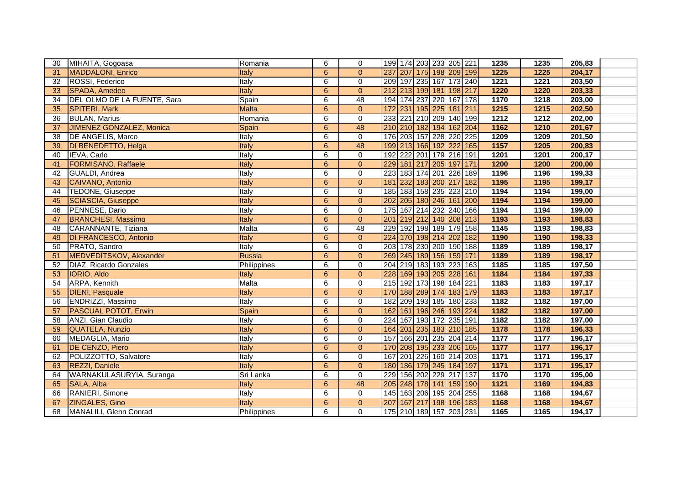| 30 | MIHAITA, Gogoasa             | Romania       | 6               | $\mathbf 0$    | 199 174 203 233 205 221    |  |  | 1235              | 1235              | 205,83 |  |
|----|------------------------------|---------------|-----------------|----------------|----------------------------|--|--|-------------------|-------------------|--------|--|
| 31 | <b>MADDALONI, Enrico</b>     | Italy         | 6               | $\Omega$       | 237 207 175 198 209 199    |  |  | 1225              | 1225              | 204,17 |  |
| 32 | ROSSI, Federico              | Italy         | 6               | $\mathbf 0$    | 209 197 235 167 173 240    |  |  | 1221              | 1221              | 203,50 |  |
| 33 | SPADA, Amedeo                | Italy         | $6\phantom{1}$  | $\overline{0}$ | 212 213 199 181 198 217    |  |  | 1220              | 1220              | 203,33 |  |
| 34 | DEL OLMO DE LA FUENTE, Sara  | Spain         | 6               | 48             | 194 174 237 220 167 178    |  |  | 1170              | 1218              | 203,00 |  |
| 35 | <b>SPITERI, Mark</b>         | <b>Malta</b>  | $6\phantom{1}$  | $\mathbf{0}$   | 231 195 225 181 211<br>172 |  |  | 1215              | 1215              | 202,50 |  |
| 36 | <b>BULAN, Marius</b>         | Romania       | 6               | $\mathbf 0$    | 233 221 210 209 140 199    |  |  | $\overline{1212}$ | $\overline{1212}$ | 202,00 |  |
| 37 | JIMENEZ GONZALEZ, Monica     | Spain         | 6               | 48             | 210 210 182 194 162 204    |  |  | 1162              | 1210              | 201,67 |  |
| 38 | <b>DE ANGELIS, Marco</b>     | Italy         | 6               | $\mathbf 0$    | 176 203 157 228 220 225    |  |  | 1209              | 1209              | 201,50 |  |
| 39 | DI BENEDETTO, Helga          | Italy         | 6               | 48             | 199 213 166 192 222 165    |  |  | 1157              | 1205              | 200,83 |  |
| 40 | IEVA, Carlo                  | Italy         | 6               | $\mathbf 0$    | 192 222 201 179 216 191    |  |  | 1201              | 1201              | 200,17 |  |
| 41 | <b>FORMISANO, Raffaele</b>   | <b>Italy</b>  | $6\phantom{1}$  | $\overline{0}$ | 229 181 217 205 197 171    |  |  | 1200              | 1200              | 200,00 |  |
| 42 | <b>GUALDI</b> , Andrea       | Italy         | 6               | $\pmb{0}$      | 183 174 201 226 189<br>223 |  |  | 1196              | 1196              | 199,33 |  |
| 43 | CAIVANO, Antonio             | Italy         | 6               | $\Omega$       | 232 183 200 217 182<br>181 |  |  | 1195              | 1195              | 199,17 |  |
| 44 | TEDONE, Giuseppe             | Italy         | 6               | $\mathbf 0$    | 185 183 158 235 223 210    |  |  | 1194              | 1194              | 199,00 |  |
| 45 | <b>SCIASCIA, Giuseppe</b>    | Italy         | $6\phantom{1}$  | $\mathbf{0}$   | 202 205 180 246 161 200    |  |  | 1194              | 1194              | 199,00 |  |
| 46 | PENNESE, Dario               | Italy         | 6               | $\Omega$       | 175 167 214 232 240 166    |  |  | 1194              | 1194              | 199,00 |  |
| 47 | <b>BRANCHESI, Massimo</b>    | Italy         | $6\phantom{1}6$ | $\overline{0}$ | 201 219 212 140 208 213    |  |  | 1193              | 1193              | 198,83 |  |
| 48 | CARANNANTE, Tiziana          | Malta         | 6               | 48             | 192 198 189 179 158<br>229 |  |  | 1145              | 1193              | 198,83 |  |
| 49 | <b>DI FRANCESCO, Antonio</b> | Italy         | 6               | $\overline{0}$ | 224 170 198 214 202 182    |  |  | 1190              | 1190              | 198,33 |  |
| 50 | PRATO, Sandro                | Italy         | 6               | 0              | 203 178 230 200 190 188    |  |  | 1189              | 1189              | 198,17 |  |
| 51 | MEDVEDITSKOV, Alexander      | <b>Russia</b> | $6\phantom{1}$  | $\mathbf{0}$   | 269 245 189 156 159 171    |  |  | 1189              | 1189              | 198,17 |  |
| 52 | DIAZ, Ricardo Gonzales       | Philippines   | 6               | $\mathbf 0$    | 204 219 183 193 223 163    |  |  | 1185              | 1185              | 197,50 |  |
| 53 | IORIO, Aldo                  | Italy         | $\overline{6}$  | $\mathbf{0}$   | 228 169 193 205 228 161    |  |  | 1184              | 1184              | 197,33 |  |
| 54 | ARPA, Kennith                | Malta         | 6               | $\mathbf 0$    | 215 192 173 198 184 221    |  |  | 1183              | 1183              | 197,17 |  |
| 55 | <b>DIENI, Pasquale</b>       | Italy         | 6               | $\overline{0}$ | 170 188 289 174 183 179    |  |  | 1183              | 1183              | 197,17 |  |
| 56 | ENDRIZZI, Massimo            | Italy         | 6               | $\mathbf 0$    | 182 209 193 185 180 233    |  |  | 1182              | 1182              | 197,00 |  |
| 57 | <b>PASCUAL POTOT, Erwin</b>  | Spain         | $6\phantom{1}$  | $\mathbf{0}$   | 162 161 196 246 193 224    |  |  | 1182              | 1182              | 197,00 |  |
| 58 | ANZI, Gian Claudio           | Italy         | 6               | $\mathbf 0$    | 224 167 193 172 235 191    |  |  | 1182              | 1182              | 197,00 |  |
| 59 | QUATELA, Nunzio              | Italy         | $6\phantom{1}$  | $\Omega$       | 164 201 235 183 210 185    |  |  | 1178              | 1178              | 196,33 |  |
| 60 | MEDAGLIA, Mario              | Italy         | 6               | $\mathbf 0$    | 166 201 235 204 214<br>157 |  |  | 1177              | 1177              | 196,17 |  |
| 61 | <b>DE CENZO, Piero</b>       | Italy         | 6               | $\overline{0}$ | 170 208 195 233 206 165    |  |  | 1177              | 1177              | 196,17 |  |
| 62 | POLIZZOTTO, Salvatore        | Italy         | $\overline{6}$  | 0              | 201 226 160 214 203<br>167 |  |  | 1171              | 1171              | 195,17 |  |
| 63 | REZZI, Daniele               | Italy         | $6\phantom{1}$  | $\mathbf{0}$   | 180 186 179 245 184 197    |  |  | 1171              | 1171              | 195,17 |  |
| 64 | WARNAKULASURYIA, Suranga     | Sri Lanka     | 6               | $\mathbf 0$    | 156 202 229 217 137<br>229 |  |  | 1170              | 1170              | 195,00 |  |
| 65 | SALA, Alba                   | Italy         | $6\phantom{1}$  | 48             | 205 248 178 141 159 190    |  |  | $\overline{1121}$ | 1169              | 194,83 |  |
| 66 | RANIERI, Simone              | Italy         | 6               | $\mathbf 0$    | 145 163 206 195 204 255    |  |  | 1168              | 1168              | 194,67 |  |
| 67 | ZINGALES, Gino               | Italy         | 6               | $\overline{0}$ | 167 217 198 196 183<br>207 |  |  | 1168              | 1168              | 194,67 |  |
| 68 | MANALILI, Glenn Conrad       | Philippines   | 6               | $\Omega$       | 175 210 189 157 203 231    |  |  | 1165              | 1165              | 194,17 |  |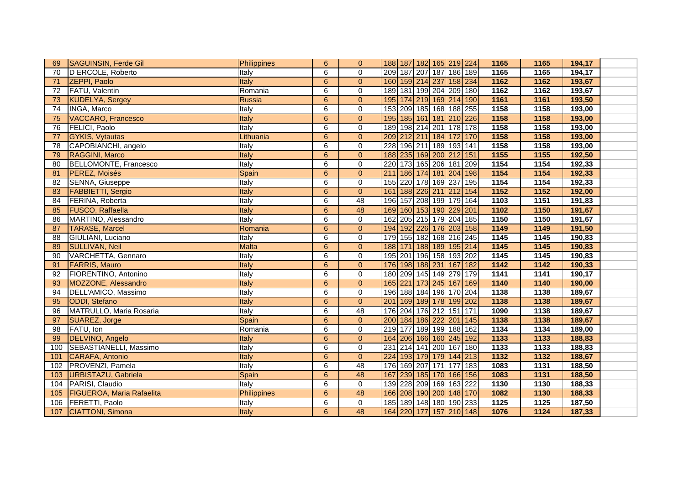| 69  | SAGUINSIN, Ferde Gil             | Philippines        | 6              | $\overline{0}$ | 188 187 182 165 219 224       | 1165 | 1165 | 194,17 |  |
|-----|----------------------------------|--------------------|----------------|----------------|-------------------------------|------|------|--------|--|
| 70  | D ERCOLE, Roberto                | Italy              | 6              | $\Omega$       | 209 187 207 187 186 189       | 1165 | 1165 | 194,17 |  |
| 71  | ZEPPI, Paolo                     | Italy              | $6\phantom{1}$ | $\overline{0}$ | 160 159 214 237 158 234       | 1162 | 1162 | 193,67 |  |
| 72  | FATU, Valentin                   | Romania            | 6              | $\mathbf 0$    | 189 181 199 204 209 180       | 1162 | 1162 | 193,67 |  |
| 73  | <b>KUDELYA, Sergey</b>           | Russia             | 6              | $\Omega$       | 195 174 219 169 214 190       | 1161 | 1161 | 193,50 |  |
| 74  | INGA, Marco                      | Italy              | 6              | $\mathbf 0$    | 209 185 168 188 255<br>153    | 1158 | 1158 | 193,00 |  |
| 75  | VACCARO, Francesco               | Italy              | $6\phantom{1}$ | $\overline{0}$ | 195 185 161 181 210 226       | 1158 | 1158 | 193,00 |  |
| 76  | FELICI, Paolo                    | Italy              | 6              | $\mathbf 0$    | 198 214 201 178 178<br>189    | 1158 | 1158 | 193,00 |  |
| 77  | <b>GYKIS, Vytautas</b>           | Lithuania          | 6              | $\overline{0}$ | 212 211 184 172 170<br>209    | 1158 | 1158 | 193,00 |  |
| 78  | CAPOBIANCHI, angelo              | Italy              | 6              | $\overline{0}$ | 196 211 189 193 141<br>228    | 1158 | 1158 | 193,00 |  |
| 79  | RAGGINI, Marco                   | Italy              | $\overline{6}$ | $\mathbf{0}$   | 188 235 169 200 212 151       | 1155 | 1155 | 192,50 |  |
| 80  | BELLOMONTE, Francesco            | Italy              | 6              | $\mathbf 0$    | 220 173 165 206 181 209       | 1154 | 1154 | 192,33 |  |
| 81  | PEREZ, Moisés                    | Spain              | $6\phantom{1}$ | $\mathbf{0}$   | 186 174 181 204 198<br>211    | 1154 | 1154 | 192,33 |  |
| 82  | SENNA, Giuseppe                  | Italy              | 6              | $\mathbf 0$    | 155 220 178 169 237 195       | 1154 | 1154 | 192,33 |  |
| 83  | <b>FABBIETTI, Sergio</b>         | Italy              | 6              | $\Omega$       | 161 188 226 211 212 154       | 1152 | 1152 | 192,00 |  |
| 84  | FERINA, Roberta                  | Italy              | 6              | 48             | 196 157 208 199 179 164       | 1103 | 1151 | 191,83 |  |
| 85  | <b>FUSCO, Raffaella</b>          | Italy              | 6              | 48             | 169 160 153 190 229 201       | 1102 | 1150 | 191,67 |  |
| 86  | MARTINO, Alessandro              | Italy              | 6              | $\mathbf 0$    | 162 205 215 179 204 185       | 1150 | 1150 | 191,67 |  |
| 87  | <b>TARASE, Marcel</b>            | Romania            | 6              | $\Omega$       | 194 192 226 176 203 158       | 1149 | 1149 | 191,50 |  |
| 88  | GIULIANI, Luciano                | Italy              | 6              | $\mathbf 0$    | 179 155 182 168 216 245       | 1145 | 1145 | 190,83 |  |
| 89  | <b>SULLIVAN, Neil</b>            | <b>Malta</b>       | 6              | $\overline{0}$ | 188 171 188 189 195 214       | 1145 | 1145 | 190,83 |  |
| 90  | VARCHETTA, Gennaro               | Italy              | 6              | $\mathbf{0}$   | 195 201 196 158 193 202       | 1145 | 1145 | 190,83 |  |
| 91  | <b>FARRIS, Mauro</b>             | Italy              | $6\phantom{1}$ | $\mathbf{0}$   | 176 198 188 231 167 182       | 1142 | 1142 | 190,33 |  |
| 92  | FIORENTINO, Antonino             | Italy              | 6              | $\mathbf 0$    | 180 209 145 149 279 179       | 1141 | 1141 | 190,17 |  |
| 93  | MOZZONE, Alessandro              | Italy              | 6              | $\overline{0}$ | 165 221 173 245 167 169       | 1140 | 1140 | 190,00 |  |
| 94  | DELL'AMICO, Massimo              | Italy              | 6              | $\pmb{0}$      | 196 188 184 196 170 204       | 1138 | 1138 | 189,67 |  |
| 95  | <b>ODDI</b> , Stefano            | Italy              | 6              | $\mathbf{0}$   | 201 169 189 178 199 202       | 1138 | 1138 | 189,67 |  |
| 96  | MATRULLO, Maria Rosaria          | Italy              | 6              | 48             | 176 204 176 212 151 171       | 1090 | 1138 | 189,67 |  |
| 97  | SUAREZ, Jorge                    | Spain              | $6\phantom{1}$ | $\mathbf{0}$   | 200 184 186 222 201 145       | 1138 | 1138 | 189,67 |  |
| 98  | FATU, Ion                        | Romania            | 6              | $\mathbf 0$    | 219 177 189 199 188 162       | 1134 | 1134 | 189,00 |  |
| 99  | DELVINO, Angelo                  | Italy              | $6\phantom{1}$ | $\Omega$       | 164 206 166 160 245 192       | 1133 | 1133 | 188,83 |  |
| 100 | SEBASTIANELLI, Massimo           | Italy              | 6              | $\mathbf 0$    | 214 141 200 167 180<br>231    | 1133 | 1133 | 188,83 |  |
| 101 | <b>CARAFA, Antonio</b>           | Italy              | 6              | $\overline{0}$ | 224 193 179 179 144 213       | 1132 | 1132 | 188,67 |  |
| 102 | PROVENZI, Pamela                 | Italy              | 6              | 48             | 169 207 171 177<br>176<br>183 | 1083 | 1131 | 188,50 |  |
| 103 | <b>URBISTAZU, Gabriela</b>       | Spain              | 6              | 48             | 239 185 170 166 156<br>167    | 1083 | 1131 | 188,50 |  |
| 104 | PARISI, Claudio                  | Italy              | 6              | $\pmb{0}$      | 139 228 209 169 163 222       | 1130 | 1130 | 188,33 |  |
| 105 | <b>FIGUEROA, Maria Rafaelita</b> | <b>Philippines</b> | $6\phantom{1}$ | 48             | 166 208 190 200 148 170       | 1082 | 1130 | 188,33 |  |
| 106 | <b>FERETTI, Paolo</b>            | Italy              | 6              | $\mathbf 0$    | 185 189 148 180 190 233       | 1125 | 1125 | 187,50 |  |
|     | 107 CIATTONI, Simona             | Italy              | 6              | 48             | 164 220 177 157 210 148       | 1076 | 1124 | 187,33 |  |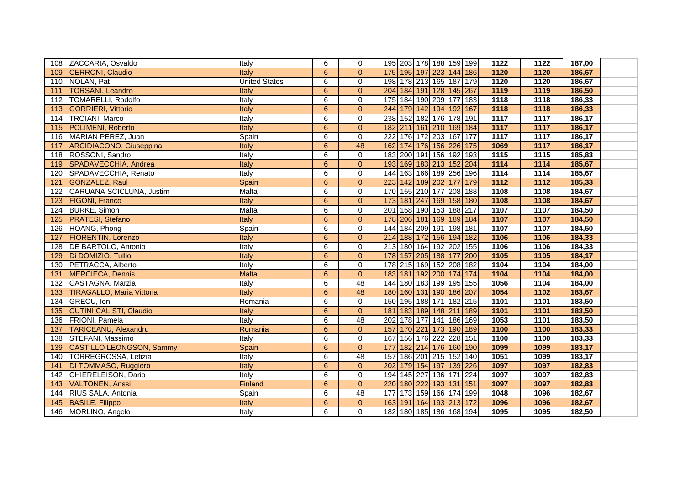|                  | 108 ZACCARIA, Osvaldo            | Italy                | 6              | $\mathbf 0$    | 195 203 178 188 159 199<br>1122<br>1122<br>187,00                 |
|------------------|----------------------------------|----------------------|----------------|----------------|-------------------------------------------------------------------|
| 109              | <b>CERRONI, Claudio</b>          | Italy                | 6              | $\Omega$       | 175 195 197 223 144 186<br>1120<br>1120<br>186,67                 |
| 110              | NOLAN, Pat                       | <b>United States</b> | 6              | 0              | 198 178 213 165 187 179<br>1120<br>1120<br>186,67                 |
| 111              | <b>TORSANI, Leandro</b>          | Italy                | $6\phantom{1}$ | $\Omega$       | 204 184 191 128 145 267<br>1119<br>1119<br>186,50                 |
| 112              | TOMARELLI, Rodolfo               | Italy                | 6              | $\Omega$       | 175 184 190 209 177 183<br>1118<br>1118<br>186,33                 |
| 113              | <b>GORRIERI, Vittorio</b>        | Italy                | $6\phantom{1}$ | $\Omega$       | 244 179 142 194 192 167<br>1118<br>1118<br>186,33                 |
| 114              | <b>TROIANI, Marco</b>            | Italy                | 6              | $\mathbf 0$    | 238 152 182 176 178 191<br>$\overline{1117}$<br>1117<br>186,17    |
| 115              | <b>POLIMENI, Roberto</b>         | Italy                | 6              | $\overline{0}$ | 182 211 161 210 169 184<br>1117<br>1117<br>186,17                 |
| 116              | MARIAN PEREZ, Juan               | Spain                | 6              | $\Omega$       | 222 176 172 203 167 177<br>1117<br>1117<br>186,17                 |
| 117              | <b>ARCIDIACONO, Giuseppina</b>   | Italy                | $6\phantom{1}$ | 48             | 174 176 156 226 175<br>1069<br>$\overline{1117}$<br>162<br>186,17 |
| 118              | ROSSONI, Sandro                  | <b>Italy</b>         | 6              | $\mathbf 0$    | 1115<br>183 200 191 156 192 193<br>1115<br>185,83                 |
| 119              | SPADAVECCHIA, Andrea             | Italy                | 6              | $\Omega$       | 193 169 183 213 152 204<br>1114<br>1114<br>185,67                 |
| 120              | SPADAVECCHIA, Renato             | Italy                | 6              | 0              | 163 166 189 256 196<br>1114<br>144<br>1114<br>185,67              |
| 121              | GONZALEZ, Raul                   | Spain                | 6              | $\overline{0}$ | 223 142 189 202 177<br>$\overline{1112}$<br>179<br>1112<br>185,33 |
| 122              | CARUANA SCICLUNA, Justim         | Malta                | 6              | $\Omega$       | 170 155 210 177 208 188<br>1108<br>1108<br>184,67                 |
| 123              | <b>FIGONI, Franco</b>            | Italy                | $6\phantom{a}$ | $\overline{0}$ | 173 181 247 169 158 180<br>1108<br>1108<br>184,67                 |
| 124              | <b>BURKE, Simon</b>              | Malta                | 6              | $\mathbf 0$    | 201 158 190 153 188 217<br>1107<br>1107<br>184,50                 |
| 125              | <b>PRATESI, Stefano</b>          | Italy                | 6              | $\Omega$       | 178 206 181 169 189 184<br>1107<br>1107<br>184,50                 |
| 126              | HOANG, Phong                     | Spain                | 6              | $\Omega$       | 144 184 209 191 198 181<br>1107<br>1107<br>184,50                 |
| 127              | <b>FIORENTIN, Lorenzo</b>        | Italy                | 6              | $\overline{0}$ | 156 194 182<br>1106<br>214 188 172<br>1106<br>184,33              |
|                  | 128 DE BARTOLO, Antonio          | Italy                | 6              | 0              | 1106<br>1106<br>213 180 164 192 202 155<br>184,33                 |
| 129              | Di DOMIZIO, Tullio               | Italy                | 6              | $\Omega$       | 1105<br>178 157 205 188 177<br>  200<br>1105<br>184,17            |
| 130              | PETRACCA, Alberto                | Italy                | 6              | $\mathbf 0$    | 178 215 169 152 208 182<br>1104<br>1104<br>184,00                 |
| 131              | MERCIECA, Dennis                 | <b>Malta</b>         | 6              | $\Omega$       | 183 181 192 200 174 174<br>1104<br>1104<br>184,00                 |
| 132              | CASTAGNA, Marzia                 | Italy                | 6              | 48             | 144 180 183 199 195 155<br>1056<br>1104<br>184,00                 |
| 133              | <b>TIRAGALLO, Maria Vittoria</b> | Italy                | $6\phantom{1}$ | 48             | 180 160 131 190 186 207<br>1054<br>1102<br>183,67                 |
| 134              | GRECU, Ion                       | Romania              | 6              | $\mathbf 0$    | 150 195 188 171 182 215<br>1101<br>1101<br>183,50                 |
| 135              | <b>CUTINI CALISTI, Claudio</b>   | Italy                | 6              | $\Omega$       | 181 183 189 148 211 189<br>1101<br>1101<br>183,50                 |
| 136              | FRIONI, Pamela                   | Italy                | 6              | 48             | 202 178 177 141 186 169<br>1053<br>1101<br>183,50                 |
| $\overline{137}$ | <b>TARICEANU, Alexandru</b>      | Romania              | 6              | $\Omega$       | 157 170 221 173 190 189<br>1100<br>1100<br>183,33                 |
| 138              | STEFANI, Massimo                 | <b>Italy</b>         | 6              | $\Omega$       | 167 156 176 222 228 151<br>1100<br>1100<br>183,33                 |
| 139              | <b>CASTILLO LEONGSON, Sammy</b>  | Spain                | 6              | $\Omega$       | 182 214 176 160 190<br>177<br>1099<br>1099<br>183,17              |
| 140              | TORREGROSSA, Letizia             | Italy                | 6              | 48             | 186 201 215 152<br>157<br>140<br>1051<br>1099<br>183,17           |
| 141              | DI TOMMASO, Ruggiero             | Italy                | 6              | $\overline{0}$ | 179 154 197 139 226<br>202<br>1097<br>1097<br>182,83              |
| 142              | CHIERELEISON, Dario              | Italy                | 6              | 0              | 145 227 136 171<br>224<br>194<br>1097<br>1097<br>182,83           |
| 143              | VALTONEN, Anssi                  | <b>Finland</b>       | $6\phantom{1}$ | $\overline{0}$ | 180 222 193 131 151<br>220<br>1097<br>1097<br>182,83              |
| 144              | RIUS SALA, Antonia               | Spain                | 6              | 48             | 173 159 166 174 199<br>1048<br>177<br>1096<br>182,67              |
| 145              | BASILE, Filippo                  | Italy                | 6              | $\Omega$       | 163 191 164 193 213 172<br>1096<br>1096<br>182,67                 |
|                  | 146 MORLINO, Angelo              | Italy                | 6              | $\Omega$       | 182 180 185 186 168 194<br>1095<br>182,50<br>1095                 |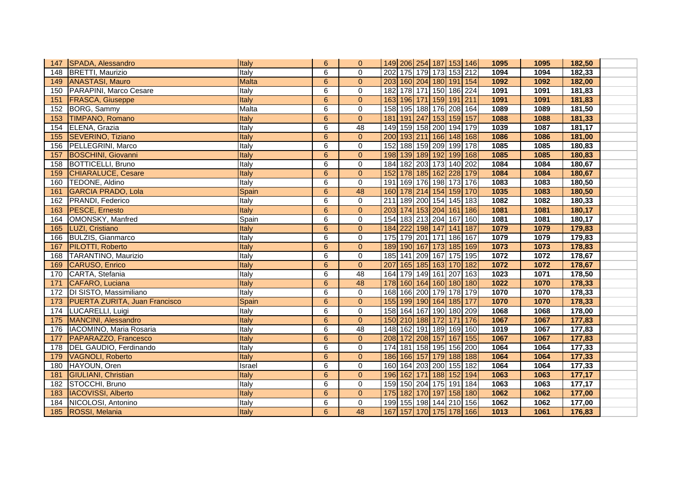| 147 | SPADA, Alessandro                    | Italy        | 6              | $\overline{0}$ | 149 206 254 187 153 146    | 1095<br>1095 | 182,50              |
|-----|--------------------------------------|--------------|----------------|----------------|----------------------------|--------------|---------------------|
| 148 | <b>BRETTI, Maurizio</b>              | Italy        | 6              | $\Omega$       | 202 175 179 173 153 212    | 1094<br>1094 | 182,33              |
|     | 149 ANASTASI, Mauro                  | <b>Malta</b> | $6\phantom{a}$ | $\overline{0}$ | 203 160 204 180 191 154    | 1092<br>1092 | 182,00              |
| 150 | PARAPINI, Marco Cesare               | Italy        | 6              | $\mathbf 0$    | 182 178 171 150 186 224    | 1091<br>1091 | 181,83              |
| 151 | <b>FRASCA, Giuseppe</b>              | Italy        | 6              | $\Omega$       | 163 196 171 159 191 211    | 1091<br>1091 | 181,83              |
| 152 | BORG, Sammy                          | Malta        | 6              | $\mathbf 0$    | 158 195 188 176 208 164    | 1089<br>1089 | 181,50              |
| 153 | TIMPANO, Romano                      | Italy        | 6              | $\overline{0}$ | 181 191 247 153 159 157    | 1088<br>1088 | 181,33              |
| 154 | ELENA, Grazia                        | Italy        | 6              | 48             | 149 159 158 200 194 179    | 1039<br>1087 | 181,17              |
|     | 155 SEVERINO, Tiziano                | Italy        | 6              | $\mathbf{0}$   | 200 193 211 166 148 168    | 1086<br>1086 | 181,00              |
| 156 | PELLEGRINI, Marco                    | Italy        | 6              | $\mathbf 0$    | 188 159 209 199 178<br>152 | 1085<br>1085 | 180,83              |
| 157 | <b>BOSCHINI, Giovanni</b>            | <b>Italy</b> | $6\phantom{1}$ | $\Omega$       | 198 139 189 192 199 168    | 1085<br>1085 | 180,83              |
| 158 | <b>BOTTICELLI, Bruno</b>             | Italy        | 6              | $\mathbf 0$    | 184 182 203 173 140 202    | 1084<br>1084 | 180,67              |
| 159 | CHIARALUCE, Cesare                   | Italy        | $6\phantom{1}$ | $\overline{0}$ | 152 178 185 162 228 179    | 1084<br>1084 | 180,67              |
| 160 | TEDONE, Aldino                       | Italy        | 6              | $\mathbf 0$    | 169 176 198 173 176<br>191 | 1083<br>1083 | 180,50              |
| 161 | GARCIA PRADO, Lola                   | Spain        | 6              | 48             | 160 178 214 154 159 170    | 1035<br>1083 | 180,50              |
| 162 | <b>PRANDI, Federico</b>              | Italy        | 6              | $\mathbf 0$    | 211 189 200 154 145 183    | 1082<br>1082 | 180,33              |
| 163 | <b>PESCE, Ernesto</b>                | Italy        | $6\phantom{1}$ | $\overline{0}$ | 203 174 153 204 161 186    | 1081<br>1081 | 180,17              |
| 164 | OMONSKY, Manfred                     | Spain        | 6              | $\Omega$       | 154 183 213 204 167 160    | 1081<br>1081 | 180,17              |
| 165 | LUZI, Cristiano                      | Italy        | 6              | $\Omega$       | 222 198 147 141 187<br>184 | 1079<br>1079 | 179,83              |
| 166 | <b>BULZIS, Gianmarco</b>             | Italy        | 6              | $\mathbf 0$    | 175 179 201 171 186 167    | 1079<br>1079 | 179,83              |
| 167 | <b>PILOTTI, Roberto</b>              | Italy        | 6              | $\overline{0}$ | 189 190 167 173 185 169    | 1073<br>1073 | 178,83              |
|     | 168 TARANTINO, Maurizio              | Italy        | 6              | $\Omega$       | 185 141 209 167 175 195    | 1072<br>1072 | 178,67              |
| 169 | CARUSO, Enrico                       | Italy        | 6              | $\overline{0}$ | 207 165 185 163 170 182    | 1072<br>1072 | 178,67              |
| 170 | CARTA, Stefania                      | Italy        | 6              | 48             | 164 179 149 161 207 163    | 1023<br>1071 | 178,50              |
| 171 | CAFARO, Luciana                      | Italy        | 6              | 48             | 178 160 164 160 180 180    | 1022<br>1070 | 178,33              |
| 172 | DI SISTO, Massimiliano               | Italy        | 6              | $\mathbf 0$    | 168 166 200 179 178 179    | 1070<br>1070 | 178,33              |
| 173 | <b>PUERTA ZURITA, Juan Francisco</b> | Spain        | $6\phantom{1}$ | $\overline{0}$ | 155 199 190 164 185 177    | 1070<br>1070 | 178,33              |
| 174 | LUCARELLI, Luigi                     | Italy        | 6              | $\Omega$       | 158 164 167 190 180 209    | 1068<br>1068 | 178,00              |
| 175 | MANCINI, Alessandro                  | Italy        | $6\phantom{1}$ | $\overline{0}$ | 150 210 188 172 171 176    | 1067<br>1067 | 177,83              |
| 176 | IACOMINO, Maria Rosaria              | Italy        | 6              | 48             | 148 162 191 189 169 160    | 1019<br>1067 | 177,83              |
| 177 | PAPARAZZO, Francesco                 | Italy        | 6              | $\Omega$       | 208 172 208 157 167 155    | 1067<br>1067 | 177,83              |
| 178 | DEL GAUDIO, Ferdinando               | <b>Italy</b> | 6              | 0              | 174 181 158 195 156 200    | 1064<br>1064 | 177,33              |
| 179 | <b>VAGNOLI, Roberto</b>              | Italy        | 6              | $\overline{0}$ | 186 166 157 179 188 188    | 1064<br>1064 | 177,33              |
| 180 | HAYOUN, Oren                         | Israel       | 6              | $\mathbf 0$    | 160 164 203 200 155 182    | 1064<br>1064 | 177,33              |
| 181 | <b>GIULIANI, Christian</b>           | Italy        | 6              | $\overline{0}$ | 196 162 171 188 152 194    | 1063<br>1063 | 177,17              |
| 182 | STOCCHI, Bruno                       | Italy        | 6              | $\mathbf 0$    | 159 150 204 175 191 184    | 1063<br>1063 | $\overline{177,17}$ |
| 183 | <b>IACOVISSI, Alberto</b>            | Italy        | 6              | $\Omega$       | 175 182 170 197 158 180    | 1062<br>1062 | 177,00              |
| 184 | NICOLOSI, Antonino                   | Italy        | 6              | $\Omega$       | 199 155 198 144 210 156    | 1062<br>1062 | 177,00              |
| 185 | ROSSI, Melania                       | Italy        | 6              | 48             | 167 157 170 175 178 166    | 1013<br>1061 | 176,83              |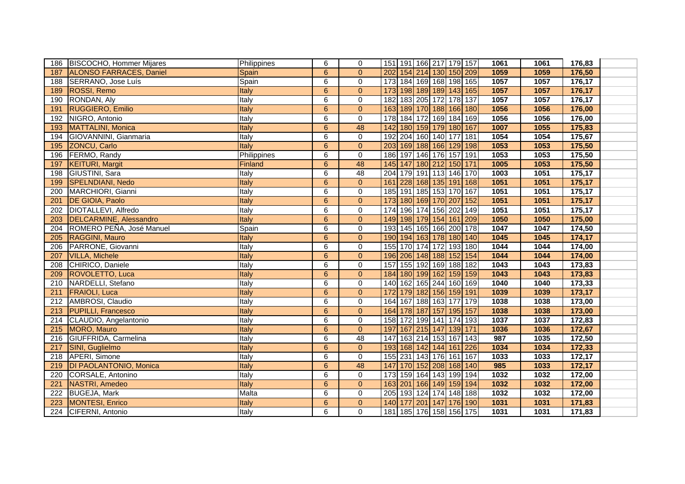| 186 | <b>BISCOCHO, Hommer Mijares</b> | Philippines  | 6              | $\mathbf 0$     | 151 191 166 217 179 157    |                     |     | 1061 | 1061 | 176,83 |  |
|-----|---------------------------------|--------------|----------------|-----------------|----------------------------|---------------------|-----|------|------|--------|--|
| 187 | ALONSO FARRACES, Daniel         | Spain        | 6              | $\Omega$        | 202 154 214 130 150 209    |                     |     | 1059 | 1059 | 176,50 |  |
| 188 | SERRANO, Jose Luís              | Spain        | 6              | $\mathbf 0$     | 173 184 169 168 198 165    |                     |     | 1057 | 1057 | 176,17 |  |
| 189 | <b>ROSSI, Remo</b>              | Italy        | $6\phantom{1}$ | $\overline{0}$  | 173 198 189 189 143 165    |                     |     | 1057 | 1057 | 176,17 |  |
| 190 | RONDAN, Aly                     | Italy        | 6              | $\mathbf 0$     | 182                        | 183 205 172 178 137 |     | 1057 | 1057 | 176,17 |  |
| 191 | <b>RUGGIERO, Emilio</b>         | Italy        | 6              | $\overline{0}$  | 163 189 170 188 166 180    |                     |     | 1056 | 1056 | 176,00 |  |
| 192 | NIGRO, Antonio                  | Italy        | 6              | 0               | 184 172 169 184 169<br>178 |                     |     | 1056 | 1056 | 176,00 |  |
| 193 | MATTALINI, Monica               | Italy        | $6\phantom{1}$ | 48              | 142                        | 180 159 179 180 167 |     | 1007 | 1055 | 175,83 |  |
| 194 | GIOVANNINI, Gianmaria           | Italy        | 6              | $\mathbf 0$     | 192 204 160 140 177 181    |                     |     | 1054 | 1054 | 175,67 |  |
| 195 | <b>ZONCU, Carlo</b>             | Italy        | $6\phantom{1}$ | $\overline{0}$  | 203 169 188 166 129 198    |                     |     | 1053 | 1053 | 175,50 |  |
| 196 | FERMO, Randy                    | Philippines  | 6              | $\mathbf 0$     | 186 197 146 176 157 191    |                     |     | 1053 | 1053 | 175,50 |  |
| 197 | <b>KEITURI, Margit</b>          | Finland      | 6              | 48              | 145 147 180 212 150 171    |                     |     | 1005 | 1053 | 175,50 |  |
| 198 | GIUSTINI, Sara                  | Italy        | 6              | 48              | 204 179 191 113 146 170    |                     |     | 1003 | 1051 | 175,17 |  |
| 199 | SPELNDIANI, Nedo                | Italy        | 6              | $\Omega$        | 228 168 135 191 168<br>161 |                     |     | 1051 | 1051 | 175,17 |  |
| 200 | MARCHIORI, Gianni               | Italy        | 6              | $\mathbf 0$     | 185 191 185 153 170 167    |                     |     | 1051 | 1051 | 175,17 |  |
| 201 | DE GIOIA, Paolo                 | Italy        | 6              | $\overline{0}$  | 173 180 169 170 207 152    |                     |     | 1051 | 1051 | 175,17 |  |
| 202 | DIOTALLEVI, Alfredo             | Italy        | 6              | $\mathbf 0$     | 174 196 174 156 202 149    |                     |     | 1051 | 1051 | 175,17 |  |
| 203 | DELCARMINE, Alessandro          | Italy        | 6              | $\overline{0}$  | 149 198 179 154 161 209    |                     |     | 1050 | 1050 | 175,00 |  |
| 204 | ROMERO PEÑA, José Manuel        | Spain        | 6              | $\Omega$        | 193 145 165 166 200 178    |                     |     | 1047 | 1047 | 174,50 |  |
| 205 | RAGGINI, Mauro                  | <b>Italy</b> | $6\phantom{1}$ | $\overline{0}$  | 190 194 163 178 180 140    |                     |     | 1045 | 1045 | 174,17 |  |
| 206 | PARRONE, Giovanni               | Italy        | 6              | $\mathbf 0$     | 155 170 174 172 193 180    |                     |     | 1044 | 1044 | 174,00 |  |
| 207 | <b>VILLA, Michele</b>           | Italy        | 6              | $\mathbf{0}$    | 196 206 148 188 152 154    |                     |     | 1044 | 1044 | 174,00 |  |
| 208 | CHIRICO, Daniele                | <b>Italy</b> | $\overline{6}$ | $\mathbf 0$     | 157 155 192 169 188 182    |                     |     | 1043 | 1043 | 173,83 |  |
| 209 | ROVOLETTO, Luca                 | Italy        | $6\phantom{1}$ | $\overline{0}$  | 184 180 199 162 159 159    |                     |     | 1043 | 1043 | 173,83 |  |
| 210 | NARDELLI, Stefano               | Italy        | 6              | $\mathbf 0$     | 140 162 165 244 160 169    |                     |     | 1040 | 1040 | 173,33 |  |
| 211 | <b>FRAIOLI, Luca</b>            | Italy        | $6\phantom{1}$ | $\overline{0}$  | 172 179 182 156 159 191    |                     |     | 1039 | 1039 | 173,17 |  |
| 212 | AMBROSI, Claudio                | Italy        | 6              | $\mathbf 0$     | 164 167 188 163 177 179    |                     |     | 1038 | 1038 | 173,00 |  |
| 213 | <b>PUPILLI, Francesco</b>       | Italy        | $6\phantom{1}$ | $\overline{0}$  | 164 178 187 157 195 157    |                     |     | 1038 | 1038 | 173,00 |  |
| 214 | CLAUDIO, Angelantonio           | Italy        | 6              | $\pmb{0}$       | 158 172 199 141 174 193    |                     |     | 1037 | 1037 | 172,83 |  |
| 215 | MORO, Mauro                     | Italy        | $6\phantom{1}$ | $\Omega$        | 197 167 215 147 139 171    |                     |     | 1036 | 1036 | 172,67 |  |
| 216 | GIUFFRIDA, Carmelina            | Italy        | 6              | $\overline{48}$ | 147                        | 163 214 153 167 143 |     | 987  | 1035 | 172,50 |  |
| 217 | SINI, Guglielmo                 | Italy        | 6              | $\overline{0}$  | 193 168 142 144 161        |                     | 226 | 1034 | 1034 | 172,33 |  |
| 218 | APERI, Simone                   | Italy        | $\overline{6}$ | $\mathbf 0$     | 155 231 143 176 161 167    |                     |     | 1033 | 1033 | 172,17 |  |
| 219 | <b>DI PAOLANTONIO, Monica</b>   | Italy        | 6              | 48              | 147                        | 170 152 208 168 140 |     | 985  | 1033 | 172,17 |  |
| 220 | CORSALE, Antonino               | Italy        | 6              | $\mathbf 0$     | 173 159 164 143 199 194    |                     |     | 1032 | 1032 | 172,00 |  |
| 221 | NASTRI, Amedeo                  | Italy        | $6\phantom{1}$ | $\overline{0}$  | 163 201 166 149 159 194    |                     |     | 1032 | 1032 | 172,00 |  |
| 222 | <b>BUGEJA, Mark</b>             | Malta        | 6              | $\mathbf 0$     | 205 193 124 174 148 188    |                     |     | 1032 | 1032 | 172,00 |  |
| 223 | MONTESI, Enrico                 | Italy        | 6              | $\overline{0}$  | 140 177 201 147 176 190    |                     |     | 1031 | 1031 | 171,83 |  |
| 224 | CIFERNI, Antonio                | Italy        | 6              | $\Omega$        | 181 185 176 158 156 175    |                     |     | 1031 | 1031 | 171,83 |  |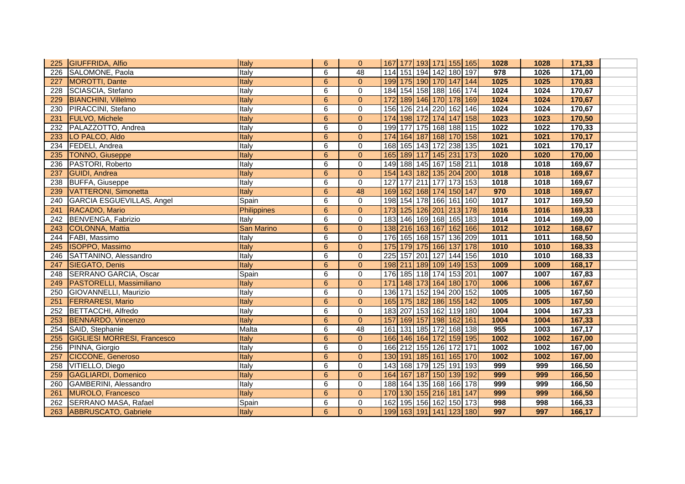| 225 | <b>GIUFFRIDA, Alfio</b>            | Italy              | 6              | $\overline{0}$ | 167 177 193 171 155 165 |  |                     | 1028 | 1028 | 171,33 |  |
|-----|------------------------------------|--------------------|----------------|----------------|-------------------------|--|---------------------|------|------|--------|--|
| 226 | SALOMONE, Paola                    | Italy              | 6              | 48             | 114 151 194 142 180 197 |  |                     | 978  | 1026 | 171,00 |  |
| 227 | MOROTTI, Dante                     | Italy              | $6\phantom{1}$ | $\mathbf{0}$   | 199 175 190 170 147 144 |  |                     | 1025 | 1025 | 170,83 |  |
| 228 | SCIASCIA, Stefano                  | Italy              | 6              | $\mathbf 0$    | 184 154 158 188 166 174 |  |                     | 1024 | 1024 | 170,67 |  |
| 229 | <b>BIANCHINI, Villelmo</b>         | Italy              | 6              | $\Omega$       | 172 189 146 170 178 169 |  |                     | 1024 | 1024 | 170,67 |  |
| 230 | PIRACCINI, Stefano                 | Italy              | 6              | 0              | 156                     |  | 126 214 220 162 146 | 1024 | 1024 | 170,67 |  |
| 231 | <b>FULVO, Michele</b>              | Italy              | $6\phantom{1}$ | $\overline{0}$ | 174 198 172 174 147 158 |  |                     | 1023 | 1023 | 170,50 |  |
| 232 | PALAZZOTTO, Andrea                 | Italy              | 6              | $\mathbf 0$    | 199                     |  | 177 175 168 188 115 | 1022 | 1022 | 170,33 |  |
| 233 | LO PALCO, Aldo                     | Italy              | 6              | $\overline{0}$ | 174                     |  | 164 187 168 170 158 | 1021 | 1021 | 170,17 |  |
| 234 | FEDELI, Andrea                     | Italy              | 6              | $\mathbf 0$    | 168 165 143 172 238 135 |  |                     | 1021 | 1021 | 170,17 |  |
| 235 | <b>TONNO, Giuseppe</b>             | Italy              | $6\phantom{1}$ | $\Omega$       | 165 189 117 145 231 173 |  |                     | 1020 | 1020 | 170,00 |  |
| 236 | PASTORI, Roberto                   | Italy              | 6              | 0              | 149 188 145 167 158 211 |  |                     | 1018 | 1018 | 169,67 |  |
| 237 | <b>GUIDI</b> , Andrea              | Italy              | 6              | $\overline{0}$ | 154 143 182 135 204 200 |  |                     | 1018 | 1018 | 169,67 |  |
| 238 | <b>BUFFA, Giuseppe</b>             | Italy              | 6              | $\mathbf 0$    | 127                     |  | 177 211 177 173 153 | 1018 | 1018 | 169,67 |  |
| 239 | VATTERONI, Simonetta               | Italy              | $6\phantom{1}$ | 48             | 169 162 168 174 150 147 |  |                     | 970  | 1018 | 169,67 |  |
| 240 | GARCIA ESGUEVILLAS, Angel          | Spain              | 6              | $\mathbf 0$    | 198 154 178 166 161 160 |  |                     | 1017 | 1017 | 169,50 |  |
| 241 | RACADIO, Mario                     | <b>Philippines</b> | 6              | $\Omega$       | 173 125 126 201 213 178 |  |                     | 1016 | 1016 | 169,33 |  |
| 242 | BENVENGA, Fabrizio                 | Italy              | 6              | $\mathbf 0$    | 183 146 169 168 165 183 |  |                     | 1014 | 1014 | 169,00 |  |
| 243 | COLONNA, Mattia                    | San Marino         | $6\phantom{1}$ | $\mathbf{0}$   | 138 216 163 167 162 166 |  |                     | 1012 | 1012 | 168,67 |  |
| 244 | FABI, Massimo                      | Italy              | 6              | $\mathbf 0$    | 176 165 168 157 136 209 |  |                     | 1011 | 1011 | 168,50 |  |
| 245 | <b>ISOPPO, Massimo</b>             | <b>Italy</b>       | $6\phantom{1}$ | $\overline{0}$ | 175 179 175 166 137 178 |  |                     | 1010 | 1010 | 168,33 |  |
| 246 | SATTANINO, Alessandro              | Italy              | 6              | $\mathbf 0$    | 225 157 201 127 144 156 |  |                     | 1010 | 1010 | 168,33 |  |
| 247 | <b>SIEGATO, Denis</b>              | Italy              | 6              | $\Omega$       | 198 211 189 109 149 153 |  |                     | 1009 | 1009 | 168,17 |  |
| 248 | <b>SERRANO GARCIA, Oscar</b>       | Spain              | 6              | 0              | 176 185 118 174 153 201 |  |                     | 1007 | 1007 | 167,83 |  |
| 249 | <b>PASTORELLI, Massimiliano</b>    | Italy              | $6\phantom{1}$ | $\overline{0}$ | 171 148 173 164 180 170 |  |                     | 1006 | 1006 | 167,67 |  |
| 250 | GIOVANNELLI, Maurizio              | Italy              | 6              | $\mathbf 0$    | 136 171 152 194 200 152 |  |                     | 1005 | 1005 | 167,50 |  |
| 251 | <b>FERRARESI, Mario</b>            | Italy              | $6\phantom{1}$ | $\mathbf{0}$   | 165 175 182 186 155 142 |  |                     | 1005 | 1005 | 167,50 |  |
| 252 | BETTACCHI, Alfredo                 | Italy              | 6              | $\mathbf 0$    | 183 207 153 162 119 180 |  |                     | 1004 | 1004 | 167,33 |  |
| 253 | BENNARDO, Vincenzo                 | Italy              | 6              | $\overline{0}$ | 157 169 157 198 162 161 |  |                     | 1004 | 1004 | 167,33 |  |
| 254 | SAID, Stephanie                    | Malta              | 6              | 48             | 161 131 185 172 168 138 |  |                     | 955  | 1003 | 167,17 |  |
| 255 | <b>GIGLIESI MORRESI, Francesco</b> | Italy              | $6\phantom{1}$ | $\overline{0}$ | 166 146 164 172 159 195 |  |                     | 1002 | 1002 | 167,00 |  |
| 256 | PINNA, Giorgio                     | Italy              | 6              | $\mathbf 0$    | 166 212 155 126 172 171 |  |                     | 1002 | 1002 | 167,00 |  |
| 257 | <b>CICCONE, Generoso</b>           | Italy              | 6              | $\overline{0}$ | 130 191 185 161 165 170 |  |                     | 1002 | 1002 | 167,00 |  |
| 258 | VITIELLO, Diego                    | Italy              | 6              | $\mathbf 0$    | 143                     |  | 168 179 125 191 193 | 999  | 999  | 166,50 |  |
| 259 | <b>GAGLIARDI, Domenico</b>         | Italy              | $6\phantom{1}$ | $\overline{0}$ | 164 167 187 150 139 192 |  |                     | 999  | 999  | 166,50 |  |
| 260 | GAMBERINI, Alessandro              | Italy              | 6              | 0              | 188 164 135 168 166 178 |  |                     | 999  | 999  | 166,50 |  |
| 261 | MUROLO, Francesco                  | Italy              | $6\phantom{1}$ | $\overline{0}$ | 170 130 155 216 181 147 |  |                     | 999  | 999  | 166,50 |  |
| 262 | SERRANO MASA, Rafael               | Spain              | 6              | $\mathbf 0$    | 162 195 156 162 150 173 |  |                     | 998  | 998  | 166,33 |  |
| 263 | ABBRUSCATO, Gabriele               | <b>Italy</b>       | 6              | $\Omega$       | 199 163 191 141 123 180 |  |                     | 997  | 997  | 166,17 |  |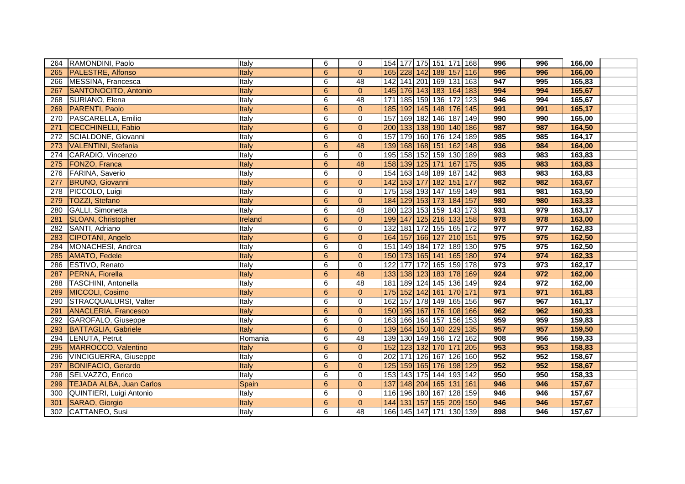| 264 | RAMONDINI, Paolo                | Italy        | 6                | $\mathbf 0$     | 154 177 175 151 171 168    |  |                  | 996 | 996              | 166,00 |  |
|-----|---------------------------------|--------------|------------------|-----------------|----------------------------|--|------------------|-----|------------------|--------|--|
| 265 | PALESTRE, Alfonso               | Italy        | 6                | $\Omega$        | 165 228 142 188 157 116    |  |                  | 996 | 996              | 166,00 |  |
| 266 | MESSINA, Francesca              | Italy        | 6                | 48              | 142 141 201 169 131 163    |  |                  | 947 | 995              | 165,83 |  |
| 267 | SANTONOCITO, Antonio            | Italy        | $6\phantom{1}$   | $\overline{0}$  | 145 176 143 183 164 183    |  |                  | 994 | 994              | 165,67 |  |
| 268 | SURIANO, Elena                  | Italy        | 6                | 48              | 185 159 136 172 123<br>171 |  |                  | 946 | 994              | 165,67 |  |
| 269 | PARENTI, Paolo                  | Italy        | $\boldsymbol{6}$ | $\mathbf{0}$    | 185 192 145 148 176 145    |  |                  | 991 | 991              | 165,17 |  |
| 270 | PASCARELLA, Emilio              | Italy        | 6                | $\mathbf 0$     | 169 182 146 187 149<br>157 |  |                  | 990 | 990              | 165,00 |  |
| 271 | <b>CECCHINELLI, Fabio</b>       | Italy        | 6                | $\overline{0}$  | 200 133 138 190 140 186    |  |                  | 987 | 987              | 164,50 |  |
| 272 | SCIALDONE, Giovanni             | Italy        | $\overline{6}$   | 0               | 179 160 176 124 189<br>157 |  |                  | 985 | 985              | 164,17 |  |
| 273 | <b>VALENTINI</b> , Stefania     | Italy        | $6\phantom{1}$   | 48              | 139 168 168 151 162 148    |  |                  | 936 | 984              | 164,00 |  |
| 274 | CARADIO, Vincenzo               | Italy        | 6                | $\mathbf 0$     | 195 158 152 159 130 189    |  |                  | 983 | 983              | 163,83 |  |
| 275 | FONZO, Franca                   | <b>Italy</b> | $6\phantom{1}$   | 48              | 158 139 125 171 167 175    |  |                  | 935 | 983              | 163,83 |  |
| 276 | <b>FARINA, Saverio</b>          | Italy        | 6                | $\mathsf 0$     | 154 163 148 189 187 142    |  |                  | 983 | 983              | 163,83 |  |
| 277 | <b>BRUNO, Giovanni</b>          | Italy        | 6                | $\Omega$        | 142 153 177 182 151 177    |  |                  | 982 | 982              | 163,67 |  |
| 278 | PICCOLO, Luigi                  | Italy        | 6                | $\mathbf 0$     | 175 158 193 147 159 149    |  |                  | 981 | 981              | 163,50 |  |
| 279 | <b>TOZZI, Stefano</b>           | Italy        | $6\phantom{1}$   | $\overline{0}$  | 184 129 153 173 184 157    |  |                  | 980 | 980              | 163,33 |  |
| 280 | GALLI, Simonetta                | Italy        | 6                | 48              | 180 123 153 159 143 173    |  |                  | 931 | 979              | 163,17 |  |
| 281 | <b>SLOAN, Christopher</b>       | Ireland      | $6\phantom{1}6$  | $\overline{0}$  | 199 147 125 216 133 158    |  |                  | 978 | 978              | 163,00 |  |
| 282 | SANTI, Adriano                  | Italy        | 6                | $\mathbf 0$     | 132 181 172 155 165 172    |  |                  | 977 | 977              | 162,83 |  |
| 283 | CIPOTANI, Angelo                | Italy        | 6                | $\overline{0}$  | 164 157 166 127 210 151    |  |                  | 975 | 975              | 162,50 |  |
| 284 | MONACHESI, Andrea               | Italy        | 6                | 0               | 151 149 184 172 189 130    |  |                  | 975 | 975              | 162,50 |  |
| 285 | <b>AMATO, Fedele</b>            | Italy        | $6\phantom{1}$   | $\overline{0}$  | 150 173 165 141 165 180    |  |                  | 974 | 974              | 162,33 |  |
| 286 | ESTIVO, Renato                  | Italy        | 6                | $\mathbf 0$     | 122 177 172 165 159 178    |  |                  | 973 | 973              | 162,17 |  |
| 287 | PERNA, Fiorella                 | Italy        | $\overline{6}$   | 48              | 133 138 123 183 178 169    |  |                  | 924 | 972              | 162,00 |  |
| 288 | <b>TASCHINI</b> , Antonella     | Italy        | 6                | 48              | 181 189 124 145 136 149    |  |                  | 924 | $\overline{972}$ | 162,00 |  |
| 289 | MICCOLI, Cosimo                 | Italy        | 6                | $\overline{0}$  | 175 152 142 161 170 171    |  |                  | 971 | 971              | 161,83 |  |
| 290 | STRACQUALURSI, Valter           | Italy        | 6                | $\pmb{0}$       | 162 157 178 149 165 156    |  |                  | 967 | 967              | 161,17 |  |
| 291 | <b>ANACLERIA, Francesco</b>     | Italy        | $6\phantom{1}$   | $\overline{0}$  | 150 195 167 176 108 166    |  |                  | 962 | 962              | 160,33 |  |
| 292 | GAROFALO, Giuseppe              | Italy        | 6                | $\mathbf 0$     | 163 166 164 157 156 153    |  |                  | 959 | 959              | 159,83 |  |
| 293 | <b>BATTAGLIA, Gabriele</b>      | Italy        | $6\phantom{1}$   | $\overline{0}$  | 139 164 150 140 229 135    |  |                  | 957 | 957              | 159,50 |  |
| 294 | LENUTA, Petrut                  | Romania      | 6                | $\overline{48}$ | 139 130 149 156 172 162    |  |                  | 908 | 956              | 159,33 |  |
| 295 | MARROCCO, Valentino             | Italy        | 6                | $\overline{0}$  | 123 132 170 171<br>152     |  | $\overline{205}$ | 953 | 953              | 158,83 |  |
| 296 | <b>VINCIGUERRA, Giuseppe</b>    | Italy        | $\overline{6}$   | 0               | 171 126 167 126 160<br>202 |  |                  | 952 | 952              | 158,67 |  |
| 297 | <b>BONIFACIO, Gerardo</b>       | Italy        | $\boldsymbol{6}$ | $\overline{0}$  | 125 159 165 176 198 129    |  |                  | 952 | 952              | 158,67 |  |
| 298 | SELVAZZO, Enrico                | Italy        | 6                | $\mathbf 0$     | 153 143 175 144 193 142    |  |                  | 950 | 950              | 158,33 |  |
| 299 | <b>TEJADA ALBA, Juan Carlos</b> | Spain        | 6                | $\bf 0$         | 137 148 204 165 131 161    |  |                  | 946 | 946              | 157,67 |  |
| 300 | QUINTIERI, Luigi Antonio        | Italy        | 6                | $\mathbf 0$     | 116 196 180 167 128 159    |  |                  | 946 | 946              | 157,67 |  |
| 301 | SARAO, Giorgio                  | Italy        | 6                | $\overline{0}$  | 144 131 157 155 209 150    |  |                  | 946 | 946              | 157,67 |  |
| 302 | CATTANEO, Susi                  | <b>Italy</b> | 6                | $\overline{48}$ | 166 145 147 171 130 139    |  |                  | 898 | 946              | 157,67 |  |